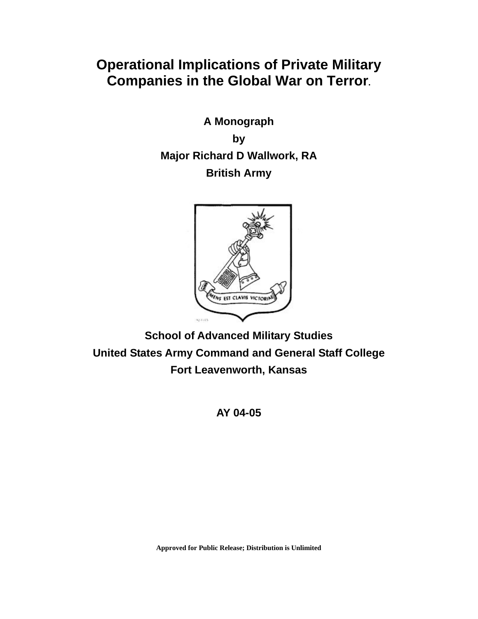# **Operational Implications of Private Military Companies in the Global War on Terror.**

**A Monograph by Major Richard D Wallwork, RA British Army** 



**School of Advanced Military Studies United States Army Command and General Staff College Fort Leavenworth, Kansas** 

**AY 04-05** 

**Approved for Public Release; Distribution is Unlimited**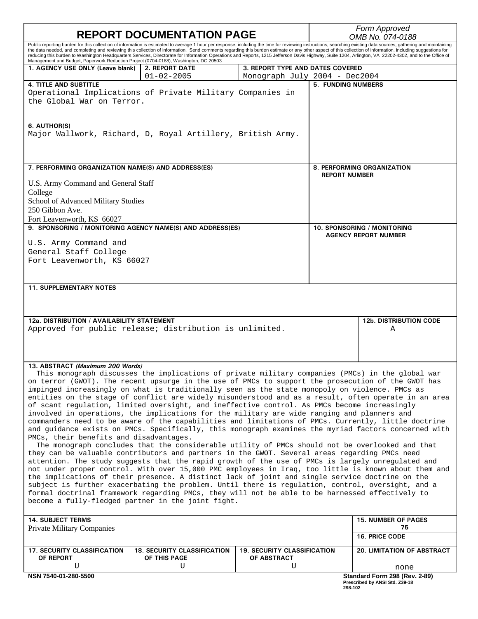| <b>REPORT DOCUMENTATION PAGE</b>                                                                                                                                                                                                                                                                                                                                                                                                                                                                                                                                                                                                                                                                                                                                                                                                                                                                                                                                                                                                                                                                                                                                                                                                                                                                                                                                                                                                                                                                                                                                                                                                                                                                |                                                                                                                                                                                                                                                                                                                                                                                                                                                                                                                                                                                                                                            |                                                        | Form Approved<br>OMB No. 074-0188                  |                                                                 |
|-------------------------------------------------------------------------------------------------------------------------------------------------------------------------------------------------------------------------------------------------------------------------------------------------------------------------------------------------------------------------------------------------------------------------------------------------------------------------------------------------------------------------------------------------------------------------------------------------------------------------------------------------------------------------------------------------------------------------------------------------------------------------------------------------------------------------------------------------------------------------------------------------------------------------------------------------------------------------------------------------------------------------------------------------------------------------------------------------------------------------------------------------------------------------------------------------------------------------------------------------------------------------------------------------------------------------------------------------------------------------------------------------------------------------------------------------------------------------------------------------------------------------------------------------------------------------------------------------------------------------------------------------------------------------------------------------|--------------------------------------------------------------------------------------------------------------------------------------------------------------------------------------------------------------------------------------------------------------------------------------------------------------------------------------------------------------------------------------------------------------------------------------------------------------------------------------------------------------------------------------------------------------------------------------------------------------------------------------------|--------------------------------------------------------|----------------------------------------------------|-----------------------------------------------------------------|
| Management and Budget, Paperwork Reduction Project (0704-0188), Washington, DC 20503                                                                                                                                                                                                                                                                                                                                                                                                                                                                                                                                                                                                                                                                                                                                                                                                                                                                                                                                                                                                                                                                                                                                                                                                                                                                                                                                                                                                                                                                                                                                                                                                            | Public reporting burden for this collection of information is estimated to average 1 hour per response, including the time for reviewing instructions, searching existing data sources, gathering and maintaining<br>the data needed, and completing and reviewing this collection of information. Send comments regarding this burden estimate or any other aspect of this collection of information, including suggestions for<br>reducing this burden to Washington Headquarters Services, Directorate for Information Operations and Reports, 1215 Jefferson Davis Highway, Suite 1204, Arlington, VA 22202-4302, and to the Office of |                                                        |                                                    |                                                                 |
| 1. AGENCY USE ONLY (Leave blank)                                                                                                                                                                                                                                                                                                                                                                                                                                                                                                                                                                                                                                                                                                                                                                                                                                                                                                                                                                                                                                                                                                                                                                                                                                                                                                                                                                                                                                                                                                                                                                                                                                                                | <b>2. REPORT DATE</b>                                                                                                                                                                                                                                                                                                                                                                                                                                                                                                                                                                                                                      | 3. REPORT TYPE AND DATES COVERED                       |                                                    |                                                                 |
| <b>4. TITLE AND SUBTITLE</b><br>the Global War on Terror.                                                                                                                                                                                                                                                                                                                                                                                                                                                                                                                                                                                                                                                                                                                                                                                                                                                                                                                                                                                                                                                                                                                                                                                                                                                                                                                                                                                                                                                                                                                                                                                                                                       | $01 - 02 - 2005$<br>Operational Implications of Private Military Companies in                                                                                                                                                                                                                                                                                                                                                                                                                                                                                                                                                              | Monograph July 2004 - Dec2004                          | <b>5. FUNDING NUMBERS</b>                          |                                                                 |
| 6. AUTHOR(S)                                                                                                                                                                                                                                                                                                                                                                                                                                                                                                                                                                                                                                                                                                                                                                                                                                                                                                                                                                                                                                                                                                                                                                                                                                                                                                                                                                                                                                                                                                                                                                                                                                                                                    | Major Wallwork, Richard, D, Royal Artillery, British Army.                                                                                                                                                                                                                                                                                                                                                                                                                                                                                                                                                                                 |                                                        |                                                    |                                                                 |
| 7. PERFORMING ORGANIZATION NAME(S) AND ADDRESS(ES)                                                                                                                                                                                                                                                                                                                                                                                                                                                                                                                                                                                                                                                                                                                                                                                                                                                                                                                                                                                                                                                                                                                                                                                                                                                                                                                                                                                                                                                                                                                                                                                                                                              |                                                                                                                                                                                                                                                                                                                                                                                                                                                                                                                                                                                                                                            |                                                        | 8. PERFORMING ORGANIZATION<br><b>REPORT NUMBER</b> |                                                                 |
| U.S. Army Command and General Staff<br>College                                                                                                                                                                                                                                                                                                                                                                                                                                                                                                                                                                                                                                                                                                                                                                                                                                                                                                                                                                                                                                                                                                                                                                                                                                                                                                                                                                                                                                                                                                                                                                                                                                                  |                                                                                                                                                                                                                                                                                                                                                                                                                                                                                                                                                                                                                                            |                                                        |                                                    |                                                                 |
| School of Advanced Military Studies<br>250 Gibbon Ave.                                                                                                                                                                                                                                                                                                                                                                                                                                                                                                                                                                                                                                                                                                                                                                                                                                                                                                                                                                                                                                                                                                                                                                                                                                                                                                                                                                                                                                                                                                                                                                                                                                          |                                                                                                                                                                                                                                                                                                                                                                                                                                                                                                                                                                                                                                            |                                                        |                                                    |                                                                 |
| Fort Leavenworth, KS 66027                                                                                                                                                                                                                                                                                                                                                                                                                                                                                                                                                                                                                                                                                                                                                                                                                                                                                                                                                                                                                                                                                                                                                                                                                                                                                                                                                                                                                                                                                                                                                                                                                                                                      | 9. SPONSORING / MONITORING AGENCY NAME(S) AND ADDRESS(ES)                                                                                                                                                                                                                                                                                                                                                                                                                                                                                                                                                                                  |                                                        |                                                    | 10. SPONSORING / MONITORING                                     |
| U.S. Army Command and<br>General Staff College<br>Fort Leavenworth, KS 66027                                                                                                                                                                                                                                                                                                                                                                                                                                                                                                                                                                                                                                                                                                                                                                                                                                                                                                                                                                                                                                                                                                                                                                                                                                                                                                                                                                                                                                                                                                                                                                                                                    |                                                                                                                                                                                                                                                                                                                                                                                                                                                                                                                                                                                                                                            |                                                        | <b>AGENCY REPORT NUMBER</b>                        |                                                                 |
| <b>11. SUPPLEMENTARY NOTES</b>                                                                                                                                                                                                                                                                                                                                                                                                                                                                                                                                                                                                                                                                                                                                                                                                                                                                                                                                                                                                                                                                                                                                                                                                                                                                                                                                                                                                                                                                                                                                                                                                                                                                  |                                                                                                                                                                                                                                                                                                                                                                                                                                                                                                                                                                                                                                            |                                                        |                                                    |                                                                 |
|                                                                                                                                                                                                                                                                                                                                                                                                                                                                                                                                                                                                                                                                                                                                                                                                                                                                                                                                                                                                                                                                                                                                                                                                                                                                                                                                                                                                                                                                                                                                                                                                                                                                                                 |                                                                                                                                                                                                                                                                                                                                                                                                                                                                                                                                                                                                                                            |                                                        |                                                    |                                                                 |
| 12a. DISTRIBUTION / AVAILABILITY STATEMENT                                                                                                                                                                                                                                                                                                                                                                                                                                                                                                                                                                                                                                                                                                                                                                                                                                                                                                                                                                                                                                                                                                                                                                                                                                                                                                                                                                                                                                                                                                                                                                                                                                                      | Approved for public release; distribution is unlimited.                                                                                                                                                                                                                                                                                                                                                                                                                                                                                                                                                                                    |                                                        |                                                    | <b>12b. DISTRIBUTION CODE</b><br>Α                              |
| 13. ABSTRACT (Maximum 200 Words)<br>This monograph discusses the implications of private military companies (PMCs) in the global war<br>on terror (GWOT). The recent upsurge in the use of PMCs to support the prosecution of the GWOT has<br>impinged increasingly on what is traditionally seen as the state monopoly on violence. PMCs as<br>entities on the stage of conflict are widely misunderstood and as a result, often operate in an area<br>of scant regulation, limited oversight, and ineffective control. As PMCs become increasingly<br>involved in operations, the implications for the military are wide ranging and planners and<br>commanders need to be aware of the capabilities and limitations of PMCs. Currently, little doctrine<br>and guidance exists on PMCs. Specifically, this monograph examines the myriad factors concerned with<br>PMCs, their benefits and disadvantages.<br>The monograph concludes that the considerable utility of PMCs should not be overlooked and that<br>they can be valuable contributors and partners in the GWOT. Several areas regarding PMCs need<br>attention. The study suggests that the rapid growth of the use of PMCs is largely unregulated and<br>not under proper control. With over 15,000 PMC employees in Iraq, too little is known about them and<br>the implications of their presence. A distinct lack of joint and single service doctrine on the<br>subject is further exacerbating the problem. Until there is regulation, control, oversight, and a<br>formal doctrinal framework regarding PMCs, they will not be able to be harnessed effectively to<br>become a fully-fledged partner in the joint fight. |                                                                                                                                                                                                                                                                                                                                                                                                                                                                                                                                                                                                                                            |                                                        |                                                    |                                                                 |
| <b>14. SUBJECT TERMS</b>                                                                                                                                                                                                                                                                                                                                                                                                                                                                                                                                                                                                                                                                                                                                                                                                                                                                                                                                                                                                                                                                                                                                                                                                                                                                                                                                                                                                                                                                                                                                                                                                                                                                        |                                                                                                                                                                                                                                                                                                                                                                                                                                                                                                                                                                                                                                            |                                                        |                                                    | <b>15. NUMBER OF PAGES</b>                                      |
| <b>Private Military Companies</b>                                                                                                                                                                                                                                                                                                                                                                                                                                                                                                                                                                                                                                                                                                                                                                                                                                                                                                                                                                                                                                                                                                                                                                                                                                                                                                                                                                                                                                                                                                                                                                                                                                                               |                                                                                                                                                                                                                                                                                                                                                                                                                                                                                                                                                                                                                                            |                                                        |                                                    | 75<br>16. PRICE CODE                                            |
| <b>17. SECURITY CLASSIFICATION</b><br>OF REPORT<br>U                                                                                                                                                                                                                                                                                                                                                                                                                                                                                                                                                                                                                                                                                                                                                                                                                                                                                                                                                                                                                                                                                                                                                                                                                                                                                                                                                                                                                                                                                                                                                                                                                                            | <b>18. SECURITY CLASSIFICATION</b><br>OF THIS PAGE<br>U                                                                                                                                                                                                                                                                                                                                                                                                                                                                                                                                                                                    | <b>19. SECURITY CLASSIFICATION</b><br>OF ABSTRACT<br>U |                                                    | <b>20. LIMITATION OF ABSTRACT</b><br>none                       |
| NSN 7540-01-280-5500                                                                                                                                                                                                                                                                                                                                                                                                                                                                                                                                                                                                                                                                                                                                                                                                                                                                                                                                                                                                                                                                                                                                                                                                                                                                                                                                                                                                                                                                                                                                                                                                                                                                            |                                                                                                                                                                                                                                                                                                                                                                                                                                                                                                                                                                                                                                            |                                                        | 298-102                                            | Standard Form 298 (Rev. 2-89)<br>Prescribed by ANSI Std. Z39-18 |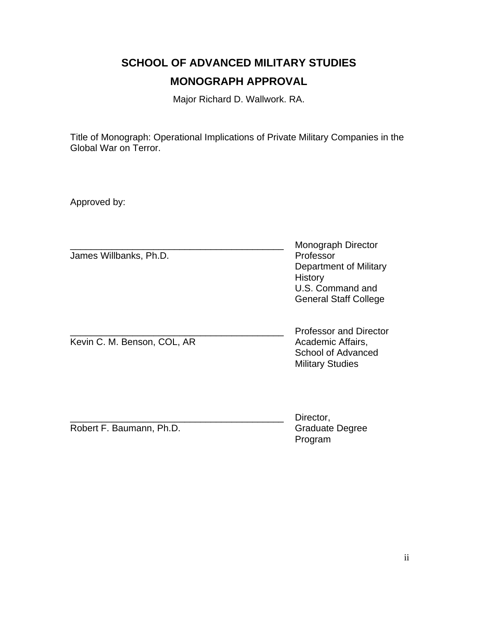# **SCHOOL OF ADVANCED MILITARY STUDIES MONOGRAPH APPROVAL**

Major Richard D. Wallwork. RA.

Title of Monograph: Operational Implications of Private Military Companies in the Global War on Terror.

Approved by:

|                             | Monograph Director                                                                                  |
|-----------------------------|-----------------------------------------------------------------------------------------------------|
| James Willbanks, Ph.D.      | Professor<br>Department of Military<br>History<br>U.S. Command and<br><b>General Staff College</b>  |
| Kevin C. M. Benson, COL, AR | <b>Professor and Director</b><br>Academic Affairs,<br>School of Advanced<br><b>Military Studies</b> |
| Robert F. Baumann, Ph.D.    | Director,<br><b>Graduate Degree</b><br>Program                                                      |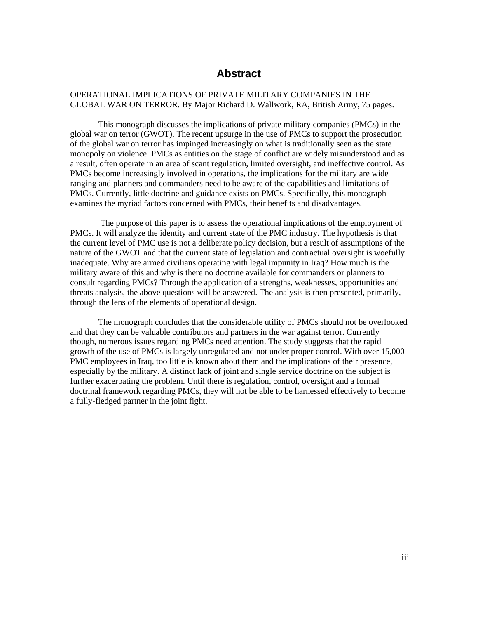# **Abstract**

## OPERATIONAL IMPLICATIONS OF PRIVATE MILITARY COMPANIES IN THE GLOBAL WAR ON TERROR. By Major Richard D. Wallwork, RA, British Army, 75 pages.

 This monograph discusses the implications of private military companies (PMCs) in the global war on terror (GWOT). The recent upsurge in the use of PMCs to support the prosecution of the global war on terror has impinged increasingly on what is traditionally seen as the state monopoly on violence. PMCs as entities on the stage of conflict are widely misunderstood and as a result, often operate in an area of scant regulation, limited oversight, and ineffective control. As PMCs become increasingly involved in operations, the implications for the military are wide ranging and planners and commanders need to be aware of the capabilities and limitations of PMCs. Currently, little doctrine and guidance exists on PMCs. Specifically, this monograph examines the myriad factors concerned with PMCs, their benefits and disadvantages.

 The purpose of this paper is to assess the operational implications of the employment of PMCs. It will analyze the identity and current state of the PMC industry. The hypothesis is that the current level of PMC use is not a deliberate policy decision, but a result of assumptions of the nature of the GWOT and that the current state of legislation and contractual oversight is woefully inadequate. Why are armed civilians operating with legal impunity in Iraq? How much is the military aware of this and why is there no doctrine available for commanders or planners to consult regarding PMCs? Through the application of a strengths, weaknesses, opportunities and threats analysis, the above questions will be answered. The analysis is then presented, primarily, through the lens of the elements of operational design.

 The monograph concludes that the considerable utility of PMCs should not be overlooked and that they can be valuable contributors and partners in the war against terror. Currently though, numerous issues regarding PMCs need attention. The study suggests that the rapid growth of the use of PMCs is largely unregulated and not under proper control. With over 15,000 PMC employees in Iraq, too little is known about them and the implications of their presence, especially by the military. A distinct lack of joint and single service doctrine on the subject is further exacerbating the problem. Until there is regulation, control, oversight and a formal doctrinal framework regarding PMCs, they will not be able to be harnessed effectively to become a fully-fledged partner in the joint fight.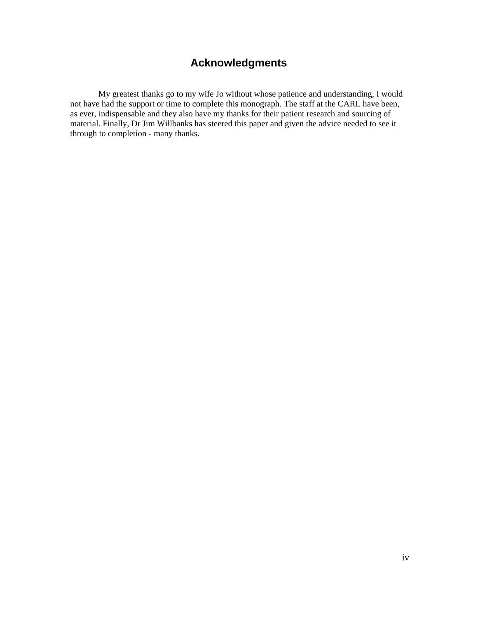# **Acknowledgments**

<span id="page-4-0"></span>My greatest thanks go to my wife Jo without whose patience and understanding, I would not have had the support or time to complete this monograph. The staff at the CARL have been, as ever, indispensable and they also have my thanks for their patient research and sourcing of material. Finally, Dr Jim Willbanks has steered this paper and given the advice needed to see it through to completion - many thanks.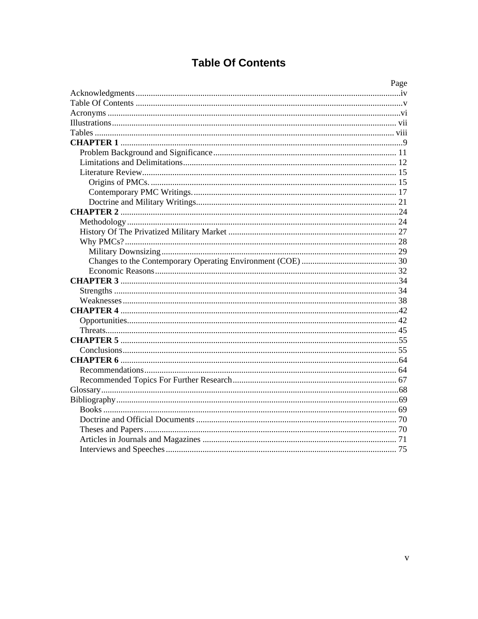# **Table Of Contents**

<span id="page-5-0"></span>

| Page |
|------|
|      |
|      |
|      |
|      |
|      |
|      |
|      |
|      |
|      |
|      |
|      |
|      |
|      |
|      |
|      |
|      |
|      |
|      |
|      |
|      |
|      |
|      |
|      |
|      |
|      |
|      |
|      |
|      |
|      |
|      |
|      |
|      |
|      |
|      |
|      |
|      |
|      |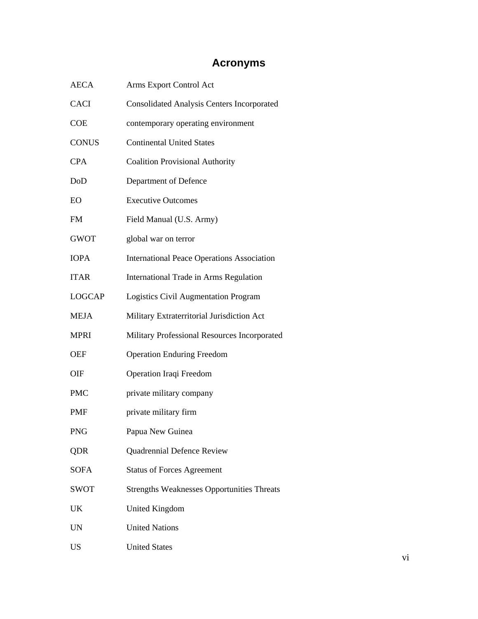# **Acronyms**

<span id="page-6-0"></span>

| <b>AECA</b>   | Arms Export Control Act                           |
|---------------|---------------------------------------------------|
| <b>CACI</b>   | <b>Consolidated Analysis Centers Incorporated</b> |
| <b>COE</b>    | contemporary operating environment                |
| <b>CONUS</b>  | <b>Continental United States</b>                  |
| <b>CPA</b>    | <b>Coalition Provisional Authority</b>            |
| DoD           | Department of Defence                             |
| EO            | <b>Executive Outcomes</b>                         |
| <b>FM</b>     | Field Manual (U.S. Army)                          |
| <b>GWOT</b>   | global war on terror                              |
| <b>IOPA</b>   | <b>International Peace Operations Association</b> |
| <b>ITAR</b>   | International Trade in Arms Regulation            |
| <b>LOGCAP</b> | Logistics Civil Augmentation Program              |
| MEJA          | Military Extraterritorial Jurisdiction Act        |
| <b>MPRI</b>   | Military Professional Resources Incorporated      |
| OEF           | <b>Operation Enduring Freedom</b>                 |
| OIF           | Operation Iraqi Freedom                           |
| <b>PMC</b>    | private military company                          |
| <b>PMF</b>    | private military firm                             |
| <b>PNG</b>    | Papua New Guinea                                  |
| <b>QDR</b>    | Quadrennial Defence Review                        |
| <b>SOFA</b>   | <b>Status of Forces Agreement</b>                 |
| <b>SWOT</b>   | <b>Strengths Weaknesses Opportunities Threats</b> |
| UK            | <b>United Kingdom</b>                             |
| <b>UN</b>     | <b>United Nations</b>                             |
| <b>US</b>     | <b>United States</b>                              |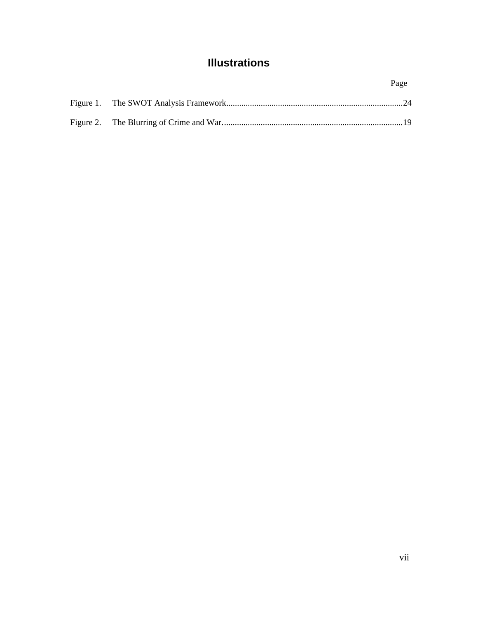# **Illustrations**

<span id="page-7-0"></span>

|  | Page |
|--|------|
|  |      |
|  |      |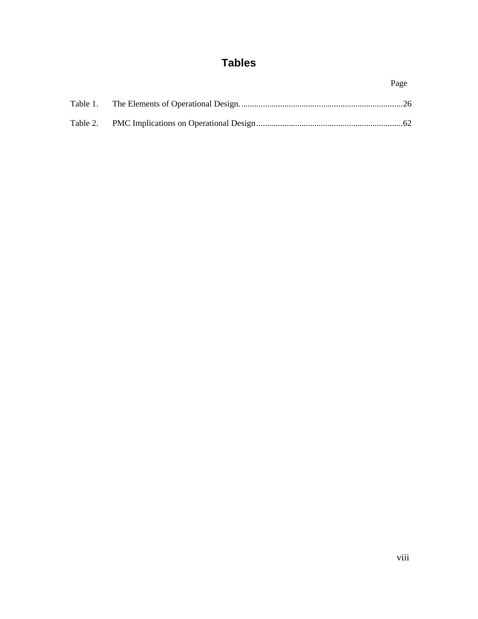# **Tables**

<span id="page-8-0"></span>

|  | Page |
|--|------|
|  |      |
|  |      |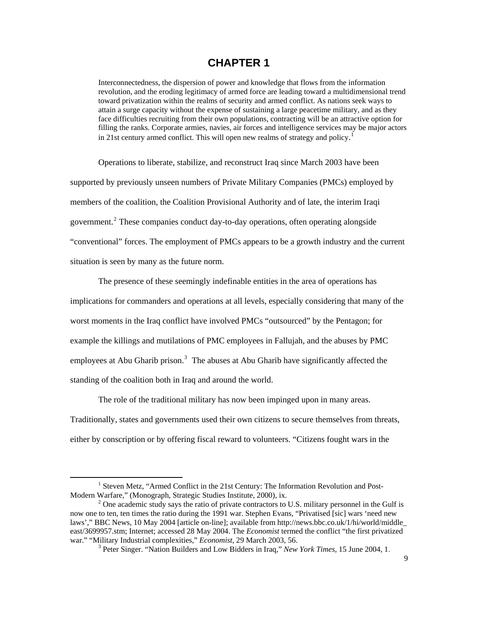# **CHAPTER 1**

<span id="page-9-0"></span>Interconnectedness, the dispersion of power and knowledge that flows from the information revolution, and the eroding legitimacy of armed force are leading toward a multidimensional trend toward privatization within the realms of security and armed conflict. As nations seek ways to attain a surge capacity without the expense of sustaining a large peacetime military, and as they face difficulties recruiting from their own populations, contracting will be an attractive option for filling the ranks. Corporate armies, navies, air forces and intelligence services may be major actors in 2[1](#page-9-1)st century armed conflict. This will open new realms of strategy and policy.<sup>1</sup>

 Operations to liberate, stabilize, and reconstruct Iraq since March 2003 have been supported by previously unseen numbers of Private Military Companies (PMCs) employed by members of the coalition, the Coalition Provisional Authority and of late, the interim Iraqi government.<sup>[2](#page-9-2)</sup> These companies conduct day-to-day operations, often operating alongside "conventional" forces. The employment of PMCs appears to be a growth industry and the current situation is seen by many as the future norm.

 The presence of these seemingly indefinable entities in the area of operations has implications for commanders and operations at all levels, especially considering that many of the worst moments in the Iraq conflict have involved PMCs "outsourced" by the Pentagon; for example the killings and mutilations of PMC employees in Fallujah, and the abuses by PMC employees at Abu Gharib prison.<sup>[3](#page-9-3)</sup> The abuses at Abu Gharib have significantly affected the standing of the coalition both in Iraq and around the world.

 The role of the traditional military has now been impinged upon in many areas. Traditionally, states and governments used their own citizens to secure themselves from threats, either by conscription or by offering fiscal reward to volunteers. "Citizens fought wars in the

<span id="page-9-1"></span><sup>&</sup>lt;sup>1</sup> Steven Metz, "Armed Conflict in the 21st Century: The Information Revolution and Post-Modern Warfare," (Monograph, Strategic Studies Institute, 2000), ix. 2

<span id="page-9-3"></span><span id="page-9-2"></span><sup>&</sup>lt;sup>2</sup> One academic study says the ratio of private contractors to U.S. military personnel in the Gulf is now one to ten, ten times the ratio during the 1991 war. Stephen Evans, "Privatised [sic] wars 'need new laws'," BBC News, 10 May 2004 [article on-line]; available from http://news.bbc.co.uk/1/hi/world/middle\_ east/3699957.stm; Internet; accessed 28 May 2004. The *Economist* termed the conflict "the first privatized war." "Military Industrial complexities," *Economist*, 29 March 2003, 56. 3

<sup>&</sup>lt;sup>3</sup> Peter Singer. "Nation Builders and Low Bidders in Iraq," *New York Times*, 15 June 2004, 1.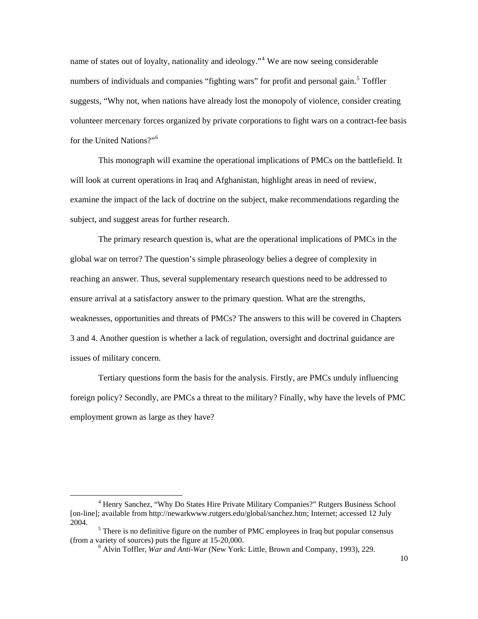name of states out of loyalty, nationality and ideology."<sup>[4](#page-10-0)</sup> We are now seeing considerable numbers of individuals and companies "fighting wars" for profit and personal gain.<sup>[5](#page-10-1)</sup> Toffler suggests, "Why not, when nations have already lost the monopoly of violence, consider creating volunteer mercenary forces organized by private corporations to fight wars on a contract-fee basis for the United Nations?"[6](#page-10-2)

 This monograph will examine the operational implications of PMCs on the battlefield. It will look at current operations in Iraq and Afghanistan, highlight areas in need of review, examine the impact of the lack of doctrine on the subject, make recommendations regarding the subject, and suggest areas for further research.

 The primary research question is, what are the operational implications of PMCs in the global war on terror? The question's simple phraseology belies a degree of complexity in reaching an answer. Thus, several supplementary research questions need to be addressed to ensure arrival at a satisfactory answer to the primary question. What are the strengths, weaknesses, opportunities and threats of PMCs? The answers to this will be covered in Chapters 3 and 4. Another question is whether a lack of regulation, oversight and doctrinal guidance are issues of military concern.

 Tertiary questions form the basis for the analysis. Firstly, are PMCs unduly influencing foreign policy? Secondly, are PMCs a threat to the military? Finally, why have the levels of PMC employment grown as large as they have?

<span id="page-10-0"></span><sup>&</sup>lt;sup>4</sup> Henry Sanchez, "Why Do States Hire Private Military Companies?" Rutgers Business School [on-line]; available from http://newarkwww.rutgers.edu/global/sanchez.htm; Internet; accessed 12 July 2004.

<span id="page-10-2"></span><span id="page-10-1"></span> $5$  There is no definitive figure on the number of PMC employees in Iraq but popular consensus (from a variety of sources) puts the figure at  $15-20,000$ .

Alvin Toffler, *War and Anti-War* (New York: Little, Brown and Company, 1993), 229.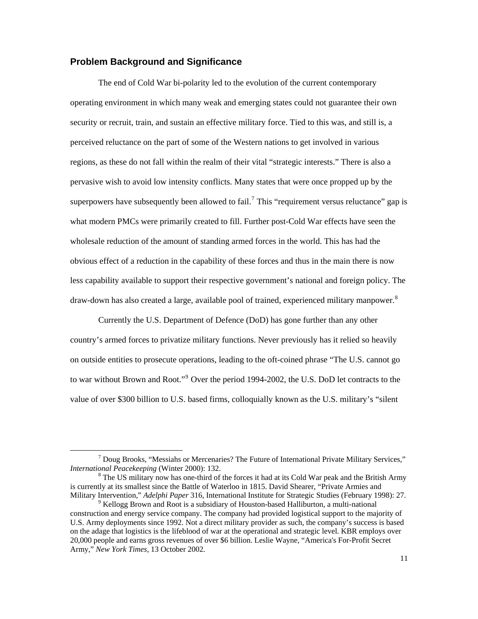### <span id="page-11-0"></span>**Problem Background and Significance**

 $\overline{a}$ 

 The end of Cold War bi-polarity led to the evolution of the current contemporary operating environment in which many weak and emerging states could not guarantee their own security or recruit, train, and sustain an effective military force. Tied to this was, and still is, a perceived reluctance on the part of some of the Western nations to get involved in various regions, as these do not fall within the realm of their vital "strategic interests." There is also a pervasive wish to avoid low intensity conflicts. Many states that were once propped up by the superpowers have subsequently been allowed to fail.<sup>[7](#page-11-1)</sup> This "requirement versus reluctance" gap is what modern PMCs were primarily created to fill. Further post-Cold War effects have seen the wholesale reduction of the amount of standing armed forces in the world. This has had the obvious effect of a reduction in the capability of these forces and thus in the main there is now less capability available to support their respective government's national and foreign policy. The draw-down has also created a large, available pool of trained, experienced military manpower.<sup>[8](#page-11-2)</sup>

 Currently the U.S. Department of Defence (DoD) has gone further than any other country's armed forces to privatize military functions. Never previously has it relied so heavily on outside entities to prosecute operations, leading to the oft-coined phrase "The U.S. cannot go to war without Brown and Root."<sup>[9](#page-11-3)</sup> Over the period 1994-2002, the U.S. DoD let contracts to the value of over \$300 billion to U.S. based firms, colloquially known as the U.S. military's "silent

<span id="page-11-1"></span> $^7$  Doug Brooks, "Messiahs or Mercenaries? The Future of International Private Military Services," *International Peacekeeping (Winter 2000): 132.* 

<span id="page-11-2"></span> $8$  The US military now has one-third of the forces it had at its Cold War peak and the British Army is currently at its smallest since the Battle of Waterloo in 1815. David Shearer, "Private Armies and Military Intervention," *Adelphi Paper* 316, International Institute for Strategic Studies (February 1998): 27. 9

<span id="page-11-3"></span>Kellogg Brown and Root is a subsidiary of Houston-based Halliburton, a multi-national construction and energy service company. The company had provided logistical support to the majority of U.S. Army deployments since 1992. Not a direct military provider as such, the company's success is based on the adage that logistics is the lifeblood of war at the operational and strategic level. KBR employs over 20,000 people and earns gross revenues of over \$6 billion. Leslie Wayne, "America's For-Profit Secret Army," *New York Times,* 13 October 2002.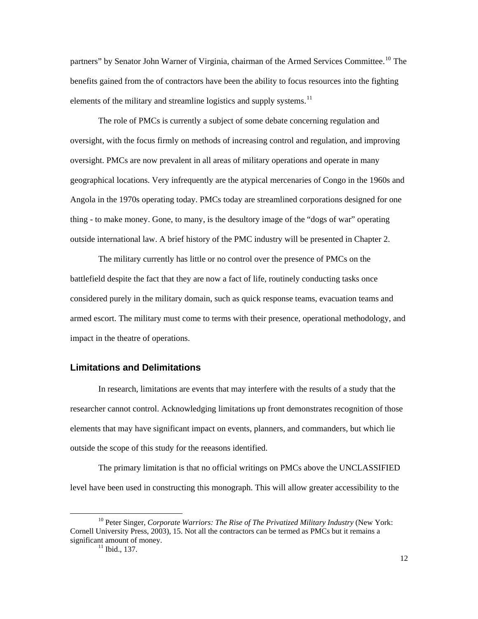<span id="page-12-0"></span>partners" by Senator John Warner of Virginia, chairman of the Armed Services Committee.<sup>[10](#page-12-1)</sup> The benefits gained from the of contractors have been the ability to focus resources into the fighting elements of the military and streamline logistics and supply systems.<sup>[11](#page-12-2)</sup>

 The role of PMCs is currently a subject of some debate concerning regulation and oversight, with the focus firmly on methods of increasing control and regulation, and improving oversight. PMCs are now prevalent in all areas of military operations and operate in many geographical locations. Very infrequently are the atypical mercenaries of Congo in the 1960s and Angola in the 1970s operating today. PMCs today are streamlined corporations designed for one thing - to make money. Gone, to many, is the desultory image of the "dogs of war" operating outside international law. A brief history of the PMC industry will be presented in Chapter 2.

 The military currently has little or no control over the presence of PMCs on the battlefield despite the fact that they are now a fact of life, routinely conducting tasks once considered purely in the military domain, such as quick response teams, evacuation teams and armed escort. The military must come to terms with their presence, operational methodology, and impact in the theatre of operations.

### **Limitations and Delimitations**

 In research, limitations are events that may interfere with the results of a study that the researcher cannot control. Acknowledging limitations up front demonstrates recognition of those elements that may have significant impact on events, planners, and commanders, but which lie outside the scope of this study for the reeasons identified.

 The primary limitation is that no official writings on PMCs above the UNCLASSIFIED level have been used in constructing this monograph. This will allow greater accessibility to the

<span id="page-12-2"></span><span id="page-12-1"></span><sup>&</sup>lt;sup>10</sup> Peter Singer, *Corporate Warriors: The Rise of The Privatized Military Industry* (New York: Cornell University Press, 2003), 15. Not all the contractors can be termed as PMCs but it remains a significant amount of money.<br><sup>11</sup> Ibid., 137.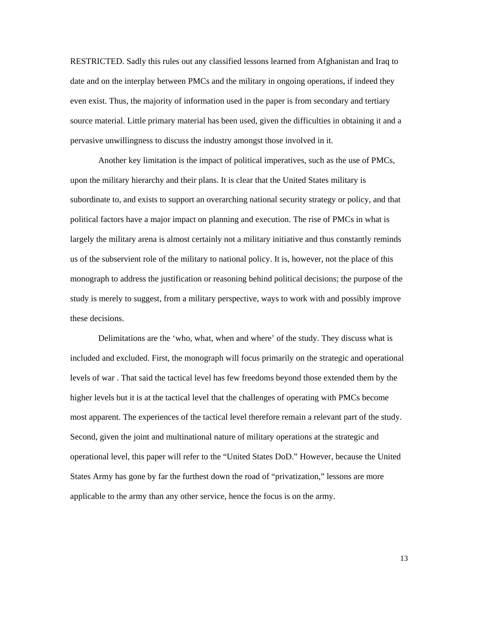RESTRICTED. Sadly this rules out any classified lessons learned from Afghanistan and Iraq to date and on the interplay between PMCs and the military in ongoing operations, if indeed they even exist. Thus, the majority of information used in the paper is from secondary and tertiary source material. Little primary material has been used, given the difficulties in obtaining it and a pervasive unwillingness to discuss the industry amongst those involved in it.

 Another key limitation is the impact of political imperatives, such as the use of PMCs, upon the military hierarchy and their plans. It is clear that the United States military is subordinate to, and exists to support an overarching national security strategy or policy, and that political factors have a major impact on planning and execution. The rise of PMCs in what is largely the military arena is almost certainly not a military initiative and thus constantly reminds us of the subservient role of the military to national policy. It is, however, not the place of this monograph to address the justification or reasoning behind political decisions; the purpose of the study is merely to suggest, from a military perspective, ways to work with and possibly improve these decisions.

 Delimitations are the 'who, what, when and where' of the study. They discuss what is included and excluded. First, the monograph will focus primarily on the strategic and operational levels of war . That said the tactical level has few freedoms beyond those extended them by the higher levels but it is at the tactical level that the challenges of operating with PMCs become most apparent. The experiences of the tactical level therefore remain a relevant part of the study. Second, given the joint and multinational nature of military operations at the strategic and operational level, this paper will refer to the "United States DoD." However, because the United States Army has gone by far the furthest down the road of "privatization," lessons are more applicable to the army than any other service, hence the focus is on the army.

13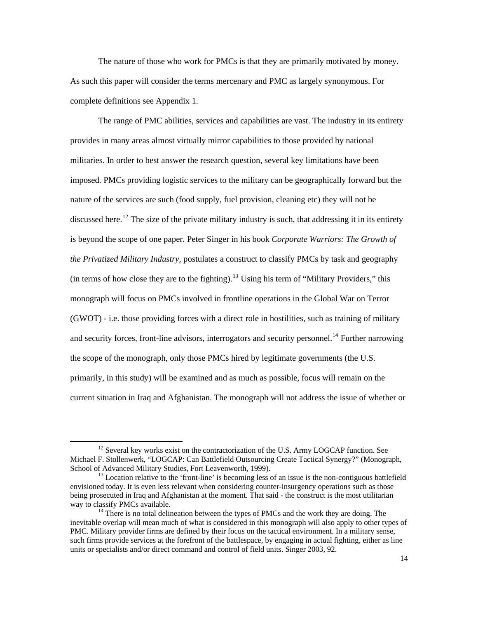The nature of those who work for PMCs is that they are primarily motivated by money. As such this paper will consider the terms mercenary and PMC as largely synonymous. For complete definitions see Appendix 1.

 The range of PMC abilities, services and capabilities are vast. The industry in its entirety provides in many areas almost virtually mirror capabilities to those provided by national militaries. In order to best answer the research question, several key limitations have been imposed. PMCs providing logistic services to the military can be geographically forward but the nature of the services are such (food supply, fuel provision, cleaning etc) they will not be discussed here.<sup>[12](#page-14-0)</sup> The size of the private military industry is such, that addressing it in its entirety is beyond the scope of one paper. Peter Singer in his book *Corporate Warriors: The Growth of the Privatized Military Industry,* postulates a construct to classify PMCs by task and geography (in terms of how close they are to the fighting).<sup>[13](#page-14-1)</sup> Using his term of "Military Providers," this monograph will focus on PMCs involved in frontline operations in the Global War on Terror (GWOT) - i.e. those providing forces with a direct role in hostilities, such as training of military and security forces, front-line advisors, interrogators and security personnel.<sup>[14](#page-14-2)</sup> Further narrowing the scope of the monograph, only those PMCs hired by legitimate governments (the U.S. primarily, in this study) will be examined and as much as possible, focus will remain on the current situation in Iraq and Afghanistan. The monograph will not address the issue of whether or

<span id="page-14-0"></span> $12$  Several key works exist on the contractorization of the U.S. Army LOGCAP function. See Michael F. Stollenwerk, "LOGCAP: Can Battlefield Outsourcing Create Tactical Synergy?" (Monograph, School of Advanced Military Studies, Fort Leavenworth, 1999).<br><sup>13</sup> Location relative to the 'front-line' is becoming less of an issue is the non-contiguous battlefield

<span id="page-14-1"></span>envisioned today. It is even less relevant when considering counter-insurgency operations such as those being prosecuted in Iraq and Afghanistan at the moment. That said - the construct is the most utilitarian way to classify PMCs available.<br><sup>14</sup> There is no total delineation between the types of PMCs and the work they are doing. The

<span id="page-14-2"></span>inevitable overlap will mean much of what is considered in this monograph will also apply to other types of PMC. Military provider firms are defined by their focus on the tactical environment. In a military sense, such firms provide services at the forefront of the battlespace, by engaging in actual fighting, either as line units or specialists and/or direct command and control of field units. Singer 2003, 92.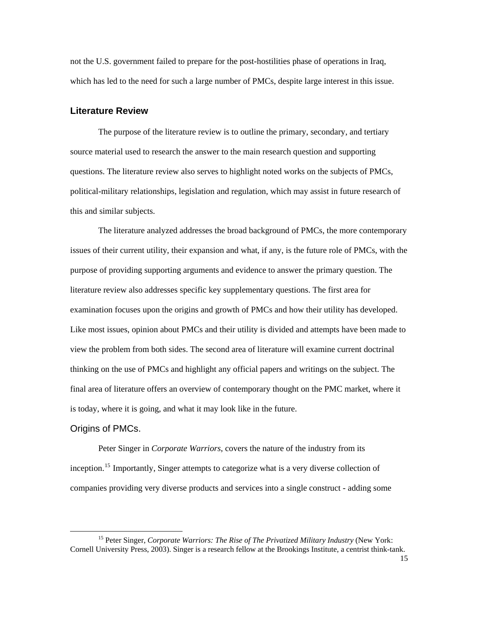<span id="page-15-0"></span>not the U.S. government failed to prepare for the post-hostilities phase of operations in Iraq, which has led to the need for such a large number of PMCs, despite large interest in this issue.

#### **Literature Review**

 The purpose of the literature review is to outline the primary, secondary, and tertiary source material used to research the answer to the main research question and supporting questions. The literature review also serves to highlight noted works on the subjects of PMCs, political-military relationships, legislation and regulation, which may assist in future research of this and similar subjects.

 The literature analyzed addresses the broad background of PMCs, the more contemporary issues of their current utility, their expansion and what, if any, is the future role of PMCs, with the purpose of providing supporting arguments and evidence to answer the primary question. The literature review also addresses specific key supplementary questions. The first area for examination focuses upon the origins and growth of PMCs and how their utility has developed. Like most issues, opinion about PMCs and their utility is divided and attempts have been made to view the problem from both sides. The second area of literature will examine current doctrinal thinking on the use of PMCs and highlight any official papers and writings on the subject. The final area of literature offers an overview of contemporary thought on the PMC market, where it is today, where it is going, and what it may look like in the future.

#### Origins of PMCs.

 $\overline{a}$ 

 Peter Singer in *Corporate Warriors*, covers the nature of the industry from its inception.<sup>[15](#page-15-1)</sup> Importantly, Singer attempts to categorize what is a very diverse collection of companies providing very diverse products and services into a single construct - adding some

<span id="page-15-1"></span><sup>&</sup>lt;sup>15</sup> Peter Singer, *Corporate Warriors: The Rise of The Privatized Military Industry* (New York: Cornell University Press, 2003). Singer is a research fellow at the Brookings Institute, a centrist think-tank.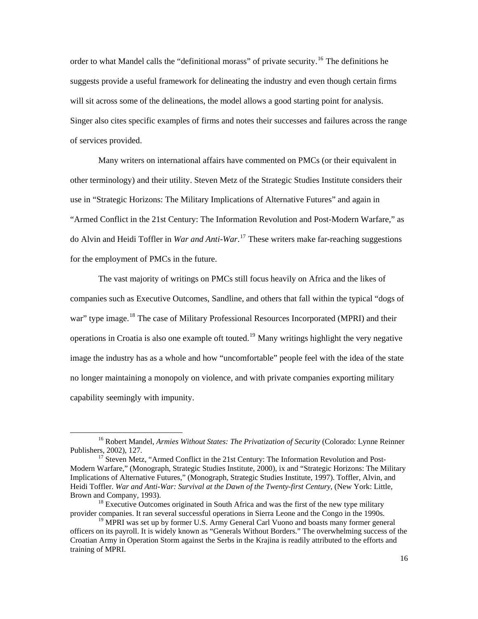order to what Mandel calls the "definitional morass" of private security.<sup>[16](#page-16-0)</sup> The definitions he suggests provide a useful framework for delineating the industry and even though certain firms will sit across some of the delineations, the model allows a good starting point for analysis. Singer also cites specific examples of firms and notes their successes and failures across the range of services provided.

 Many writers on international affairs have commented on PMCs (or their equivalent in other terminology) and their utility. Steven Metz of the Strategic Studies Institute considers their use in "Strategic Horizons: The Military Implications of Alternative Futures" and again in "Armed Conflict in the 21st Century: The Information Revolution and Post-Modern Warfare," as do Alvin and Heidi Toffler in *War and Anti-War*. [17](#page-16-1) These writers make far-reaching suggestions for the employment of PMCs in the future.

 The vast majority of writings on PMCs still focus heavily on Africa and the likes of companies such as Executive Outcomes, Sandline, and others that fall within the typical "dogs of war" type image.<sup>[18](#page-16-2)</sup> The case of Military Professional Resources Incorporated (MPRI) and their operations in Croatia is also one example oft touted.<sup>[19](#page-16-3)</sup> Many writings highlight the very negative image the industry has as a whole and how "uncomfortable" people feel with the idea of the state no longer maintaining a monopoly on violence, and with private companies exporting military capability seemingly with impunity.

<span id="page-16-0"></span><sup>&</sup>lt;sup>16</sup> Robert Mandel, *Armies Without States: The Privatization of Security* (Colorado: Lynne Reinner Publishers, 2002), 127.

<span id="page-16-1"></span><sup>&</sup>lt;sup>17</sup> Steven Metz, "Armed Conflict in the 21st Century: The Information Revolution and Post-Modern Warfare," (Monograph, Strategic Studies Institute, 2000), ix and "Strategic Horizons: The Military Implications of Alternative Futures," (Monograph, Strategic Studies Institute, 1997). Toffler, Alvin, and Heidi Toffler. *War and Anti-War: Survival at the Dawn of the Twenty-first Century*, (New York: Little, Brown and Company, 1993).<br><sup>18</sup> Executive Outcomes originated in South Africa and was the first of the new type military

<span id="page-16-2"></span>provider companies. It ran several successful operations in Sierra Leone and the Congo in the 1990s.

<span id="page-16-3"></span><sup>&</sup>lt;sup>19</sup> MPRI was set up by former U.S. Army General Carl Vuono and boasts many former general officers on its payroll. It is widely known as "Generals Without Borders." The overwhelming success of the Croatian Army in Operation Storm against the Serbs in the Krajina is readily attributed to the efforts and training of MPRI.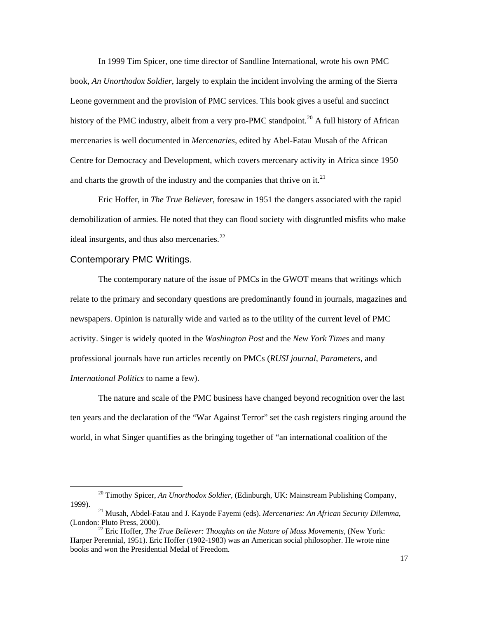<span id="page-17-0"></span> In 1999 Tim Spicer, one time director of Sandline International, wrote his own PMC book, *An Unorthodox Soldier*, largely to explain the incident involving the arming of the Sierra Leone government and the provision of PMC services. This book gives a useful and succinct history of the PMC industry, albeit from a very pro-PMC standpoint.<sup>[20](#page-17-1)</sup> A full history of African mercenaries is well documented in *Mercenaries,* edited by Abel-Fatau Musah of the African Centre for Democracy and Development, which covers mercenary activity in Africa since 1950 and charts the growth of the industry and the companies that thrive on it.<sup>[21](#page-17-2)</sup>

 Eric Hoffer, in *The True Believer*, foresaw in 1951 the dangers associated with the rapid demobilization of armies. He noted that they can flood society with disgruntled misfits who make ideal insurgents, and thus also mercenaries. $^{22}$  $^{22}$  $^{22}$ 

### Contemporary PMC Writings.

 $\overline{a}$ 

The contemporary nature of the issue of PMCs in the GWOT means that writings which relate to the primary and secondary questions are predominantly found in journals, magazines and newspapers. Opinion is naturally wide and varied as to the utility of the current level of PMC activity. Singer is widely quoted in the *Washington Post* and the *New York Times* and many professional journals have run articles recently on PMCs (*RUSI journal, Parameters,* and *International Politics* to name a few).

 The nature and scale of the PMC business have changed beyond recognition over the last ten years and the declaration of the "War Against Terror" set the cash registers ringing around the world, in what Singer quantifies as the bringing together of "an international coalition of the

<span id="page-17-1"></span><sup>20</sup> Timothy Spicer, *An Unorthodox Soldier,* (Edinburgh, UK: Mainstream Publishing Company, 1999). 21 Musah, Abdel-Fatau and J. Kayode Fayemi (eds). *Mercenaries: An African Security Dilemma*,

<span id="page-17-2"></span><sup>(</sup>London: Pluto Press, 2000). 22 Eric Hoffer, *The True Believer: Thoughts on the Nature of Mass Movements*, (New York:

<span id="page-17-3"></span>Harper Perennial, 1951). Eric Hoffer (1902-1983) was an American social philosopher. He wrote nine books and won the Presidential Medal of Freedom.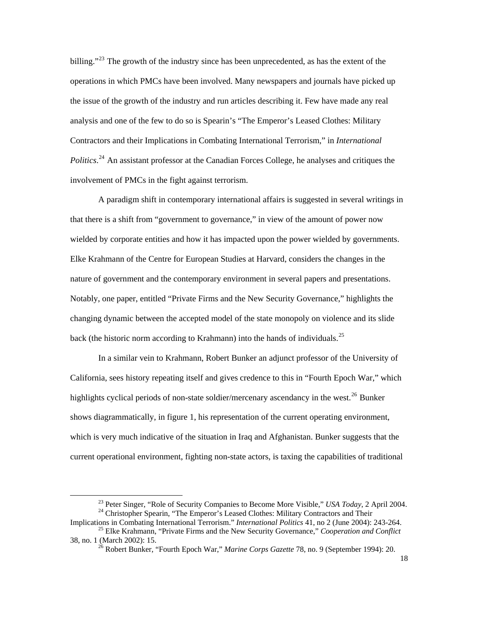billing."<sup>[23](#page-18-0)</sup> The growth of the industry since has been unprecedented, as has the extent of the operations in which PMCs have been involved. Many newspapers and journals have picked up the issue of the growth of the industry and run articles describing it. Few have made any real analysis and one of the few to do so is Spearin's "The Emperor's Leased Clothes: Military Contractors and their Implications in Combating International Terrorism," in *International*  Politics.<sup>[24](#page-18-1)</sup> An assistant professor at the Canadian Forces College, he analyses and critiques the involvement of PMCs in the fight against terrorism.

 A paradigm shift in contemporary international affairs is suggested in several writings in that there is a shift from "government to governance," in view of the amount of power now wielded by corporate entities and how it has impacted upon the power wielded by governments. Elke Krahmann of the Centre for European Studies at Harvard, considers the changes in the nature of government and the contemporary environment in several papers and presentations. Notably, one paper, entitled "Private Firms and the New Security Governance," highlights the changing dynamic between the accepted model of the state monopoly on violence and its slide back (the historic norm according to Krahmann) into the hands of individuals.<sup>[25](#page-18-2)</sup>

 In a similar vein to Krahmann, Robert Bunker an adjunct professor of the University of California, sees history repeating itself and gives credence to this in "Fourth Epoch War," which highlights cyclical periods of non-state soldier/mercenary ascendancy in the west.<sup>[26](#page-18-3)</sup> Bunker shows diagrammatically, in figure 1, his representation of the current operating environment, which is very much indicative of the situation in Iraq and Afghanistan. Bunker suggests that the current operational environment, fighting non-state actors, is taxing the capabilities of traditional

<span id="page-18-1"></span><span id="page-18-0"></span><sup>&</sup>lt;sup>23</sup> Peter Singer, "Role of Security Companies to Become More Visible," *USA Today*, 2 April 2004.<br><sup>24</sup> Christopher Spearin, "The Emperor's Leased Clothes: Military Contractors and Their<br>Implications in Combating Internati

<span id="page-18-3"></span><span id="page-18-2"></span><sup>&</sup>lt;sup>25</sup> Elke Krahmann, "Private Firms and the New Security Governance," *Cooperation and Conflict* 38, no. 1 (March 2002): 15.

<sup>&</sup>lt;sup>26</sup> Robert Bunker, "Fourth Epoch War," *Marine Corps Gazette* 78, no. 9 (September 1994): 20.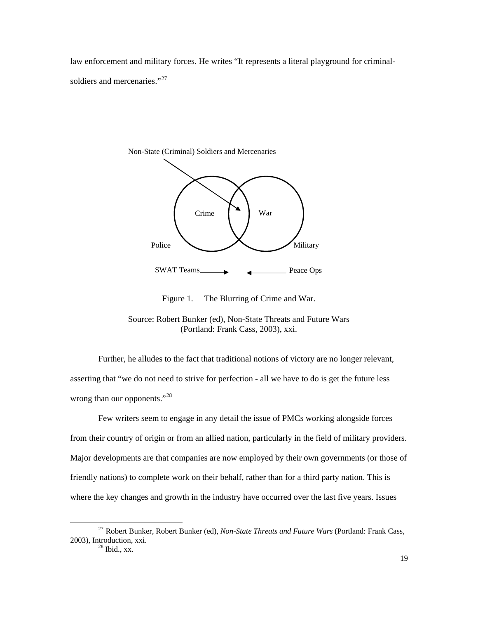<span id="page-19-0"></span>law enforcement and military forces. He writes "It represents a literal playground for criminal-soldiers and mercenaries."<sup>[27](#page-19-1)</sup>



Figure 1. The Blurring of Crime and War.

 Further, he alludes to the fact that traditional notions of victory are no longer relevant, asserting that "we do not need to strive for perfection - all we have to do is get the future less wrong than our opponents."<sup>[28](#page-19-2)</sup>

 Few writers seem to engage in any detail the issue of PMCs working alongside forces from their country of origin or from an allied nation, particularly in the field of military providers. Major developments are that companies are now employed by their own governments (or those of friendly nations) to complete work on their behalf, rather than for a third party nation. This is where the key changes and growth in the industry have occurred over the last five years. Issues

Source: Robert Bunker (ed), Non-State Threats and Future Wars (Portland: Frank Cass, 2003), xxi.

<span id="page-19-2"></span><span id="page-19-1"></span> <sup>27</sup> Robert Bunker, Robert Bunker (ed), *Non-State Threats and Future Wars* (Portland: Frank Cass, 2003), Introduction, xxi.  $^{28}$  Ibid., xx.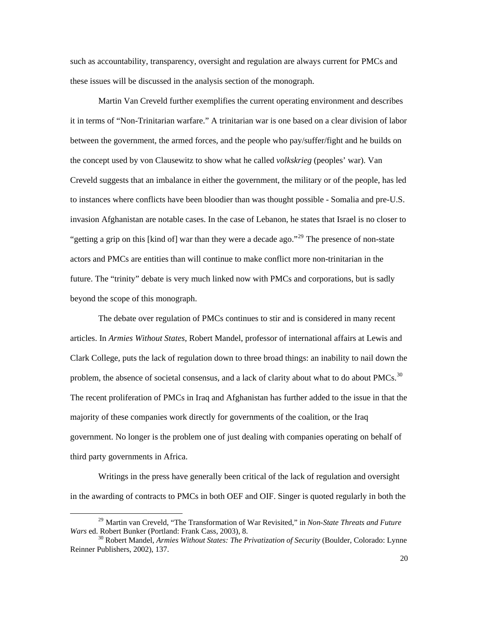such as accountability, transparency, oversight and regulation are always current for PMCs and these issues will be discussed in the analysis section of the monograph.

 Martin Van Creveld further exemplifies the current operating environment and describes it in terms of "Non-Trinitarian warfare." A trinitarian war is one based on a clear division of labor between the government, the armed forces, and the people who pay/suffer/fight and he builds on the concept used by von Clausewitz to show what he called *volkskrieg* (peoples' war)*.* Van Creveld suggests that an imbalance in either the government, the military or of the people, has led to instances where conflicts have been bloodier than was thought possible - Somalia and pre-U.S. invasion Afghanistan are notable cases. In the case of Lebanon, he states that Israel is no closer to "getting a grip on this [kind of] war than they were a decade ago."<sup>[29](#page-20-0)</sup> The presence of non-state actors and PMCs are entities than will continue to make conflict more non-trinitarian in the future. The "trinity" debate is very much linked now with PMCs and corporations, but is sadly beyond the scope of this monograph.

 The debate over regulation of PMCs continues to stir and is considered in many recent articles. In *Armies Without States*, Robert Mandel, professor of international affairs at Lewis and Clark College, puts the lack of regulation down to three broad things: an inability to nail down the problem, the absence of societal consensus, and a lack of clarity about what to do about PMCs.<sup>[30](#page-20-1)</sup> The recent proliferation of PMCs in Iraq and Afghanistan has further added to the issue in that the majority of these companies work directly for governments of the coalition, or the Iraq government. No longer is the problem one of just dealing with companies operating on behalf of third party governments in Africa.

 Writings in the press have generally been critical of the lack of regulation and oversight in the awarding of contracts to PMCs in both OEF and OIF. Singer is quoted regularly in both the

<span id="page-20-0"></span><sup>&</sup>lt;sup>29</sup> Martin van Creveld, "The Transformation of War Revisited," in *Non-State Threats and Future Wars* ed. Robert Bunker (Portland: Frank Cass, 2003), 8.

<span id="page-20-1"></span><sup>&</sup>lt;sup>30</sup> Robert Mandel, *Armies Without States: The Privatization of Security* (Boulder, Colorado: Lynne Reinner Publishers, 2002), 137.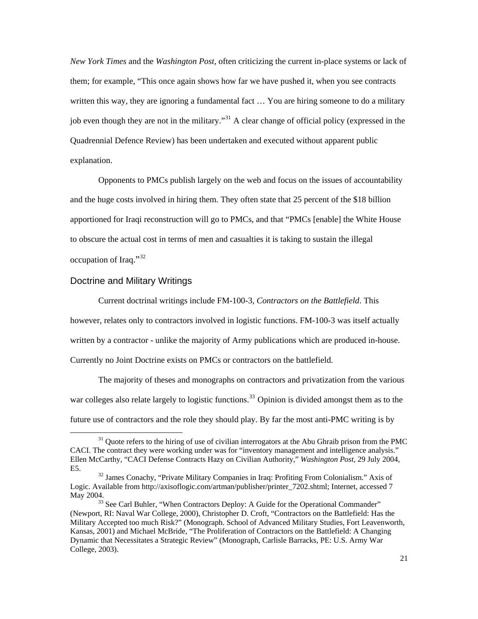<span id="page-21-0"></span>*New York Times* and the *Washington Post*, often criticizing the current in-place systems or lack of them; for example, "This once again shows how far we have pushed it, when you see contracts written this way, they are ignoring a fundamental fact … You are hiring someone to do a military job even though they are not in the military."[31](#page-21-1) A clear change of official policy (expressed in the Quadrennial Defence Review) has been undertaken and executed without apparent public explanation.

Opponents to PMCs publish largely on the web and focus on the issues of accountability and the huge costs involved in hiring them. They often state that 25 percent of the \$18 billion apportioned for Iraqi reconstruction will go to PMCs, and that "PMCs [enable] the White House to obscure the actual cost in terms of men and casualties it is taking to sustain the illegal occupation of Iraq."[32](#page-21-2)

### Doctrine and Military Writings

 $\overline{a}$ 

 Current doctrinal writings include FM-100-3, *Contractors on the Battlefield*. This however, relates only to contractors involved in logistic functions. FM-100-3 was itself actually written by a contractor - unlike the majority of Army publications which are produced in-house. Currently no Joint Doctrine exists on PMCs or contractors on the battlefield.

 The majority of theses and monographs on contractors and privatization from the various war colleges also relate largely to logistic functions.<sup>[33](#page-21-3)</sup> Opinion is divided amongst them as to the future use of contractors and the role they should play. By far the most anti-PMC writing is by

<span id="page-21-1"></span><sup>&</sup>lt;sup>31</sup> Quote refers to the hiring of use of civilian interrogators at the Abu Ghraib prison from the PMC CACI. The contract they were working under was for "inventory management and intelligence analysis." Ellen McCarthy, "CACI Defense Contracts Hazy on Civilian Authority," *Washington Post,* 29 July 2004,

<span id="page-21-2"></span>E5.<br><sup>32</sup> James Conachy, "Private Military Companies in Iraq: Profiting From Colonialism." Axis of Logic. Available from http://axisoflogic.com/artman/publisher/printer\_7202.shtml; Internet, accessed 7 May 2004.<br><sup>33</sup> See Carl Buhler, "When Contractors Deploy: A Guide for the Operational Commander"

<span id="page-21-3"></span><sup>(</sup>Newport, RI: Naval War College, 2000), Christopher D. Croft, "Contractors on the Battlefield: Has the Military Accepted too much Risk?" (Monograph. School of Advanced Military Studies, Fort Leavenworth, Kansas, 2001) and Michael McBride, "The Proliferation of Contractors on the Battlefield: A Changing Dynamic that Necessitates a Strategic Review" (Monograph, Carlisle Barracks, PE: U.S. Army War College, 2003).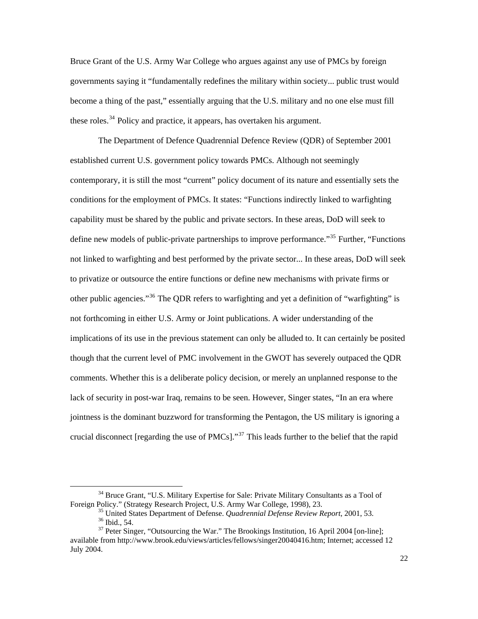Bruce Grant of the U.S. Army War College who argues against any use of PMCs by foreign governments saying it "fundamentally redefines the military within society... public trust would become a thing of the past," essentially arguing that the U.S. military and no one else must fill these roles.<sup>[34](#page-22-0)</sup> Policy and practice, it appears, has overtaken his argument.

 The Department of Defence Quadrennial Defence Review (QDR) of September 2001 established current U.S. government policy towards PMCs. Although not seemingly contemporary, it is still the most "current" policy document of its nature and essentially sets the conditions for the employment of PMCs. It states: "Functions indirectly linked to warfighting capability must be shared by the public and private sectors. In these areas, DoD will seek to define new models of public-private partnerships to improve performance."<sup>[35](#page-22-1)</sup> Further, "Functions" not linked to warfighting and best performed by the private sector... In these areas, DoD will seek to privatize or outsource the entire functions or define new mechanisms with private firms or other public agencies."<sup>[36](#page-22-2)</sup> The ODR refers to warfighting and yet a definition of "warfighting" is not forthcoming in either U.S. Army or Joint publications. A wider understanding of the implications of its use in the previous statement can only be alluded to. It can certainly be posited though that the current level of PMC involvement in the GWOT has severely outpaced the QDR comments. Whether this is a deliberate policy decision, or merely an unplanned response to the lack of security in post-war Iraq, remains to be seen. However, Singer states, "In an era where jointness is the dominant buzzword for transforming the Pentagon, the US military is ignoring a crucial disconnect [regarding the use of  $PMCs$ ].<sup>[37](#page-22-3)</sup> This leads further to the belief that the rapid

<span id="page-22-0"></span> $34$  Bruce Grant, "U.S. Military Expertise for Sale: Private Military Consultants as a Tool of Foreign Policy." (Strategy Research Project, U.S. Army War College, 1998), 23.

<sup>&</sup>lt;sup>35</sup> United States Department of Defense. *Quadrennial Defense Review Report*, 2001, 53. <sup>36</sup> Ibid., 54.

<span id="page-22-3"></span><span id="page-22-2"></span><span id="page-22-1"></span> $37$  Peter Singer, "Outsourcing the War." The Brookings Institution, 16 April 2004 [on-line]; available from http://www.brook.edu/views/articles/fellows/singer20040416.htm; Internet; accessed 12 July 2004.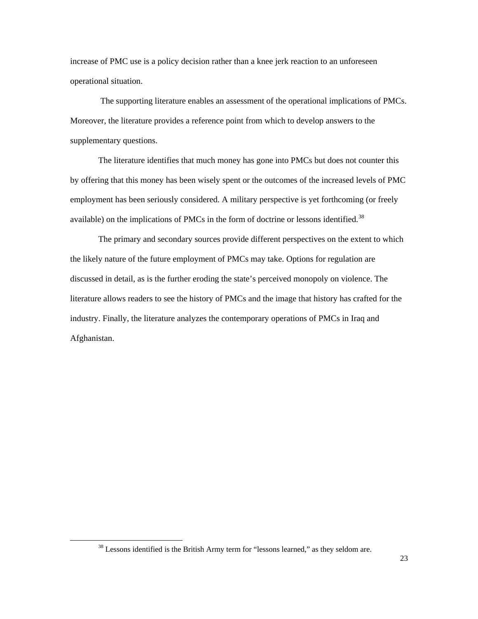increase of PMC use is a policy decision rather than a knee jerk reaction to an unforeseen operational situation.

 The supporting literature enables an assessment of the operational implications of PMCs. Moreover, the literature provides a reference point from which to develop answers to the supplementary questions.

 The literature identifies that much money has gone into PMCs but does not counter this by offering that this money has been wisely spent or the outcomes of the increased levels of PMC employment has been seriously considered. A military perspective is yet forthcoming (or freely available) on the implications of PMCs in the form of doctrine or lessons identified.<sup>[38](#page-23-0)</sup>

The primary and secondary sources provide different perspectives on the extent to which the likely nature of the future employment of PMCs may take. Options for regulation are discussed in detail, as is the further eroding the state's perceived monopoly on violence. The literature allows readers to see the history of PMCs and the image that history has crafted for the industry. Finally, the literature analyzes the contemporary operations of PMCs in Iraq and Afghanistan.

<span id="page-23-0"></span><sup>&</sup>lt;sup>38</sup> Lessons identified is the British Army term for "lessons learned," as they seldom are.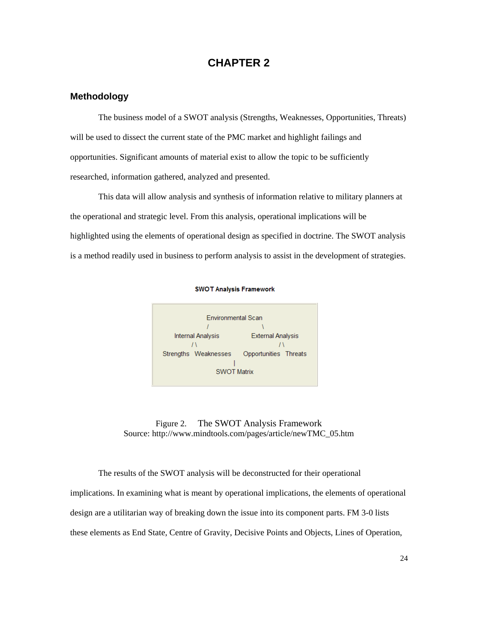# **CHAPTER 2**

## <span id="page-24-0"></span>**Methodology**

 The business model of a SWOT analysis (Strengths, Weaknesses, Opportunities, Threats) will be used to dissect the current state of the PMC market and highlight failings and opportunities. Significant amounts of material exist to allow the topic to be sufficiently researched, information gathered, analyzed and presented.

 This data will allow analysis and synthesis of information relative to military planners at the operational and strategic level. From this analysis, operational implications will be highlighted using the elements of operational design as specified in doctrine. The SWOT analysis is a method readily used in business to perform analysis to assist in the development of strategies.



**SWOT Analysis Framework** 



 The results of the SWOT analysis will be deconstructed for their operational implications. In examining what is meant by operational implications, the elements of operational design are a utilitarian way of breaking down the issue into its component parts. FM 3-0 lists these elements as End State, Centre of Gravity, Decisive Points and Objects, Lines of Operation,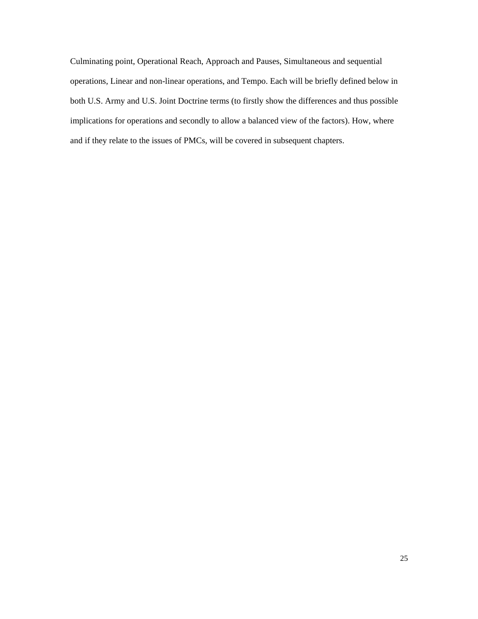Culminating point, Operational Reach, Approach and Pauses, Simultaneous and sequential operations, Linear and non-linear operations, and Tempo. Each will be briefly defined below in both U.S. Army and U.S. Joint Doctrine terms (to firstly show the differences and thus possible implications for operations and secondly to allow a balanced view of the factors). How, where and if they relate to the issues of PMCs, will be covered in subsequent chapters.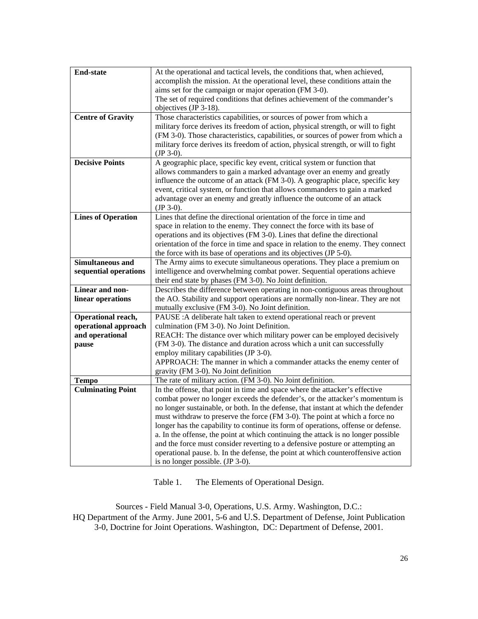<span id="page-26-0"></span>

| <b>End-state</b>          | At the operational and tactical levels, the conditions that, when achieved,        |
|---------------------------|------------------------------------------------------------------------------------|
|                           | accomplish the mission. At the operational level, these conditions attain the      |
|                           | aims set for the campaign or major operation (FM 3-0).                             |
|                           | The set of required conditions that defines achievement of the commander's         |
|                           | objectives (JP 3-18).                                                              |
| <b>Centre of Gravity</b>  | Those characteristics capabilities, or sources of power from which a               |
|                           | military force derives its freedom of action, physical strength, or will to fight  |
|                           | (FM 3-0). Those characteristics, capabilities, or sources of power from which a    |
|                           | military force derives its freedom of action, physical strength, or will to fight  |
|                           | $(JP 3-0).$                                                                        |
| <b>Decisive Points</b>    | A geographic place, specific key event, critical system or function that           |
|                           | allows commanders to gain a marked advantage over an enemy and greatly             |
|                           | influence the outcome of an attack (FM 3-0). A geographic place, specific key      |
|                           | event, critical system, or function that allows commanders to gain a marked        |
|                           | advantage over an enemy and greatly influence the outcome of an attack             |
|                           | $(JP 3-0).$                                                                        |
| <b>Lines of Operation</b> | Lines that define the directional orientation of the force in time and             |
|                           | space in relation to the enemy. They connect the force with its base of            |
|                           | operations and its objectives (FM 3-0). Lines that define the directional          |
|                           | orientation of the force in time and space in relation to the enemy. They connect  |
|                           | the force with its base of operations and its objectives (JP 5-0).                 |
| <b>Simultaneous and</b>   | The Army aims to execute simultaneous operations. They place a premium on          |
| sequential operations     | intelligence and overwhelming combat power. Sequential operations achieve          |
|                           | their end state by phases (FM 3-0). No Joint definition.                           |
| Linear and non-           | Describes the difference between operating in non-contiguous areas throughout      |
| linear operations         | the AO. Stability and support operations are normally non-linear. They are not     |
|                           | mutually exclusive (FM 3-0). No Joint definition.                                  |
| Operational reach,        | PAUSE : A deliberate halt taken to extend operational reach or prevent             |
| operational approach      | culmination (FM 3-0). No Joint Definition.                                         |
| and operational           | REACH: The distance over which military power can be employed decisively           |
| pause                     | (FM 3-0). The distance and duration across which a unit can successfully           |
|                           | employ military capabilities (JP 3-0).                                             |
|                           | APPROACH: The manner in which a commander attacks the enemy center of              |
|                           | gravity (FM 3-0). No Joint definition                                              |
| <b>Tempo</b>              | The rate of military action. (FM 3-0). No Joint definition.                        |
| <b>Culminating Point</b>  | In the offense, that point in time and space where the attacker's effective        |
|                           | combat power no longer exceeds the defender's, or the attacker's momentum is       |
|                           | no longer sustainable, or both. In the defense, that instant at which the defender |
|                           | must withdraw to preserve the force (FM 3-0). The point at which a force no        |
|                           | longer has the capability to continue its form of operations, offense or defense.  |
|                           | a. In the offense, the point at which continuing the attack is no longer possible  |
|                           | and the force must consider reverting to a defensive posture or attempting an      |
|                           | operational pause. b. In the defense, the point at which counteroffensive action   |
|                           | is no longer possible. (JP 3-0).                                                   |

Table 1. The Elements of Operational Design.

Sources - Field Manual 3-0, Operations, U.S. Army. Washington, D.C.: HQ Department of the Army. June 2001, 5-6 and U.S. Department of Defense, Joint Publication 3-0, Doctrine for Joint Operations. Washington, DC: Department of Defense, 2001.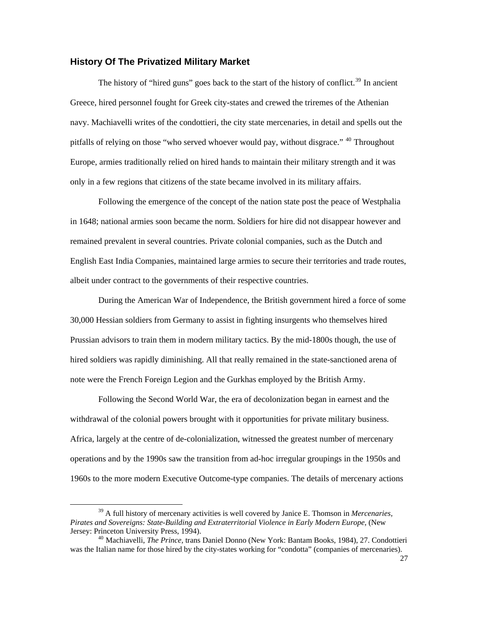### <span id="page-27-0"></span>**History Of The Privatized Military Market**

The history of "hired guns" goes back to the start of the history of conflict.<sup>[39](#page-27-1)</sup> In ancient Greece, hired personnel fought for Greek city-states and crewed the triremes of the Athenian navy. Machiavelli writes of the condottieri, the city state mercenaries, in detail and spells out the pitfalls of relying on those "who served whoever would pay, without disgrace." <sup>[40](#page-27-2)</sup> Throughout Europe, armies traditionally relied on hired hands to maintain their military strength and it was only in a few regions that citizens of the state became involved in its military affairs.

 Following the emergence of the concept of the nation state post the peace of Westphalia in 1648; national armies soon became the norm. Soldiers for hire did not disappear however and remained prevalent in several countries. Private colonial companies, such as the Dutch and English East India Companies, maintained large armies to secure their territories and trade routes, albeit under contract to the governments of their respective countries.

 During the American War of Independence, the British government hired a force of some 30,000 Hessian soldiers from Germany to assist in fighting insurgents who themselves hired Prussian advisors to train them in modern military tactics. By the mid-1800s though, the use of hired soldiers was rapidly diminishing. All that really remained in the state-sanctioned arena of note were the French Foreign Legion and the Gurkhas employed by the British Army.

 Following the Second World War, the era of decolonization began in earnest and the withdrawal of the colonial powers brought with it opportunities for private military business. Africa, largely at the centre of de-colonialization, witnessed the greatest number of mercenary operations and by the 1990s saw the transition from ad-hoc irregular groupings in the 1950s and 1960s to the more modern Executive Outcome-type companies. The details of mercenary actions

<span id="page-27-1"></span><sup>39</sup> A full history of mercenary activities is well covered by Janice E. Thomson in *Mercenaries, Pirates and Sovereigns: State-Building and Extraterritorial Violence in Early Modern Europe,* (New Jersey: Princeton University Press, 1994). <sup>40</sup> Machiavelli, *The Prince,* trans Daniel Donno (New York: Bantam Books, 1984), 27. Condottieri

<span id="page-27-2"></span>was the Italian name for those hired by the city-states working for "condotta" (companies of mercenaries).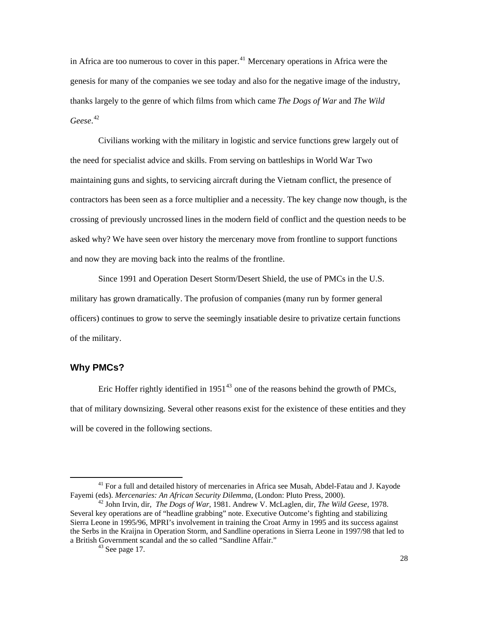<span id="page-28-0"></span>in Africa are too numerous to cover in this paper. $41$  Mercenary operations in Africa were the genesis for many of the companies we see today and also for the negative image of the industry, thanks largely to the genre of which films from which came *The Dogs of War* and *The Wild Geese*. [42](#page-28-2)

 Civilians working with the military in logistic and service functions grew largely out of the need for specialist advice and skills. From serving on battleships in World War Two maintaining guns and sights, to servicing aircraft during the Vietnam conflict, the presence of contractors has been seen as a force multiplier and a necessity. The key change now though, is the crossing of previously uncrossed lines in the modern field of conflict and the question needs to be asked why? We have seen over history the mercenary move from frontline to support functions and now they are moving back into the realms of the frontline.

 Since 1991 and Operation Desert Storm/Desert Shield, the use of PMCs in the U.S. military has grown dramatically. The profusion of companies (many run by former general officers) continues to grow to serve the seemingly insatiable desire to privatize certain functions of the military.

## **Why PMCs?**

 $\overline{a}$ 

Eric Hoffer rightly identified in  $1951^{43}$  $1951^{43}$  $1951^{43}$  one of the reasons behind the growth of PMCs, that of military downsizing. Several other reasons exist for the existence of these entities and they will be covered in the following sections.

<span id="page-28-1"></span><sup>&</sup>lt;sup>41</sup> For a full and detailed history of mercenaries in Africa see Musah, Abdel-Fatau and J. Kayode Fayemi (eds). *Mercenaries: An African Security Dilemma*, (London: Pluto Press, 2000).

<span id="page-28-3"></span><span id="page-28-2"></span>Fayemi (eds). *Mercenaries: An African Security Dilemma*, (London: Pluto Press, 2000). 42 John Irvin, dir, *The Dogs of War*, 1981. Andrew V. McLaglen*,* dir, *The Wild Geese,* 1978. Several key operations are of "headline grabbing" note. Executive Outcome's fighting and stabilizing Sierra Leone in 1995/96, MPRI's involvement in training the Croat Army in 1995 and its success against the Serbs in the Kraijna in Operation Storm, and Sandline operations in Sierra Leone in 1997/98 that led to a British Government scandal and the so called "Sandline Affair." 43 See page 17.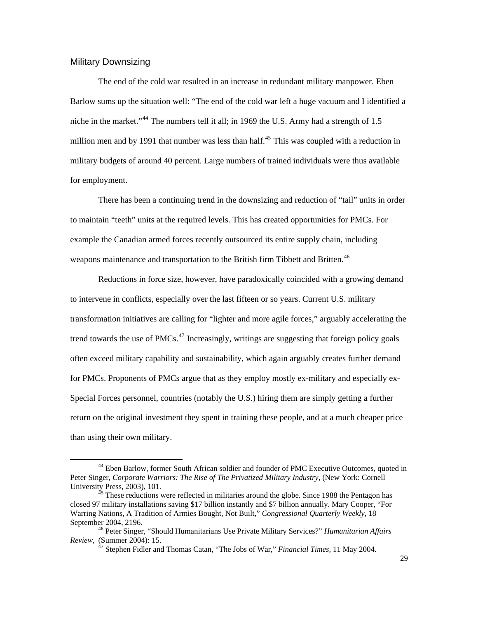### <span id="page-29-0"></span>Military Downsizing

 $\overline{a}$ 

 The end of the cold war resulted in an increase in redundant military manpower. Eben Barlow sums up the situation well: "The end of the cold war left a huge vacuum and I identified a niche in the market."<sup>[44](#page-29-1)</sup> The numbers tell it all; in 1969 the U.S. Army had a strength of 1.5 million men and by 1991 that number was less than half.<sup>[45](#page-29-2)</sup> This was coupled with a reduction in military budgets of around 40 percent. Large numbers of trained individuals were thus available for employment.

 There has been a continuing trend in the downsizing and reduction of "tail" units in order to maintain "teeth" units at the required levels. This has created opportunities for PMCs. For example the Canadian armed forces recently outsourced its entire supply chain, including weapons maintenance and transportation to the British firm Tibbett and Britten.<sup>[46](#page-29-3)</sup>

 Reductions in force size, however, have paradoxically coincided with a growing demand to intervene in conflicts, especially over the last fifteen or so years. Current U.S. military transformation initiatives are calling for "lighter and more agile forces," arguably accelerating the trend towards the use of PMCs.<sup>[47](#page-29-4)</sup> Increasingly, writings are suggesting that foreign policy goals often exceed military capability and sustainability, which again arguably creates further demand for PMCs. Proponents of PMCs argue that as they employ mostly ex-military and especially ex-Special Forces personnel, countries (notably the U.S.) hiring them are simply getting a further return on the original investment they spent in training these people, and at a much cheaper price than using their own military.

<span id="page-29-1"></span><sup>44</sup> Eben Barlow, former South African soldier and founder of PMC Executive Outcomes, quoted in Peter Singer, Corporate Warriors: The Rise of The Privatized Military Industry, (New York: Cornell University Press, 2003), 101. 45 These reductions were reflected in militaries around the globe. Since 1988 the Pentagon has

<span id="page-29-2"></span>closed 97 military installations saving \$17 billion instantly and \$7 billion annually. Mary Cooper, "For Warring Nations, A Tradition of Armies Bought, Not Built," *Congressional Quarterly Weekly,* 18

<span id="page-29-4"></span><span id="page-29-3"></span>September 2004, 2196.<br><sup>46</sup> Peter Singer, "Should Humanitarians Use Private Military Services?" *Humanitarian Affairs Review*, (Summer 2004): 15.

<sup>&</sup>lt;sup>47</sup> Stephen Fidler and Thomas Catan, "The Jobs of War," *Financial Times*, 11 May 2004.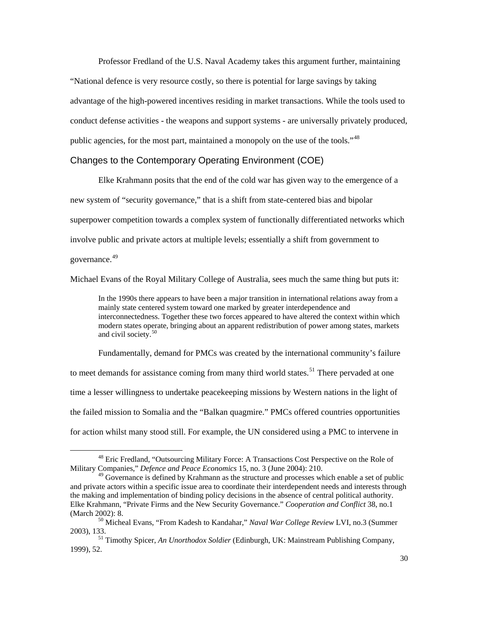<span id="page-30-0"></span> Professor Fredland of the U.S. Naval Academy takes this argument further, maintaining "National defence is very resource costly, so there is potential for large savings by taking advantage of the high-powered incentives residing in market transactions. While the tools used to conduct defense activities - the weapons and support systems - are universally privately produced, public agencies, for the most part, maintained a monopoly on the use of the tools."[48](#page-30-1)

### Changes to the Contemporary Operating Environment (COE)

 Elke Krahmann posits that the end of the cold war has given way to the emergence of a new system of "security governance," that is a shift from state-centered bias and bipolar superpower competition towards a complex system of functionally differentiated networks which involve public and private actors at multiple levels; essentially a shift from government to governance.<sup>[49](#page-30-2)</sup>

Michael Evans of the Royal Military College of Australia, sees much the same thing but puts it:

In the 1990s there appears to have been a major transition in international relations away from a mainly state centered system toward one marked by greater interdependence and interconnectedness. Together these two forces appeared to have altered the context within which modern states operate, bringing about an apparent redistribution of power among states, markets and civil society.<sup>[50](#page-30-3)</sup>

 Fundamentally, demand for PMCs was created by the international community's failure to meet demands for assistance coming from many third world states.<sup>[51](#page-30-4)</sup> There pervaded at one time a lesser willingness to undertake peacekeeping missions by Western nations in the light of the failed mission to Somalia and the "Balkan quagmire." PMCs offered countries opportunities for action whilst many stood still. For example, the UN considered using a PMC to intervene in

<span id="page-30-1"></span><sup>&</sup>lt;sup>48</sup> Eric Fredland, "Outsourcing Military Force: A Transactions Cost Perspective on the Role of Military Companies," *Defence and Peace Economics* 15, no. 3 (June 2004): 210.

<span id="page-30-2"></span> $49$  Governance is defined by Krahmann as the structure and processes which enable a set of public and private actors within a specific issue area to coordinate their interdependent needs and interests through the making and implementation of binding policy decisions in the absence of central political authority. Elke Krahmann, "Private Firms and the New Security Governance." *Cooperation and Conflict* 38, no.1 (March 2002): 8. 50 Micheal Evans, "From Kadesh to Kandahar," *Naval War College Review* LVI, no.3 (Summer

<span id="page-30-3"></span>

<span id="page-30-4"></span><sup>2003), 133. 51</sup> Timothy Spicer, *An Unorthodox Soldier* (Edinburgh, UK: Mainstream Publishing Company, 1999), 52.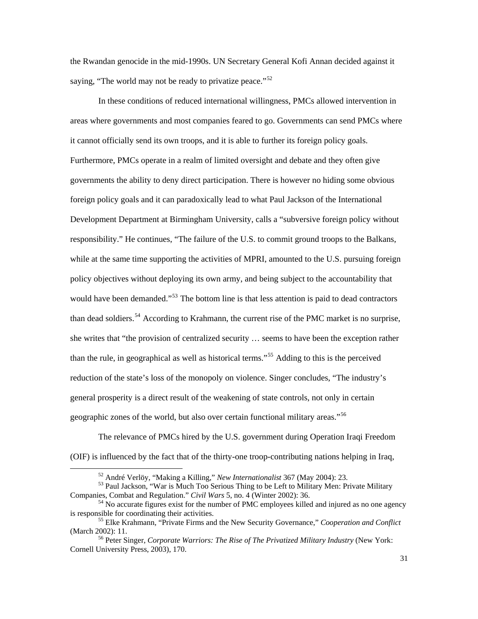the Rwandan genocide in the mid-1990s. UN Secretary General Kofi Annan decided against it saying, "The world may not be ready to privatize peace." $52$ 

 In these conditions of reduced international willingness, PMCs allowed intervention in areas where governments and most companies feared to go. Governments can send PMCs where it cannot officially send its own troops, and it is able to further its foreign policy goals. Furthermore, PMCs operate in a realm of limited oversight and debate and they often give governments the ability to deny direct participation. There is however no hiding some obvious foreign policy goals and it can paradoxically lead to what Paul Jackson of the International Development Department at Birmingham University, calls a "subversive foreign policy without responsibility." He continues, "The failure of the U.S. to commit ground troops to the Balkans, while at the same time supporting the activities of MPRI, amounted to the U.S. pursuing foreign policy objectives without deploying its own army, and being subject to the accountability that would have been demanded."<sup>[53](#page-31-1)</sup> The bottom line is that less attention is paid to dead contractors than dead soldiers.<sup>[54](#page-31-2)</sup> According to Krahmann, the current rise of the PMC market is no surprise, she writes that "the provision of centralized security … seems to have been the exception rather than the rule, in geographical as well as historical terms."<sup>[55](#page-31-3)</sup> Adding to this is the perceived reduction of the state's loss of the monopoly on violence. Singer concludes, "The industry's general prosperity is a direct result of the weakening of state controls, not only in certain geographic zones of the world, but also over certain functional military areas."[56](#page-31-4)

 The relevance of PMCs hired by the U.S. government during Operation Iraqi Freedom (OIF) is influenced by the fact that of the thirty-one troop-contributing nations helping in Iraq,

<span id="page-31-1"></span><span id="page-31-0"></span><sup>&</sup>lt;sup>52</sup> André Verlöy, "Making a Killing," *New Internationalist* 367 (May 2004): 23.<br><sup>53</sup> Paul Jackson, "War is Much Too Serious Thing to be Left to Military Men: Private Military Companies, Combat and Regulation." *Civil Wars* 5, no. 4 (Winter 2002): 36.<br><sup>54</sup> No accurate figures exist for the number of PMC employees killed and injured as no one agency

<span id="page-31-3"></span><span id="page-31-2"></span>is responsible for coordinating their activities. 55 Elke Krahmann, "Private Firms and the New Security Governance," *Cooperation and Conflict*

<span id="page-31-4"></span><sup>&</sup>lt;sup>56</sup> Peter Singer, *Corporate Warriors: The Rise of The Privatized Military Industry* (New York: Cornell University Press, 2003), 170.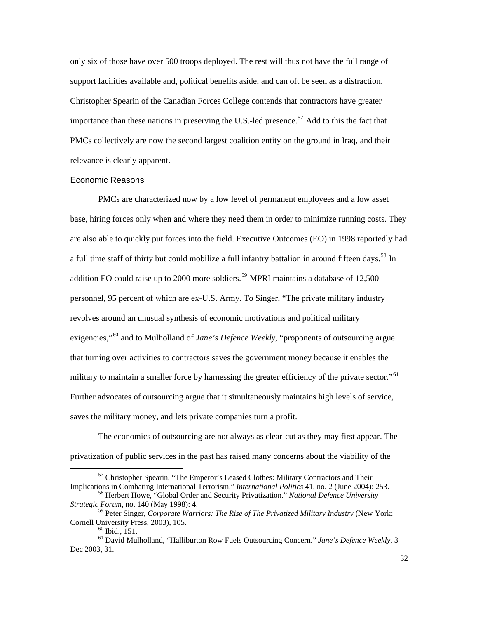<span id="page-32-0"></span>only six of those have over 500 troops deployed. The rest will thus not have the full range of support facilities available and, political benefits aside, and can oft be seen as a distraction. Christopher Spearin of the Canadian Forces College contends that contractors have greater importance than these nations in preserving the U.S.-led presence.<sup>[57](#page-32-1)</sup> Add to this the fact that PMCs collectively are now the second largest coalition entity on the ground in Iraq, and their relevance is clearly apparent.

#### Economic Reasons

 PMCs are characterized now by a low level of permanent employees and a low asset base, hiring forces only when and where they need them in order to minimize running costs. They are also able to quickly put forces into the field. Executive Outcomes (EO) in 1998 reportedly had a full time staff of thirty but could mobilize a full infantry battalion in around fifteen days.<sup>[58](#page-32-2)</sup> In addition EO could raise up to 2000 more soldiers.<sup>[59](#page-32-3)</sup> MPRI maintains a database of  $12,500$ personnel, 95 percent of which are ex-U.S. Army. To Singer, "The private military industry revolves around an unusual synthesis of economic motivations and political military exigencies,"<sup>[60](#page-32-4)</sup> and to Mulholland of *Jane's Defence Weekly*, "proponents of outsourcing argue that turning over activities to contractors saves the government money because it enables the military to maintain a smaller force by harnessing the greater efficiency of the private sector."<sup>[61](#page-32-5)</sup> Further advocates of outsourcing argue that it simultaneously maintains high levels of service, saves the military money, and lets private companies turn a profit.

 The economics of outsourcing are not always as clear-cut as they may first appear. The privatization of public services in the past has raised many concerns about the viability of the

<span id="page-32-1"></span> $57$  Christopher Spearin, "The Emperor's Leased Clothes: Military Contractors and Their Implications in Combating International Terrorism." *International Politics* 41, no. 2 (June 2004): 253.

<span id="page-32-2"></span><sup>&</sup>lt;sup>58</sup> Herbert Howe, "Global Order and Security Privatization." *National Defence University Strategic Forum*, no. 140 (May 1998): 4.

<span id="page-32-3"></span><sup>59</sup> Peter Singer, *Corporate Warriors: The Rise of The Privatized Military Industry* (New York: Cornell University Press, 2003), 105.<br><sup>60</sup> Ibid., 151.

<span id="page-32-5"></span><span id="page-32-4"></span><sup>61</sup> David Mulholland, "Halliburton Row Fuels Outsourcing Concern." *Jane's Defence Weekly*, 3 Dec 2003, 31.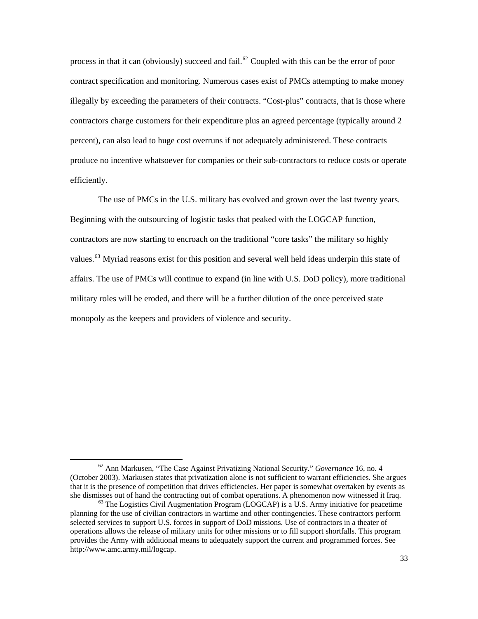process in that it can (obviously) succeed and fail.<sup>[62](#page-33-0)</sup> Coupled with this can be the error of poor contract specification and monitoring. Numerous cases exist of PMCs attempting to make money illegally by exceeding the parameters of their contracts. "Cost-plus" contracts, that is those where contractors charge customers for their expenditure plus an agreed percentage (typically around 2 percent), can also lead to huge cost overruns if not adequately administered. These contracts produce no incentive whatsoever for companies or their sub-contractors to reduce costs or operate efficiently.

 The use of PMCs in the U.S. military has evolved and grown over the last twenty years. Beginning with the outsourcing of logistic tasks that peaked with the LOGCAP function, contractors are now starting to encroach on the traditional "core tasks" the military so highly values.<sup>[63](#page-33-1)</sup> Myriad reasons exist for this position and several well held ideas underpin this state of affairs. The use of PMCs will continue to expand (in line with U.S. DoD policy), more traditional military roles will be eroded, and there will be a further dilution of the once perceived state monopoly as the keepers and providers of violence and security.

<span id="page-33-0"></span><sup>62</sup> Ann Markusen, "The Case Against Privatizing National Security." *Governance* 16, no. 4 (October 2003). Markusen states that privatization alone is not sufficient to warrant efficiencies. She argues that it is the presence of competition that drives efficiencies. Her paper is somewhat overtaken by events as she dismisses out of hand the contracting out of combat operations. A phenomenon now witnessed it Iraq. <sup>63</sup> The Logistics Civil Augmentation Program (LOGCAP) is a U.S. Army initiative for peacetime

<span id="page-33-1"></span>planning for the use of civilian contractors in wartime and other contingencies. These contractors perform selected services to support U.S. forces in support of DoD missions. Use of contractors in a theater of operations allows the release of military units for other missions or to fill support shortfalls. This program provides the Army with additional means to adequately support the current and programmed forces. See http://www.amc.army.mil/logcap.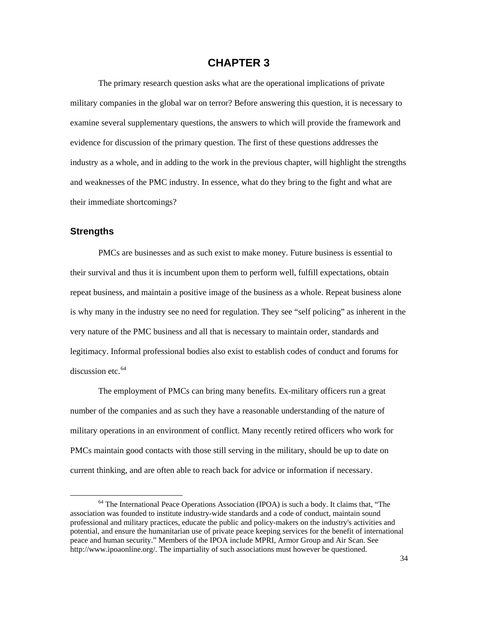# **CHAPTER 3**

<span id="page-34-0"></span> The primary research question asks what are the operational implications of private military companies in the global war on terror? Before answering this question, it is necessary to examine several supplementary questions, the answers to which will provide the framework and evidence for discussion of the primary question. The first of these questions addresses the industry as a whole, and in adding to the work in the previous chapter, will highlight the strengths and weaknesses of the PMC industry. In essence, what do they bring to the fight and what are their immediate shortcomings?

## **Strengths**

 $\overline{a}$ 

PMCs are businesses and as such exist to make money. Future business is essential to their survival and thus it is incumbent upon them to perform well, fulfill expectations, obtain repeat business, and maintain a positive image of the business as a whole. Repeat business alone is why many in the industry see no need for regulation. They see "self policing" as inherent in the very nature of the PMC business and all that is necessary to maintain order, standards and legitimacy. Informal professional bodies also exist to establish codes of conduct and forums for discussion etc.<sup>[64](#page-34-1)</sup>

 The employment of PMCs can bring many benefits. Ex-military officers run a great number of the companies and as such they have a reasonable understanding of the nature of military operations in an environment of conflict. Many recently retired officers who work for PMCs maintain good contacts with those still serving in the military, should be up to date on current thinking, and are often able to reach back for advice or information if necessary.

<span id="page-34-1"></span><sup>64</sup> The International Peace Operations Association (IPOA) is such a body. It claims that, "The association was founded to institute industry-wide standards and a code of conduct, maintain sound professional and military practices, educate the public and policy-makers on the industry's activities and potential, and ensure the humanitarian use of private peace keeping services for the benefit of international peace and human security." Members of the IPOA include MPRI, Armor Group and Air Scan. See http://www.ipoaonline.org/. The impartiality of such associations must however be questioned.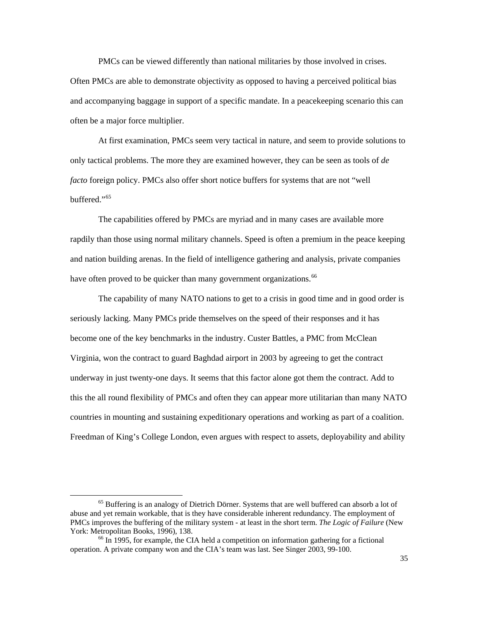PMCs can be viewed differently than national militaries by those involved in crises. Often PMCs are able to demonstrate objectivity as opposed to having a perceived political bias and accompanying baggage in support of a specific mandate. In a peacekeeping scenario this can often be a major force multiplier.

 At first examination, PMCs seem very tactical in nature, and seem to provide solutions to only tactical problems. The more they are examined however, they can be seen as tools of *de facto* foreign policy. PMCs also offer short notice buffers for systems that are not "well buffered."<sup>[65](#page-35-0)</sup>

 The capabilities offered by PMCs are myriad and in many cases are available more rapdily than those using normal military channels. Speed is often a premium in the peace keeping and nation building arenas. In the field of intelligence gathering and analysis, private companies have often proved to be quicker than many government organizations.<sup>[66](#page-35-1)</sup>

 The capability of many NATO nations to get to a crisis in good time and in good order is seriously lacking. Many PMCs pride themselves on the speed of their responses and it has become one of the key benchmarks in the industry. Custer Battles, a PMC from McClean Virginia, won the contract to guard Baghdad airport in 2003 by agreeing to get the contract underway in just twenty-one days. It seems that this factor alone got them the contract. Add to this the all round flexibility of PMCs and often they can appear more utilitarian than many NATO countries in mounting and sustaining expeditionary operations and working as part of a coalition. Freedman of King's College London, even argues with respect to assets, deployability and ability

<span id="page-35-0"></span> $<sup>65</sup>$  Buffering is an analogy of Dietrich Dörner. Systems that are well buffered can absorb a lot of</sup> abuse and yet remain workable, that is they have considerable inherent redundancy. The employment of PMCs improves the buffering of the military system - at least in the short term. *The Logic of Failure* (New York: Metropolitan Books, 1996), 138.<br><sup>66</sup> In 1995, for example, the CIA held a competition on information gathering for a fictional

<span id="page-35-1"></span>operation. A private company won and the CIA's team was last. See Singer 2003, 99-100.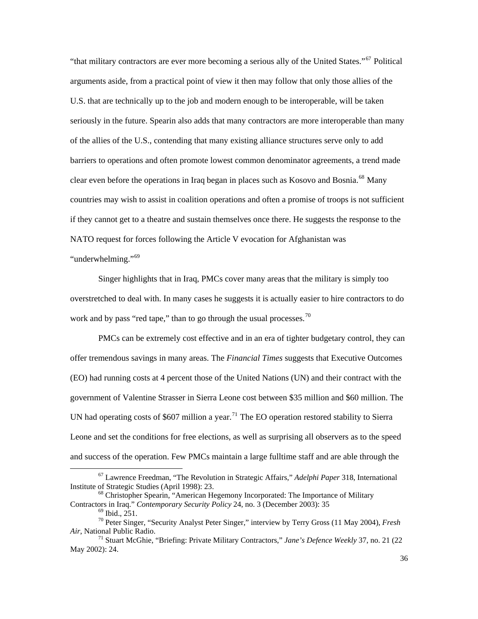"that military contractors are ever more becoming a serious ally of the United States."[67](#page-36-0) Political arguments aside, from a practical point of view it then may follow that only those allies of the U.S. that are technically up to the job and modern enough to be interoperable, will be taken seriously in the future. Spearin also adds that many contractors are more interoperable than many of the allies of the U.S., contending that many existing alliance structures serve only to add barriers to operations and often promote lowest common denominator agreements, a trend made clear even before the operations in Iraq began in places such as Kosovo and Bosnia.<sup>[68](#page-36-1)</sup> Many countries may wish to assist in coalition operations and often a promise of troops is not sufficient if they cannot get to a theatre and sustain themselves once there. He suggests the response to the NATO request for forces following the Article V evocation for Afghanistan was "underwhelming."<sup>[69](#page-36-2)</sup>

 Singer highlights that in Iraq, PMCs cover many areas that the military is simply too overstretched to deal with. In many cases he suggests it is actually easier to hire contractors to do work and by pass "red tape," than to go through the usual processes. $^{70}$  $^{70}$  $^{70}$ 

 PMCs can be extremely cost effective and in an era of tighter budgetary control, they can offer tremendous savings in many areas. The *Financial Times* suggests that Executive Outcomes (EO) had running costs at 4 percent those of the United Nations (UN) and their contract with the government of Valentine Strasser in Sierra Leone cost between \$35 million and \$60 million. The UN had operating costs of \$607 million a year.<sup>[71](#page-36-4)</sup> The EO operation restored stability to Sierra Leone and set the conditions for free elections, as well as surprising all observers as to the speed and success of the operation. Few PMCs maintain a large fulltime staff and are able through the

<span id="page-36-0"></span><sup>&</sup>lt;sup>67</sup> Lawrence Freedman, "The Revolution in Strategic Affairs," *Adelphi Paper* 318, International Institute of Strategic Studies (April 1998): 23.

<span id="page-36-1"></span> $<sup>68</sup>$  Christopher Spearin, "American Hegemony Incorporated: The Importance of Military</sup> Contractors in Iraq." *Contemporary Security Policy* 24, no. 3 (December 2003): 35 <sup>69</sup> Ibid., 251.

<span id="page-36-3"></span><span id="page-36-2"></span><sup>70</sup> Peter Singer, "Security Analyst Peter Singer," interview by Terry Gross (11 May 2004), *Fresh* 

<span id="page-36-4"></span><sup>&</sup>lt;sup>71</sup> Stuart McGhie, "Briefing: Private Military Contractors," *Jane's Defence Weekly* 37, no. 21 (22 May 2002): 24.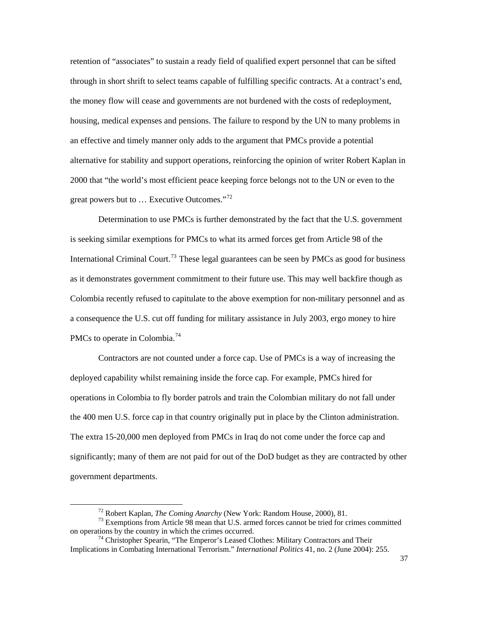retention of "associates" to sustain a ready field of qualified expert personnel that can be sifted through in short shrift to select teams capable of fulfilling specific contracts. At a contract's end, the money flow will cease and governments are not burdened with the costs of redeployment, housing, medical expenses and pensions. The failure to respond by the UN to many problems in an effective and timely manner only adds to the argument that PMCs provide a potential alternative for stability and support operations, reinforcing the opinion of writer Robert Kaplan in 2000 that "the world's most efficient peace keeping force belongs not to the UN or even to the great powers but to ... Executive Outcomes."<sup>[72](#page-37-0)</sup>

 Determination to use PMCs is further demonstrated by the fact that the U.S. government is seeking similar exemptions for PMCs to what its armed forces get from Article 98 of the International Criminal Court.<sup>[73](#page-37-1)</sup> These legal guarantees can be seen by PMCs as good for business as it demonstrates government commitment to their future use. This may well backfire though as Colombia recently refused to capitulate to the above exemption for non-military personnel and as a consequence the U.S. cut off funding for military assistance in July 2003, ergo money to hire PMCs to operate in Colombia.<sup>[74](#page-37-2)</sup>

 Contractors are not counted under a force cap. Use of PMCs is a way of increasing the deployed capability whilst remaining inside the force cap. For example, PMCs hired for operations in Colombia to fly border patrols and train the Colombian military do not fall under the 400 men U.S. force cap in that country originally put in place by the Clinton administration. The extra 15-20,000 men deployed from PMCs in Iraq do not come under the force cap and significantly; many of them are not paid for out of the DoD budget as they are contracted by other government departments.

<span id="page-37-1"></span><span id="page-37-0"></span><sup>&</sup>lt;sup>72</sup> Robert Kaplan, *The Coming Anarchy* (New York: Random House, 2000), 81.<br><sup>73</sup> Exemptions from Article 98 mean that U.S. armed forces cannot be tried for crimes committed on operations by the country in which the crimes

<span id="page-37-2"></span> $^{74}$  Christopher Spearin, "The Emperor's Leased Clothes: Military Contractors and Their Implications in Combating International Terrorism." *International Politics* 41, no. 2 (June 2004): 255.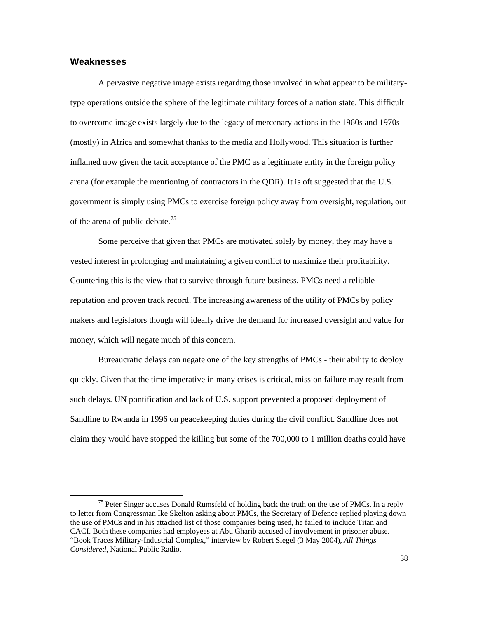## **Weaknesses**

 $\overline{a}$ 

 A pervasive negative image exists regarding those involved in what appear to be militarytype operations outside the sphere of the legitimate military forces of a nation state. This difficult to overcome image exists largely due to the legacy of mercenary actions in the 1960s and 1970s (mostly) in Africa and somewhat thanks to the media and Hollywood. This situation is further inflamed now given the tacit acceptance of the PMC as a legitimate entity in the foreign policy arena (for example the mentioning of contractors in the QDR). It is oft suggested that the U.S. government is simply using PMCs to exercise foreign policy away from oversight, regulation, out of the arena of public debate.<sup>[75](#page-38-0)</sup>

 Some perceive that given that PMCs are motivated solely by money, they may have a vested interest in prolonging and maintaining a given conflict to maximize their profitability. Countering this is the view that to survive through future business, PMCs need a reliable reputation and proven track record. The increasing awareness of the utility of PMCs by policy makers and legislators though will ideally drive the demand for increased oversight and value for money, which will negate much of this concern.

 Bureaucratic delays can negate one of the key strengths of PMCs - their ability to deploy quickly. Given that the time imperative in many crises is critical, mission failure may result from such delays. UN pontification and lack of U.S. support prevented a proposed deployment of Sandline to Rwanda in 1996 on peacekeeping duties during the civil conflict. Sandline does not claim they would have stopped the killing but some of the 700,000 to 1 million deaths could have

<span id="page-38-0"></span><sup>&</sup>lt;sup>75</sup> Peter Singer accuses Donald Rumsfeld of holding back the truth on the use of PMCs. In a reply to letter from Congressman Ike Skelton asking about PMCs, the Secretary of Defence replied playing down the use of PMCs and in his attached list of those companies being used, he failed to include Titan and CACI. Both these companies had employees at Abu Gharib accused of involvement in prisoner abuse. "Book Traces Military-Industrial Complex," interview by Robert Siegel (3 May 2004), *All Things Considered*, National Public Radio.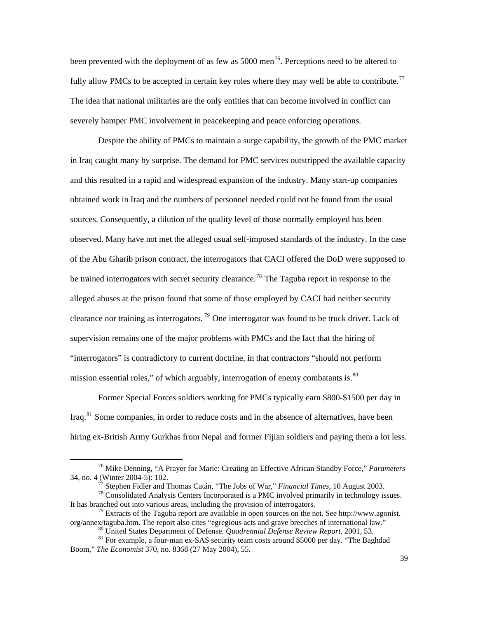been prevented with the deployment of as few as  $5000$  men<sup>[76](#page-39-0)</sup>. Perceptions need to be altered to fully allow PMCs to be accepted in certain key roles where they may well be able to contribute.<sup>[77](#page-39-1)</sup> The idea that national militaries are the only entities that can become involved in conflict can severely hamper PMC involvement in peacekeeping and peace enforcing operations.

 Despite the ability of PMCs to maintain a surge capability, the growth of the PMC market in Iraq caught many by surprise. The demand for PMC services outstripped the available capacity and this resulted in a rapid and widespread expansion of the industry. Many start-up companies obtained work in Iraq and the numbers of personnel needed could not be found from the usual sources. Consequently, a dilution of the quality level of those normally employed has been observed. Many have not met the alleged usual self-imposed standards of the industry. In the case of the Abu Gharib prison contract, the interrogators that CACI offered the DoD were supposed to be trained interrogators with secret security clearance.<sup>[78](#page-39-2)</sup> The Taguba report in response to the alleged abuses at the prison found that some of those employed by CACI had neither security clearance nor training as interrogators. [79](#page-39-3) One interrogator was found to be truck driver. Lack of supervision remains one of the major problems with PMCs and the fact that the hiring of "interrogators" is contradictory to current doctrine, in that contractors "should not perform mission essential roles," of which arguably, interrogation of enemy combatants is. $\frac{80}{100}$  $\frac{80}{100}$  $\frac{80}{100}$ 

 Former Special Forces soldiers working for PMCs typically earn \$800-\$1500 per day in Iraq.[81](#page-39-5) Some companies, in order to reduce costs and in the absence of alternatives, have been hiring ex-British Army Gurkhas from Nepal and former Fijian soldiers and paying them a lot less.

<span id="page-39-0"></span><sup>76</sup> Mike Denning, "A Prayer for Marie: Creating an Effective African Standby Force," *Parameters*

<span id="page-39-2"></span><span id="page-39-1"></span><sup>34,</sup> no. 4 (Winter 2004-5): 102.<br><sup>77</sup> Stephen Fidler and Thomas Catán, "The Jobs of War," *Financial Times*, 10 August 2003.<br><sup>78</sup> Consolidated Analysis Centers Incorporated is a PMC involved primarily in technology issues.<br>

<span id="page-39-3"></span><sup>&</sup>lt;sup>79</sup> Extracts of the Taguba report are available in open sources on the net. See http://www.agonist. org/annex/taguba.htm. The report also cites "egregious acts and grave breeches of international law."<br><sup>80</sup> United States Department of Defense. *Quadrennial Defense Review Report*, 2001, 53.<br><sup>81</sup> For example, a four-man ex

<span id="page-39-5"></span><span id="page-39-4"></span>Boom," *The Economist* 370, no. 8368 (27 May 2004), 55.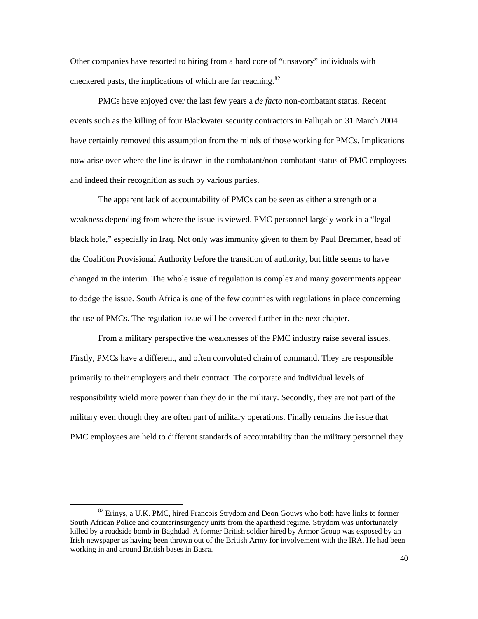Other companies have resorted to hiring from a hard core of "unsavory" individuals with checkered pasts, the implications of which are far reaching. $82$ 

 PMCs have enjoyed over the last few years a *de facto* non-combatant status. Recent events such as the killing of four Blackwater security contractors in Fallujah on 31 March 2004 have certainly removed this assumption from the minds of those working for PMCs. Implications now arise over where the line is drawn in the combatant/non-combatant status of PMC employees and indeed their recognition as such by various parties.

 The apparent lack of accountability of PMCs can be seen as either a strength or a weakness depending from where the issue is viewed. PMC personnel largely work in a "legal black hole," especially in Iraq. Not only was immunity given to them by Paul Bremmer, head of the Coalition Provisional Authority before the transition of authority, but little seems to have changed in the interim. The whole issue of regulation is complex and many governments appear to dodge the issue. South Africa is one of the few countries with regulations in place concerning the use of PMCs. The regulation issue will be covered further in the next chapter.

 From a military perspective the weaknesses of the PMC industry raise several issues. Firstly, PMCs have a different, and often convoluted chain of command. They are responsible primarily to their employers and their contract. The corporate and individual levels of responsibility wield more power than they do in the military. Secondly, they are not part of the military even though they are often part of military operations. Finally remains the issue that PMC employees are held to different standards of accountability than the military personnel they

<span id="page-40-0"></span><sup>&</sup>lt;sup>82</sup> Erinys, a U.K. PMC, hired Francois Strydom and Deon Gouws who both have links to former South African Police and counterinsurgency units from the apartheid regime. Strydom was unfortunately killed by a roadside bomb in Baghdad. A former British soldier hired by Armor Group was exposed by an Irish newspaper as having been thrown out of the British Army for involvement with the IRA. He had been working in and around British bases in Basra.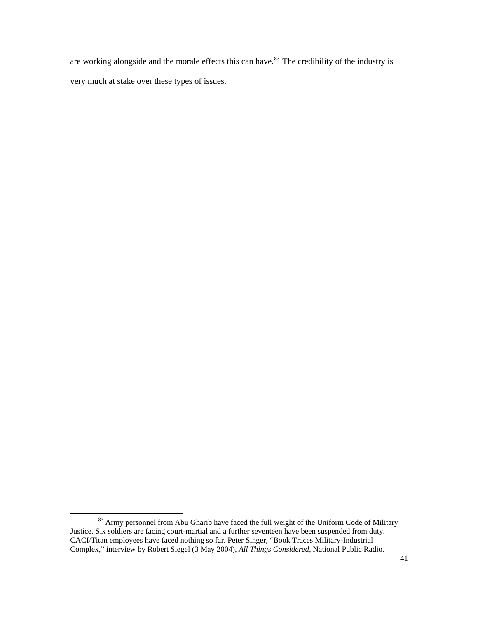are working alongside and the morale effects this can have.<sup>[83](#page-41-0)</sup> The credibility of the industry is very much at stake over these types of issues.

<span id="page-41-0"></span><sup>83</sup> Army personnel from Abu Gharib have faced the full weight of the Uniform Code of Military Justice. Six soldiers are facing court-martial and a further seventeen have been suspended from duty. CACI/Titan employees have faced nothing so far. Peter Singer, "Book Traces Military-Industrial Complex," interview by Robert Siegel (3 May 2004), *All Things Considered*, National Public Radio.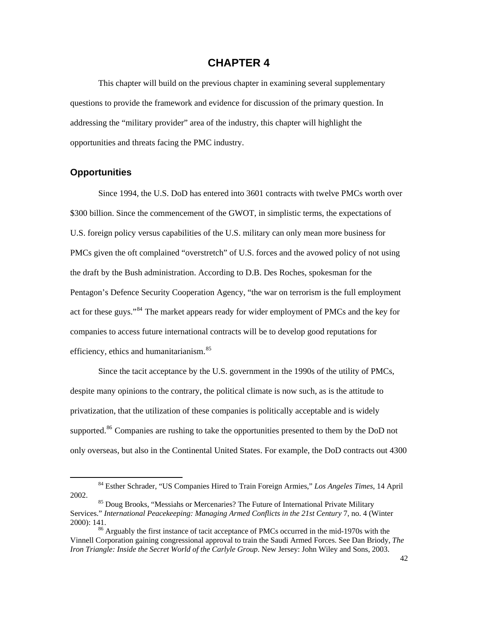# **CHAPTER 4**

 This chapter will build on the previous chapter in examining several supplementary questions to provide the framework and evidence for discussion of the primary question. In addressing the "military provider" area of the industry, this chapter will highlight the opportunities and threats facing the PMC industry.

## **Opportunities**

 $\overline{a}$ 

 Since 1994, the U.S. DoD has entered into 3601 contracts with twelve PMCs worth over \$300 billion. Since the commencement of the GWOT, in simplistic terms, the expectations of U.S. foreign policy versus capabilities of the U.S. military can only mean more business for PMCs given the oft complained "overstretch" of U.S. forces and the avowed policy of not using the draft by the Bush administration. According to D.B. Des Roches, spokesman for the Pentagon's Defence Security Cooperation Agency, "the war on terrorism is the full employment act for these guys."<sup>[84](#page-42-0)</sup> The market appears ready for wider employment of PMCs and the key for companies to access future international contracts will be to develop good reputations for efficiency, ethics and humanitarianism.<sup>[85](#page-42-1)</sup>

 Since the tacit acceptance by the U.S. government in the 1990s of the utility of PMCs, despite many opinions to the contrary, the political climate is now such, as is the attitude to privatization, that the utilization of these companies is politically acceptable and is widely supported.<sup>[86](#page-42-2)</sup> Companies are rushing to take the opportunities presented to them by the DoD not only overseas, but also in the Continental United States. For example, the DoD contracts out 4300

<span id="page-42-0"></span><sup>84</sup> Esther Schrader, "US Companies Hired to Train Foreign Armies," *Los Angeles Times*, 14 April 2002. 85 Doug Brooks, "Messiahs or Mercenaries? The Future of International Private Military

<span id="page-42-1"></span>Services." *International Peacekeeping: Managing Armed Conflicts in the 21st Century* 7, no. 4 (Winter 2000): 141.<br><sup>86</sup> Arguably the first instance of tacit acceptance of PMCs occurred in the mid-1970s with the

<span id="page-42-2"></span>Vinnell Corporation gaining congressional approval to train the Saudi Armed Forces. See Dan Briody, *The Iron Triangle: Inside the Secret World of the Carlyle Group*. New Jersey: John Wiley and Sons, 2003.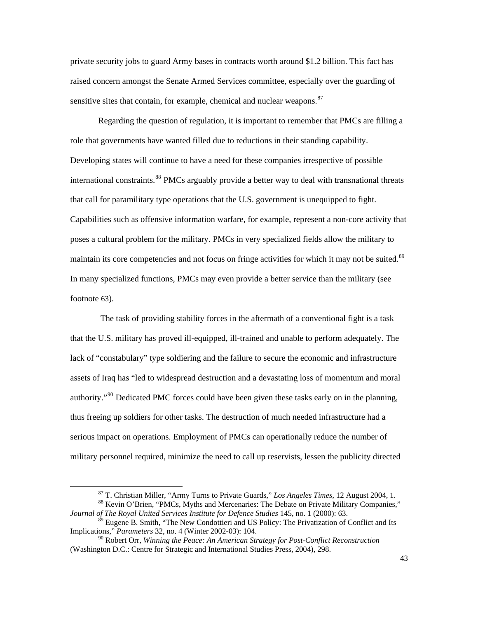private security jobs to guard Army bases in contracts worth around \$1.2 billion. This fact has raised concern amongst the Senate Armed Services committee, especially over the guarding of sensitive sites that contain, for example, chemical and nuclear weapons.<sup>[87](#page-43-0)</sup>

 Regarding the question of regulation, it is important to remember that PMCs are filling a role that governments have wanted filled due to reductions in their standing capability. Developing states will continue to have a need for these companies irrespective of possible international constraints.<sup>[88](#page-43-1)</sup> PMCs arguably provide a better way to deal with transnational threats that call for paramilitary type operations that the U.S. government is unequipped to fight. Capabilities such as offensive information warfare, for example, represent a non-core activity that poses a cultural problem for the military. PMCs in very specialized fields allow the military to maintain its core competencies and not focus on fringe activities for which it may not be suited.<sup>[89](#page-43-2)</sup> In many specialized functions, PMCs may even provide a better service than the military (see footnote 63).

 The task of providing stability forces in the aftermath of a conventional fight is a task that the U.S. military has proved ill-equipped, ill-trained and unable to perform adequately. The lack of "constabulary" type soldiering and the failure to secure the economic and infrastructure assets of Iraq has "led to widespread destruction and a devastating loss of momentum and moral authority."<sup>[90](#page-43-3)</sup> Dedicated PMC forces could have been given these tasks early on in the planning, thus freeing up soldiers for other tasks. The destruction of much needed infrastructure had a serious impact on operations. Employment of PMCs can operationally reduce the number of military personnel required, minimize the need to call up reservists, lessen the publicity directed

<sup>&</sup>lt;sup>87</sup> T. Christian Miller, "Army Turns to Private Guards," *Los Angeles Times*, 12 August 2004, 1.<br><sup>88</sup> Kevin O'Brien, "PMCs, Myths and Mercenaries: The Debate on Private Military Companies,"

<span id="page-43-1"></span><span id="page-43-0"></span>*Journal of The Royal United Services Institute for Defence Studies* 145, no. 1 (2000): 63.

<span id="page-43-2"></span><sup>&</sup>lt;sup>89</sup> Eugene B. Smith, "The New Condottieri and US Policy: The Privatization of Conflict and Its Implications," *Parameters* 32, no. 4 (Winter 2002-03): 104.

<span id="page-43-3"></span><sup>90</sup> Robert Orr, *Winning the Peace: An American Strategy for Post-Conflict Reconstruction* (Washington D.C.: Centre for Strategic and International Studies Press, 2004), 298.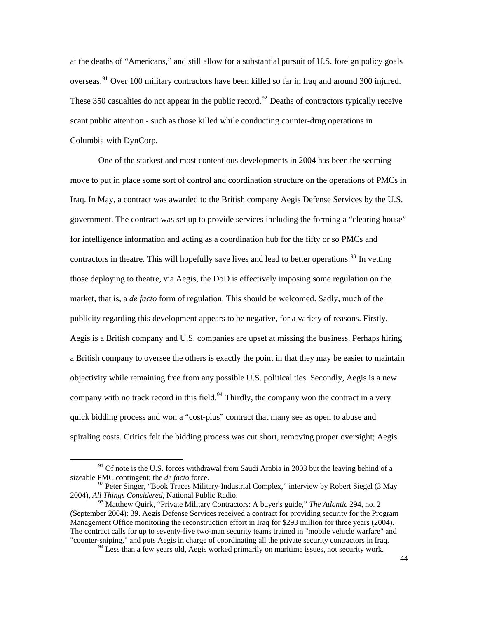at the deaths of "Americans," and still allow for a substantial pursuit of U.S. foreign policy goals overseas.<sup>[91](#page-44-0)</sup> Over 100 military contractors have been killed so far in Iraq and around 300 injured. These 350 casualties do not appear in the public record.<sup>[92](#page-44-1)</sup> Deaths of contractors typically receive scant public attention - such as those killed while conducting counter-drug operations in Columbia with DynCorp.

 One of the starkest and most contentious developments in 2004 has been the seeming move to put in place some sort of control and coordination structure on the operations of PMCs in Iraq. In May, a contract was awarded to the British company Aegis Defense Services by the U.S. government. The contract was set up to provide services including the forming a "clearing house" for intelligence information and acting as a coordination hub for the fifty or so PMCs and contractors in theatre. This will hopefully save lives and lead to better operations.<sup>[93](#page-44-2)</sup> In vetting those deploying to theatre, via Aegis, the DoD is effectively imposing some regulation on the market, that is, a *de facto* form of regulation. This should be welcomed. Sadly, much of the publicity regarding this development appears to be negative, for a variety of reasons. Firstly, Aegis is a British company and U.S. companies are upset at missing the business. Perhaps hiring a British company to oversee the others is exactly the point in that they may be easier to maintain objectivity while remaining free from any possible U.S. political ties. Secondly, Aegis is a new company with no track record in this field.<sup>[94](#page-44-3)</sup> Thirdly, the company won the contract in a very quick bidding process and won a "cost-plus" contract that many see as open to abuse and spiraling costs. Critics felt the bidding process was cut short, removing proper oversight; Aegis

<span id="page-44-0"></span> $91$  Of note is the U.S. forces withdrawal from Saudi Arabia in 2003 but the leaving behind of a sizeable PMC contingent; the *de facto* force.

<span id="page-44-1"></span><sup>&</sup>lt;sup>92</sup> Peter Singer, "Book Traces Military-Industrial Complex," interview by Robert Siegel (3 May 2004), *All Things Considered*, National Public Radio.

<span id="page-44-3"></span><span id="page-44-2"></span><sup>93</sup> Matthew Quirk, "Private Military Contractors: A buyer's guide," *The Atlantic* 294, no. 2 (September 2004): 39. Aegis Defense Services received a contract for providing security for the Program Management Office monitoring the reconstruction effort in Iraq for \$293 million for three years (2004). The contract calls for up to seventy-five two-man security teams trained in "mobile vehicle warfare" and "counter-sniping," and puts Aegis in charge of coordinating all the private security contractors in Iraq.

 $94$  Less than a few years old, Aegis worked primarily on maritime issues, not security work.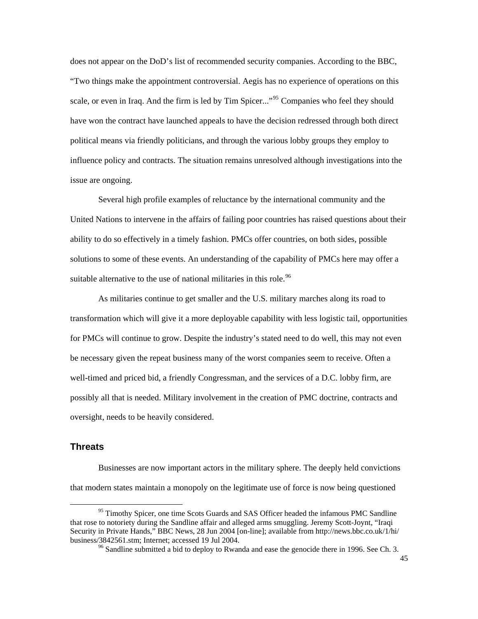does not appear on the DoD's list of recommended security companies. According to the BBC, "Two things make the appointment controversial. Aegis has no experience of operations on this scale, or even in Iraq. And the firm is led by Tim Spicer..."<sup>[95](#page-45-0)</sup> Companies who feel they should have won the contract have launched appeals to have the decision redressed through both direct political means via friendly politicians, and through the various lobby groups they employ to influence policy and contracts. The situation remains unresolved although investigations into the issue are ongoing.

 Several high profile examples of reluctance by the international community and the United Nations to intervene in the affairs of failing poor countries has raised questions about their ability to do so effectively in a timely fashion. PMCs offer countries, on both sides, possible solutions to some of these events. An understanding of the capability of PMCs here may offer a suitable alternative to the use of national militaries in this role.<sup>[96](#page-45-1)</sup>

 As militaries continue to get smaller and the U.S. military marches along its road to transformation which will give it a more deployable capability with less logistic tail, opportunities for PMCs will continue to grow. Despite the industry's stated need to do well, this may not even be necessary given the repeat business many of the worst companies seem to receive. Often a well-timed and priced bid, a friendly Congressman, and the services of a D.C. lobby firm, are possibly all that is needed. Military involvement in the creation of PMC doctrine, contracts and oversight, needs to be heavily considered.

## **Threats**

 $\overline{a}$ 

 Businesses are now important actors in the military sphere. The deeply held convictions that modern states maintain a monopoly on the legitimate use of force is now being questioned

<span id="page-45-1"></span><span id="page-45-0"></span><sup>&</sup>lt;sup>95</sup> Timothy Spicer, one time Scots Guards and SAS Officer headed the infamous PMC Sandline that rose to notoriety during the Sandline affair and alleged arms smuggling. Jeremy Scott-Joynt, "Iraqi Security in Private Hands," BBC News, 28 Jun 2004 [on-line]; available from http://news.bbc.co.uk/1/hi/ business/3842561.stm; Internet; accessed 19 Jul 2004.<br><sup>96</sup> Sandline submitted a bid to deploy to Rwanda and ease the genocide there in 1996. See Ch. 3.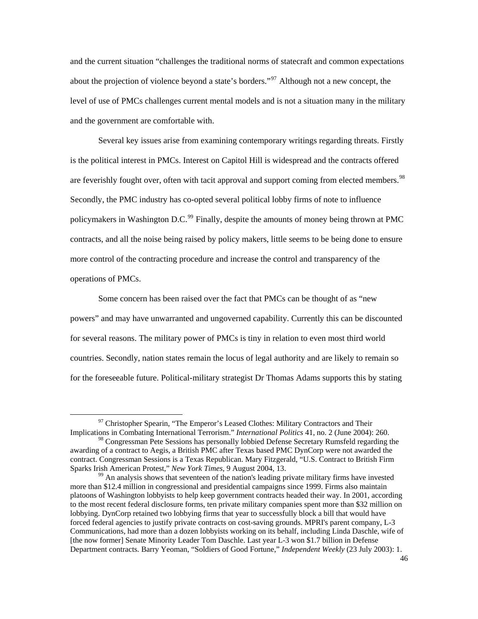and the current situation "challenges the traditional norms of statecraft and common expectations about the projection of violence beyond a state's borders."<sup>[97](#page-46-0)</sup> Although not a new concept, the level of use of PMCs challenges current mental models and is not a situation many in the military and the government are comfortable with.

 Several key issues arise from examining contemporary writings regarding threats. Firstly is the political interest in PMCs. Interest on Capitol Hill is widespread and the contracts offered are feverishly fought over, often with tacit approval and support coming from elected members.<sup>[98](#page-46-1)</sup> Secondly, the PMC industry has co-opted several political lobby firms of note to influence policymakers in Washington D.C.<sup>[99](#page-46-2)</sup> Finally, despite the amounts of money being thrown at PMC contracts, and all the noise being raised by policy makers, little seems to be being done to ensure more control of the contracting procedure and increase the control and transparency of the operations of PMCs.

 Some concern has been raised over the fact that PMCs can be thought of as "new powers" and may have unwarranted and ungoverned capability. Currently this can be discounted for several reasons. The military power of PMCs is tiny in relation to even most third world countries. Secondly, nation states remain the locus of legal authority and are likely to remain so for the foreseeable future. Political-military strategist Dr Thomas Adams supports this by stating

<span id="page-46-0"></span> $97$  Christopher Spearin, "The Emperor's Leased Clothes: Military Contractors and Their Implications in Combating International Terrorism." *International Politics* 41, no. 2 (June 2004): 260.

<span id="page-46-1"></span><sup>&</sup>lt;sup>98</sup> Congressman Pete Sessions has personally lobbied Defense Secretary Rumsfeld regarding the awarding of a contract to Aegis, a British PMC after Texas based PMC DynCorp were not awarded the contract. Congressman Sessions is a Texas Republican. Mary Fitzgerald, "U.S. Contract to British Firm Sparks Irish American Protest," *New York Times*, 9 August 2004, 13.<br><sup>99</sup> An analysis shows that seventeen of the nation's leading private military firms have invested

<span id="page-46-2"></span>more than \$12.4 million in congressional and presidential campaigns since 1999. Firms also maintain platoons of Washington lobbyists to help keep government contracts headed their way. In 2001, according to the most recent federal disclosure forms, ten private military companies spent more than \$32 million on lobbying. DynCorp retained two lobbying firms that year to successfully block a bill that would have forced federal agencies to justify private contracts on cost-saving grounds. MPRI's parent company, L-3 Communications, had more than a dozen lobbyists working on its behalf, including Linda Daschle, wife of [the now former] Senate Minority Leader Tom Daschle. Last year L-3 won \$1.7 billion in Defense Department contracts. Barry Yeoman, "Soldiers of Good Fortune," *Independent Weekly* (23 July 2003): 1.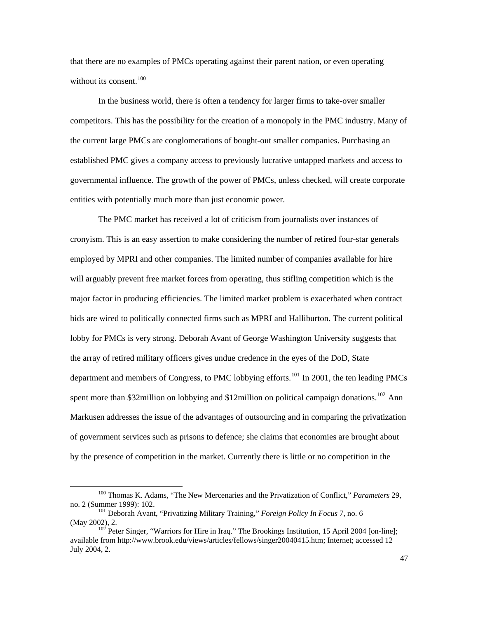that there are no examples of PMCs operating against their parent nation, or even operating without its consent. $100$ 

 In the business world, there is often a tendency for larger firms to take-over smaller competitors. This has the possibility for the creation of a monopoly in the PMC industry. Many of the current large PMCs are conglomerations of bought-out smaller companies. Purchasing an established PMC gives a company access to previously lucrative untapped markets and access to governmental influence. The growth of the power of PMCs, unless checked, will create corporate entities with potentially much more than just economic power.

 The PMC market has received a lot of criticism from journalists over instances of cronyism. This is an easy assertion to make considering the number of retired four-star generals employed by MPRI and other companies. The limited number of companies available for hire will arguably prevent free market forces from operating, thus stifling competition which is the major factor in producing efficiencies. The limited market problem is exacerbated when contract bids are wired to politically connected firms such as MPRI and Halliburton. The current political lobby for PMCs is very strong. Deborah Avant of George Washington University suggests that the array of retired military officers gives undue credence in the eyes of the DoD, State department and members of Congress, to PMC lobbying efforts.<sup>[101](#page-47-1)</sup> In 2001, the ten leading PMCs spent more than \$32 million on lobbying and \$12 million on political campaign donations.<sup>[102](#page-47-2)</sup> Ann Markusen addresses the issue of the advantages of outsourcing and in comparing the privatization of government services such as prisons to defence; she claims that economies are brought about by the presence of competition in the market. Currently there is little or no competition in the

<span id="page-47-0"></span><sup>&</sup>lt;sup>100</sup> Thomas K. Adams, "The New Mercenaries and the Privatization of Conflict," *Parameters* 29, no. 2 (Summer 1999): 102.

<span id="page-47-1"></span><sup>&</sup>lt;sup>101</sup> Deborah Avant, "Privatizing Military Training," *Foreign Policy In Focus* 7, no. 6 (May 2002), 2.  $102$  Peter Singer, "Warriors for Hire in Iraq." The Brookings Institution, 15 April 2004 [on-line];

<span id="page-47-2"></span>available from http://www.brook.edu/views/articles/fellows/singer20040415.htm; Internet; accessed 12 July 2004, 2.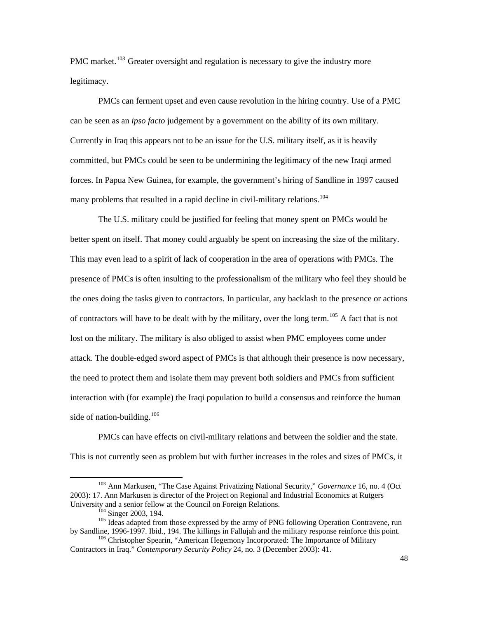PMC market.<sup>[103](#page-48-0)</sup> Greater oversight and regulation is necessary to give the industry more legitimacy.

 PMCs can ferment upset and even cause revolution in the hiring country. Use of a PMC can be seen as an *ipso facto* judgement by a government on the ability of its own military. Currently in Iraq this appears not to be an issue for the U.S. military itself, as it is heavily committed, but PMCs could be seen to be undermining the legitimacy of the new Iraqi armed forces. In Papua New Guinea, for example, the government's hiring of Sandline in 1997 caused many problems that resulted in a rapid decline in civil-military relations.<sup>[104](#page-48-1)</sup>

 The U.S. military could be justified for feeling that money spent on PMCs would be better spent on itself. That money could arguably be spent on increasing the size of the military. This may even lead to a spirit of lack of cooperation in the area of operations with PMCs. The presence of PMCs is often insulting to the professionalism of the military who feel they should be the ones doing the tasks given to contractors. In particular, any backlash to the presence or actions of contractors will have to be dealt with by the military, over the long term.<sup>[105](#page-48-2)</sup> A fact that is not lost on the military. The military is also obliged to assist when PMC employees come under attack. The double-edged sword aspect of PMCs is that although their presence is now necessary, the need to protect them and isolate them may prevent both soldiers and PMCs from sufficient interaction with (for example) the Iraqi population to build a consensus and reinforce the human side of nation-building. $106$ 

 PMCs can have effects on civil-military relations and between the soldier and the state. This is not currently seen as problem but with further increases in the roles and sizes of PMCs, it

<span id="page-48-0"></span><sup>103</sup> Ann Markusen, "The Case Against Privatizing National Security," *Governance* 16, no. 4 (Oct 2003): 17. Ann Markusen is director of the Project on Regional and Industrial Economics at Rutgers

<span id="page-48-2"></span><span id="page-48-1"></span> $\frac{104}{105}$  Singer 2003, 194.<br><sup>105</sup> Ideas adapted from those expressed by the army of PNG following Operation Contravene, run by Sandline, 1996-1997. Ibid., 194. The killings in Fallujah and the military response reinforce this point.<br><sup>106</sup> Christopher Spearin, "American Hegemony Incorporated: The Importance of Military

<span id="page-48-3"></span>Contractors in Iraq." *Contemporary Security Policy* 24, no. 3 (December 2003): 41.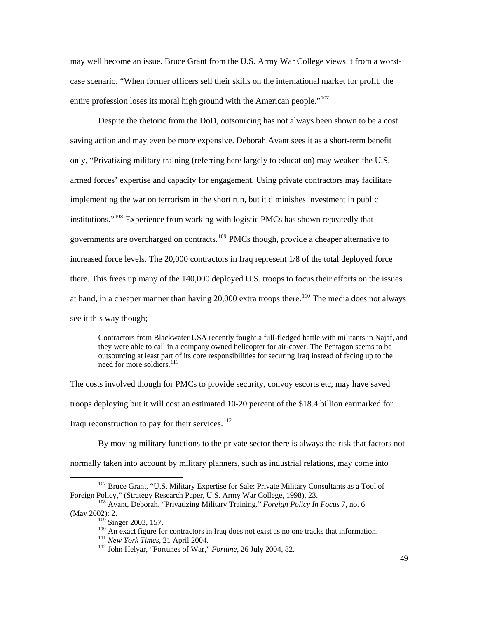may well become an issue. Bruce Grant from the U.S. Army War College views it from a worstcase scenario, "When former officers sell their skills on the international market for profit, the entire profession loses its moral high ground with the American people."<sup>[107](#page-49-0)</sup>

 Despite the rhetoric from the DoD, outsourcing has not always been shown to be a cost saving action and may even be more expensive. Deborah Avant sees it as a short-term benefit only, "Privatizing military training (referring here largely to education) may weaken the U.S. armed forces' expertise and capacity for engagement. Using private contractors may facilitate implementing the war on terrorism in the short run, but it diminishes investment in public institutions."[108](#page-49-1) Experience from working with logistic PMCs has shown repeatedly that governments are overcharged on contracts.<sup>[109](#page-49-2)</sup> PMCs though, provide a cheaper alternative to increased force levels. The 20,000 contractors in Iraq represent 1/8 of the total deployed force there. This frees up many of the 140,000 deployed U.S. troops to focus their efforts on the issues at hand, in a cheaper manner than having 20,000 extra troops there.<sup>[110](#page-49-3)</sup> The media does not always see it this way though;

Contractors from Blackwater USA recently fought a full-fledged battle with militants in Najaf, and they were able to call in a company owned helicopter for air-cover. The Pentagon seems to be outsourcing at least part of its core responsibilities for securing Iraq instead of facing up to the need for more soldiers.<sup>[111](#page-49-4)</sup>

The costs involved though for PMCs to provide security, convoy escorts etc, may have saved troops deploying but it will cost an estimated 10-20 percent of the \$18.4 billion earmarked for Iraqi reconstruction to pay for their services. $112$ 

 By moving military functions to the private sector there is always the risk that factors not normally taken into account by military planners, such as industrial relations, may come into

<span id="page-49-0"></span><sup>&</sup>lt;sup>107</sup> Bruce Grant, "U.S. Military Expertise for Sale: Private Military Consultants as a Tool of Foreign Policy," (Strategy Research Paper, U.S. Army War College, 1998), 23.<br><sup>108</sup> Avant, Deborah. "Privatizing Military Training." *Foreign Policy In Focus* 7, no. 6

<span id="page-49-5"></span><span id="page-49-4"></span><span id="page-49-3"></span><span id="page-49-2"></span><span id="page-49-1"></span><sup>(</sup>May 2002): 2.

<sup>&</sup>lt;sup>109</sup> Singer 2003, 157.<br><sup>110</sup> An exact figure for contractors in Iraq does not exist as no one tracks that information.<br><sup>111</sup> New York Times, 21 April 2004.<br><sup>112</sup> John Helyar, "Fortunes of War," *Fortune*, 26 July 2004, 8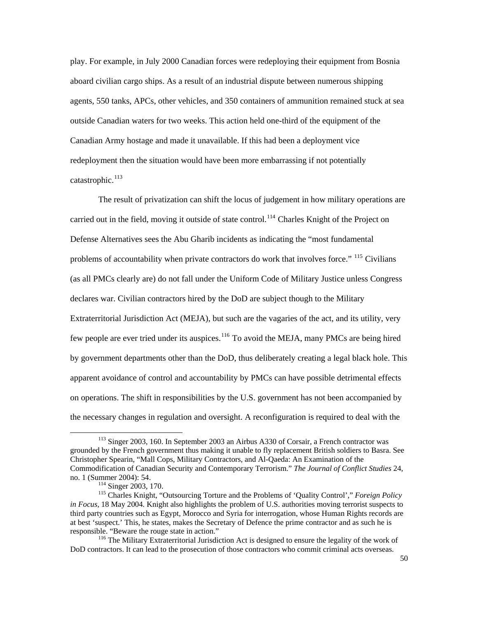play. For example, in July 2000 Canadian forces were redeploying their equipment from Bosnia aboard civilian cargo ships. As a result of an industrial dispute between numerous shipping agents, 550 tanks, APCs, other vehicles, and 350 containers of ammunition remained stuck at sea outside Canadian waters for two weeks. This action held one-third of the equipment of the Canadian Army hostage and made it unavailable. If this had been a deployment vice redeployment then the situation would have been more embarrassing if not potentially catastrophic.<sup>[113](#page-50-0)</sup>

 The result of privatization can shift the locus of judgement in how military operations are carried out in the field, moving it outside of state control.<sup>[114](#page-50-1)</sup> Charles Knight of the Project on Defense Alternatives sees the Abu Gharib incidents as indicating the "most fundamental problems of accountability when private contractors do work that involves force." <sup>[115](#page-50-2)</sup> Civilians (as all PMCs clearly are) do not fall under the Uniform Code of Military Justice unless Congress declares war. Civilian contractors hired by the DoD are subject though to the Military Extraterritorial Jurisdiction Act (MEJA), but such are the vagaries of the act, and its utility, very few people are ever tried under its auspices.<sup>[116](#page-50-3)</sup> To avoid the MEJA, many PMCs are being hired by government departments other than the DoD, thus deliberately creating a legal black hole. This apparent avoidance of control and accountability by PMCs can have possible detrimental effects on operations. The shift in responsibilities by the U.S. government has not been accompanied by the necessary changes in regulation and oversight. A reconfiguration is required to deal with the

<span id="page-50-0"></span><sup>&</sup>lt;sup>113</sup> Singer 2003, 160. In September 2003 an Airbus A330 of Corsair, a French contractor was grounded by the French government thus making it unable to fly replacement British soldiers to Basra. See Christopher Spearin, "Mall Cops, Military Contractors, and Al-Qaeda: An Examination of the Commodification of Canadian Security and Contemporary Terrorism." *The Journal of Conflict Studies* 24,

<span id="page-50-2"></span><span id="page-50-1"></span>no. 1 (Summer 2004): 54.<br><sup>114</sup> Singer 2003, 170.<br><sup>115</sup> Charles Knight, "Outsourcing Torture and the Problems of 'Quality Control'," *Foreign Policy in Focus,* 18 May 2004*.* Knight also highlights the problem of U.S. authorities moving terrorist suspects to third party countries such as Egypt, Morocco and Syria for interrogation, whose Human Rights records are at best 'suspect.' This, he states, makes the Secretary of Defence the prime contractor and as such he is responsible. "Beware the rouge state in action." 116 The Military Extraterritorial Jurisdiction Act is designed to ensure the legality of the work of

<span id="page-50-3"></span>DoD contractors. It can lead to the prosecution of those contractors who commit criminal acts overseas.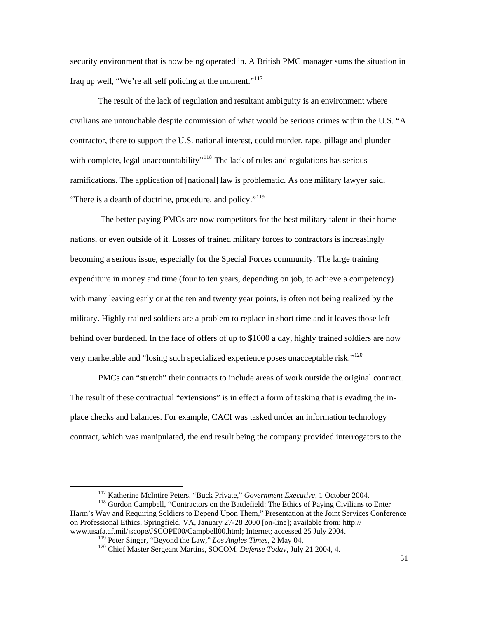security environment that is now being operated in. A British PMC manager sums the situation in Iraq up well, "We're all self policing at the moment."<sup>[117](#page-51-0)</sup>

The result of the lack of regulation and resultant ambiguity is an environment where civilians are untouchable despite commission of what would be serious crimes within the U.S. "A contractor, there to support the U.S. national interest, could murder, rape, pillage and plunder with complete, legal unaccountability<sup>"[118](#page-51-1)</sup> The lack of rules and regulations has serious ramifications. The application of [national] law is problematic. As one military lawyer said, "There is a dearth of doctrine, procedure, and policy."<sup>[119](#page-51-2)</sup>

 The better paying PMCs are now competitors for the best military talent in their home nations, or even outside of it. Losses of trained military forces to contractors is increasingly becoming a serious issue, especially for the Special Forces community. The large training expenditure in money and time (four to ten years, depending on job, to achieve a competency) with many leaving early or at the ten and twenty year points, is often not being realized by the military. Highly trained soldiers are a problem to replace in short time and it leaves those left behind over burdened. In the face of offers of up to \$1000 a day, highly trained soldiers are now very marketable and "losing such specialized experience poses unacceptable risk."<sup>[120](#page-51-3)</sup>

 PMCs can "stretch" their contracts to include areas of work outside the original contract. The result of these contractual "extensions" is in effect a form of tasking that is evading the inplace checks and balances. For example, CACI was tasked under an information technology contract, which was manipulated, the end result being the company provided interrogators to the

<span id="page-51-3"></span><span id="page-51-2"></span><span id="page-51-1"></span><span id="page-51-0"></span><sup>&</sup>lt;sup>117</sup> Katherine McIntire Peters, "Buck Private," *Government Executive*, 1 October 2004.<br><sup>118</sup> Gordon Campbell, "Contractors on the Battlefield: The Ethics of Paying Civilians to Enter Harm's Way and Requiring Soldiers to Depend Upon Them," Presentation at the Joint Services Conference on Professional Ethics, Springfield, VA, January 27-28 2000 [on-line]; available from: http:// www.usafa.af.mil/jscope/JSCOPE00/Campbell00.html; Internet; accessed 25 July 2004.<br><sup>119</sup> Peter Singer, "Beyond the Law," *Los Angles Times*, 2 May 04.

<sup>&</sup>lt;sup>120</sup> Chief Master Sergeant Martins, SOCOM, *Defense Today*, July 21 2004, 4.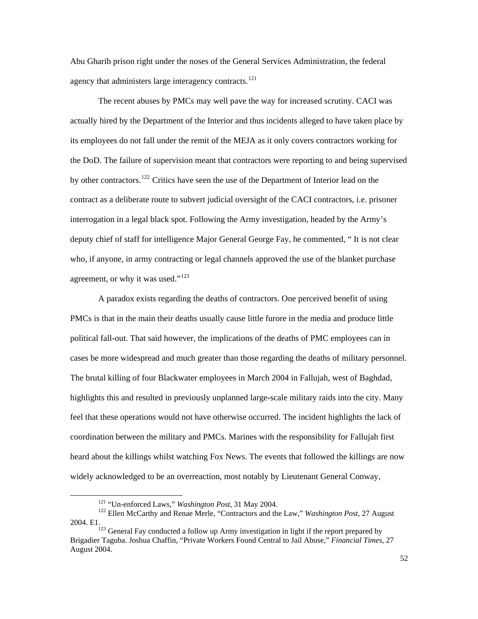Abu Gharib prison right under the noses of the General Services Administration, the federal agency that administers large interagency contracts. $121$ 

 The recent abuses by PMCs may well pave the way for increased scrutiny. CACI was actually hired by the Department of the Interior and thus incidents alleged to have taken place by its employees do not fall under the remit of the MEJA as it only covers contractors working for the DoD. The failure of supervision meant that contractors were reporting to and being supervised by other contractors.<sup>[122](#page-52-1)</sup> Critics have seen the use of the Department of Interior lead on the contract as a deliberate route to subvert judicial oversight of the CACI contractors, i.e. prisoner interrogation in a legal black spot. Following the Army investigation, headed by the Army's deputy chief of staff for intelligence Major General George Fay, he commented, " It is not clear who, if anyone, in army contracting or legal channels approved the use of the blanket purchase agreement, or why it was used."<sup>[123](#page-52-2)</sup>

A paradox exists regarding the deaths of contractors. One perceived benefit of using PMCs is that in the main their deaths usually cause little furore in the media and produce little political fall-out. That said however, the implications of the deaths of PMC employees can in cases be more widespread and much greater than those regarding the deaths of military personnel. The brutal killing of four Blackwater employees in March 2004 in Fallujah, west of Baghdad, highlights this and resulted in previously unplanned large-scale military raids into the city. Many feel that these operations would not have otherwise occurred. The incident highlights the lack of coordination between the military and PMCs. Marines with the responsibility for Fallujah first heard about the killings whilst watching Fox News. The events that followed the killings are now widely acknowledged to be an overreaction, most notably by Lieutenant General Conway,

<span id="page-52-1"></span><span id="page-52-0"></span><sup>&</sup>lt;sup>121</sup> "Un-enforced Laws," *Washington Post*, 31 May 2004.<br><sup>122</sup> Ellen McCarthy and Renae Merle, "Contractors and the Law," *Washington Post,* 27 August 2004. E1.<br><sup>123</sup> General Fay conducted a follow up Army investigation in light if the report prepared by

<span id="page-52-2"></span>Brigadier Taguba. Joshua Chaffin, "Private Workers Found Central to Jail Abuse," *Financial Times,* 27 August 2004.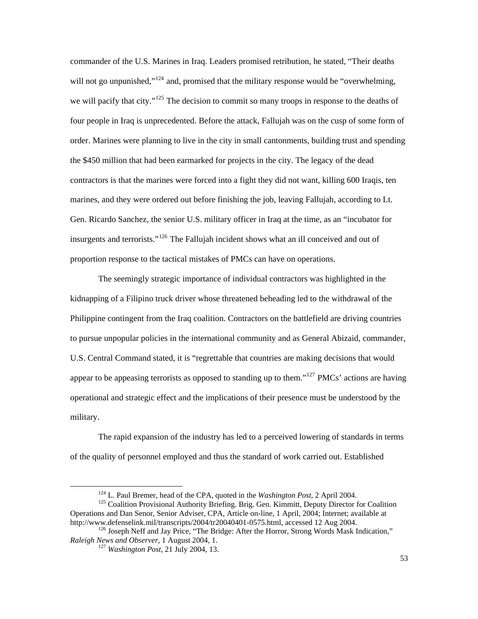commander of the U.S. Marines in Iraq. Leaders promised retribution, he stated, "Their deaths will not go unpunished,"<sup>[124](#page-53-0)</sup> and, promised that the military response would be "overwhelming," we will pacify that city."<sup>[125](#page-53-1)</sup> The decision to commit so many troops in response to the deaths of four people in Iraq is unprecedented. Before the attack, Fallujah was on the cusp of some form of order. Marines were planning to live in the city in small cantonments, building trust and spending the \$450 million that had been earmarked for projects in the city. The legacy of the dead contractors is that the marines were forced into a fight they did not want, killing 600 Iraqis, ten marines, and they were ordered out before finishing the job, leaving Fallujah, according to Lt. Gen. Ricardo Sanchez, the senior U.S. military officer in Iraq at the time, as an "incubator for insurgents and terrorists."<sup>[126](#page-53-2)</sup> The Fallujah incident shows what an ill conceived and out of proportion response to the tactical mistakes of PMCs can have on operations.

 The seemingly strategic importance of individual contractors was highlighted in the kidnapping of a Filipino truck driver whose threatened beheading led to the withdrawal of the Philippine contingent from the Iraq coalition. Contractors on the battlefield are driving countries to pursue unpopular policies in the international community and as General Abizaid, commander, U.S. Central Command stated, it is "regrettable that countries are making decisions that would appear to be appeasing terrorists as opposed to standing up to them."<sup>127</sup> PMCs' actions are having operational and strategic effect and the implications of their presence must be understood by the military.

 The rapid expansion of the industry has led to a perceived lowering of standards in terms of the quality of personnel employed and thus the standard of work carried out. Established

<span id="page-53-1"></span><span id="page-53-0"></span><sup>&</sup>lt;sup>124</sup> L. Paul Bremer, head of the CPA, quoted in the *Washington Post*, 2 April 2004.<br><sup>125</sup> Coalition Provisional Authority Briefing. Brig. Gen. Kimmitt, Deputy Director for Coalition Operations and Dan Senor, Senior Adviser, CPA, Article on-line, 1 April, 2004; Internet; available at

<span id="page-53-3"></span><span id="page-53-2"></span>http://www.defenselink.mil/transcripts/2004/tr20040401-0575.html, accessed 12 Aug 2004.<br><sup>126</sup> Joseph Neff and Jay Price, "The Bridge: After the Horror, Strong Words Mask Indication,"<br>*Raleigh News and Observer*, 1 August 2

<sup>&</sup>lt;sup>127</sup> Washington Post, 21 July 2004, 13.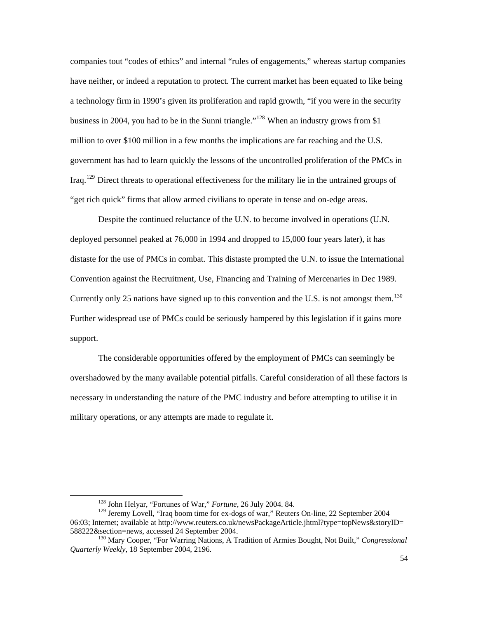companies tout "codes of ethics" and internal "rules of engagements," whereas startup companies have neither, or indeed a reputation to protect. The current market has been equated to like being a technology firm in 1990's given its proliferation and rapid growth, "if you were in the security business in 2004, you had to be in the Sunni triangle."<sup>[128](#page-54-0)</sup> When an industry grows from \$1 million to over \$100 million in a few months the implications are far reaching and the U.S. government has had to learn quickly the lessons of the uncontrolled proliferation of the PMCs in Iraq.[129](#page-54-1) Direct threats to operational effectiveness for the military lie in the untrained groups of "get rich quick" firms that allow armed civilians to operate in tense and on-edge areas.

Despite the continued reluctance of the U.N. to become involved in operations (U.N. deployed personnel peaked at 76,000 in 1994 and dropped to 15,000 four years later), it has distaste for the use of PMCs in combat. This distaste prompted the U.N. to issue the International Convention against the Recruitment, Use, Financing and Training of Mercenaries in Dec 1989. Currently only 25 nations have signed up to this convention and the U.S. is not amongst them.<sup>[130](#page-54-2)</sup> Further widespread use of PMCs could be seriously hampered by this legislation if it gains more support.

 The considerable opportunities offered by the employment of PMCs can seemingly be overshadowed by the many available potential pitfalls. Careful consideration of all these factors is necessary in understanding the nature of the PMC industry and before attempting to utilise it in military operations, or any attempts are made to regulate it.

<sup>128</sup> John Helyar, "Fortunes of War," *Fortune*, 26 July 2004. 84.

<span id="page-54-1"></span><span id="page-54-0"></span><sup>&</sup>lt;sup>129</sup> Jeremy Lovell, "Iraq boom time for ex-dogs of war," Reuters On-line, 22 September 2004 06:03; Internet; available at http://www.reuters.co.uk/newsPackageArticle.jhtml?type=topNews&storyID= 588222&section=news, accessed 24 September 2004.<br><sup>130</sup> Mary Cooper, "For Warring Nations, A Tradition of Armies Bought, Not Built," *Congressional* 

<span id="page-54-2"></span>*Quarterly Weekly,* 18 September 2004, 2196.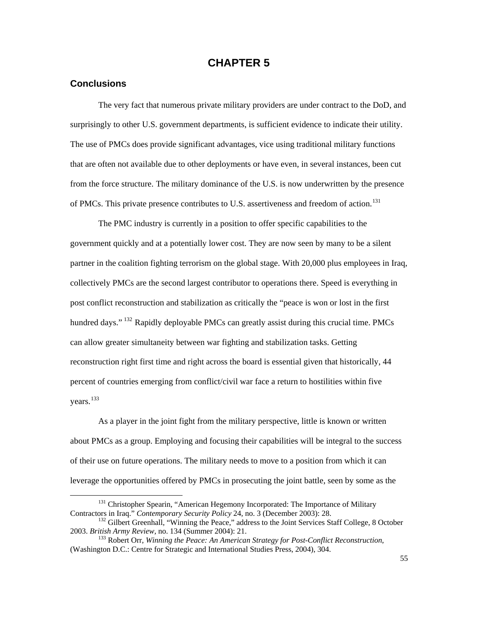# **CHAPTER 5**

## **Conclusions**

 $\overline{a}$ 

 The very fact that numerous private military providers are under contract to the DoD, and surprisingly to other U.S. government departments, is sufficient evidence to indicate their utility. The use of PMCs does provide significant advantages, vice using traditional military functions that are often not available due to other deployments or have even, in several instances, been cut from the force structure. The military dominance of the U.S. is now underwritten by the presence of PMCs. This private presence contributes to U.S. assertiveness and freedom of action.<sup>[131](#page-55-0)</sup>

The PMC industry is currently in a position to offer specific capabilities to the government quickly and at a potentially lower cost. They are now seen by many to be a silent partner in the coalition fighting terrorism on the global stage. With 20,000 plus employees in Iraq, collectively PMCs are the second largest contributor to operations there. Speed is everything in post conflict reconstruction and stabilization as critically the "peace is won or lost in the first hundred days." <sup>132</sup> Rapidly deployable PMCs can greatly assist during this crucial time. PMCs can allow greater simultaneity between war fighting and stabilization tasks. Getting reconstruction right first time and right across the board is essential given that historically, 44 percent of countries emerging from conflict/civil war face a return to hostilities within five years.<sup>[133](#page-55-2)</sup>

As a player in the joint fight from the military perspective, little is known or written about PMCs as a group. Employing and focusing their capabilities will be integral to the success of their use on future operations. The military needs to move to a position from which it can leverage the opportunities offered by PMCs in prosecuting the joint battle, seen by some as the

<span id="page-55-0"></span><sup>&</sup>lt;sup>131</sup> Christopher Spearin, "American Hegemony Incorporated: The Importance of Military Contractors in Iraq." Contemporary Security Policy 24, no. 3 (December 2003): 28.

<span id="page-55-1"></span><sup>&</sup>lt;sup>132</sup> Gilbert Greenhall, "Winning the Peace," address to the Joint Services Staff College, 8 October 2003. *British Army Review*, no. 134 (Summer 2004): 21.

<span id="page-55-2"></span><sup>&</sup>lt;sup>133</sup> Robert Orr, *Winning the Peace: An American Strategy for Post-Conflict Reconstruction*, (Washington D.C.: Centre for Strategic and International Studies Press, 2004), 304.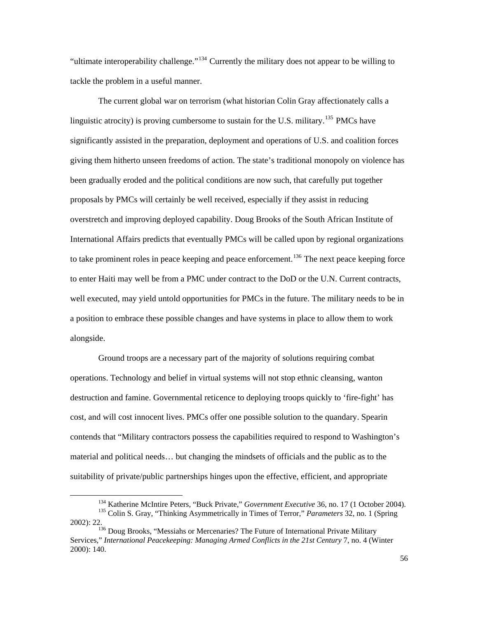"ultimate interoperability challenge."[134](#page-56-0) Currently the military does not appear to be willing to tackle the problem in a useful manner.

The current global war on terrorism (what historian Colin Gray affectionately calls a linguistic atrocity) is proving cumbersome to sustain for the U.S. military.<sup>[135](#page-56-1)</sup> PMCs have significantly assisted in the preparation, deployment and operations of U.S. and coalition forces giving them hitherto unseen freedoms of action. The state's traditional monopoly on violence has been gradually eroded and the political conditions are now such, that carefully put together proposals by PMCs will certainly be well received, especially if they assist in reducing overstretch and improving deployed capability. Doug Brooks of the South African Institute of International Affairs predicts that eventually PMCs will be called upon by regional organizations to take prominent roles in peace keeping and peace enforcement.<sup>[136](#page-56-2)</sup> The next peace keeping force to enter Haiti may well be from a PMC under contract to the DoD or the U.N. Current contracts, well executed, may yield untold opportunities for PMCs in the future. The military needs to be in a position to embrace these possible changes and have systems in place to allow them to work alongside.

 Ground troops are a necessary part of the majority of solutions requiring combat operations. Technology and belief in virtual systems will not stop ethnic cleansing, wanton destruction and famine. Governmental reticence to deploying troops quickly to 'fire-fight' has cost, and will cost innocent lives. PMCs offer one possible solution to the quandary. Spearin contends that "Military contractors possess the capabilities required to respond to Washington's material and political needs… but changing the mindsets of officials and the public as to the suitability of private/public partnerships hinges upon the effective, efficient, and appropriate

<span id="page-56-1"></span><span id="page-56-0"></span><sup>&</sup>lt;sup>134</sup> Katherine McIntire Peters, "Buck Private," *Government Executive* 36, no. 17 (1 October 2004).<br><sup>135</sup> Colin S. Gray, "Thinking Asymmetrically in Times of Terror," *Parameters* 32, no. 1 (Spring 2002): 22.<br><sup>136</sup> Doug Brooks, "Messiahs or Mercenaries? The Future of International Private Military

<span id="page-56-2"></span>Services," *International Peacekeeping: Managing Armed Conflicts in the 21st Century 7, no. 4 (Winter* 2000): 140.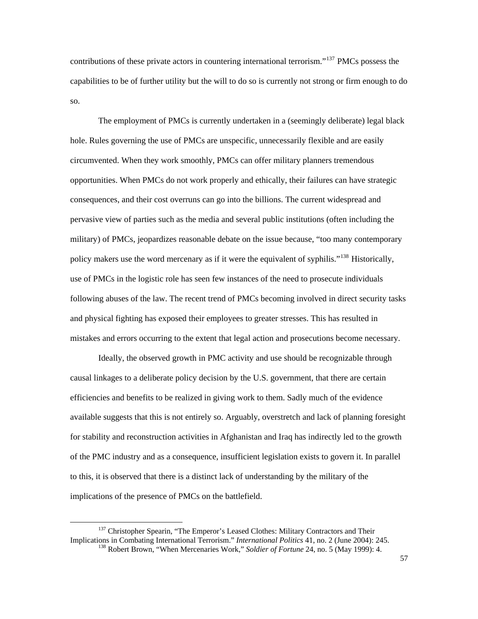contributions of these private actors in countering international terrorism."<sup>[137](#page-57-0)</sup> PMCs possess the capabilities to be of further utility but the will to do so is currently not strong or firm enough to do so.

 The employment of PMCs is currently undertaken in a (seemingly deliberate) legal black hole. Rules governing the use of PMCs are unspecific, unnecessarily flexible and are easily circumvented. When they work smoothly, PMCs can offer military planners tremendous opportunities. When PMCs do not work properly and ethically, their failures can have strategic consequences, and their cost overruns can go into the billions. The current widespread and pervasive view of parties such as the media and several public institutions (often including the military) of PMCs, jeopardizes reasonable debate on the issue because, "too many contemporary policy makers use the word mercenary as if it were the equivalent of syphilis."<sup>[138](#page-57-1)</sup> Historically, use of PMCs in the logistic role has seen few instances of the need to prosecute individuals following abuses of the law. The recent trend of PMCs becoming involved in direct security tasks and physical fighting has exposed their employees to greater stresses. This has resulted in mistakes and errors occurring to the extent that legal action and prosecutions become necessary.

Ideally, the observed growth in PMC activity and use should be recognizable through causal linkages to a deliberate policy decision by the U.S. government, that there are certain efficiencies and benefits to be realized in giving work to them. Sadly much of the evidence available suggests that this is not entirely so. Arguably, overstretch and lack of planning foresight for stability and reconstruction activities in Afghanistan and Iraq has indirectly led to the growth of the PMC industry and as a consequence, insufficient legislation exists to govern it. In parallel to this, it is observed that there is a distinct lack of understanding by the military of the implications of the presence of PMCs on the battlefield.

<span id="page-57-1"></span><span id="page-57-0"></span><sup>&</sup>lt;sup>137</sup> Christopher Spearin, "The Emperor's Leased Clothes: Military Contractors and Their Implications in Combating International Terrorism." *International Politics* 41, no. 2 (June 2004): 245. <sup>138</sup> Robert Brown, "When Mercenaries Work," *Soldier of Fortune* 24, no. 5 (May 1999): 4.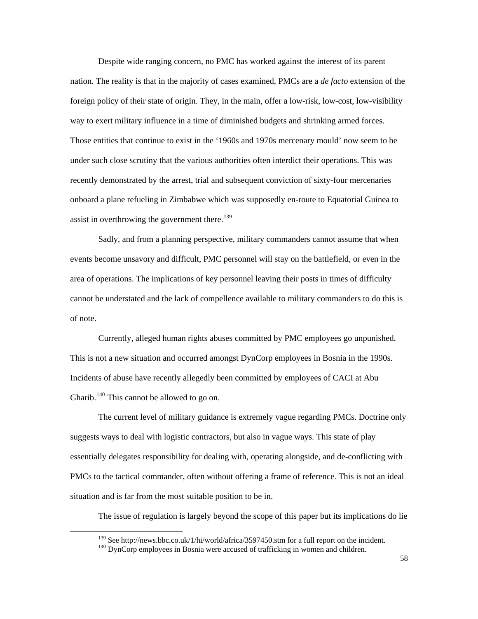Despite wide ranging concern, no PMC has worked against the interest of its parent nation. The reality is that in the majority of cases examined, PMCs are a *de facto* extension of the foreign policy of their state of origin. They, in the main, offer a low-risk, low-cost, low-visibility way to exert military influence in a time of diminished budgets and shrinking armed forces. Those entities that continue to exist in the '1960s and 1970s mercenary mould' now seem to be under such close scrutiny that the various authorities often interdict their operations. This was recently demonstrated by the arrest, trial and subsequent conviction of sixty-four mercenaries onboard a plane refueling in Zimbabwe which was supposedly en-route to Equatorial Guinea to assist in overthrowing the government there.<sup>[139](#page-58-0)</sup>

Sadly, and from a planning perspective, military commanders cannot assume that when events become unsavory and difficult, PMC personnel will stay on the battlefield, or even in the area of operations. The implications of key personnel leaving their posts in times of difficulty cannot be understated and the lack of compellence available to military commanders to do this is of note.

 Currently, alleged human rights abuses committed by PMC employees go unpunished. This is not a new situation and occurred amongst DynCorp employees in Bosnia in the 1990s. Incidents of abuse have recently allegedly been committed by employees of CACI at Abu Gharib.<sup>[140](#page-58-1)</sup> This cannot be allowed to go on.

 The current level of military guidance is extremely vague regarding PMCs. Doctrine only suggests ways to deal with logistic contractors, but also in vague ways. This state of play essentially delegates responsibility for dealing with, operating alongside, and de-conflicting with PMCs to the tactical commander, often without offering a frame of reference. This is not an ideal situation and is far from the most suitable position to be in.

The issue of regulation is largely beyond the scope of this paper but its implications do lie

<span id="page-58-1"></span><span id="page-58-0"></span><sup>&</sup>lt;sup>139</sup> See http://news.bbc.co.uk/1/hi/world/africa/3597450.stm for a full report on the incident.  $\frac{140}{140}$  DynCorp employees in Bosnia were accused of trafficking in women and children.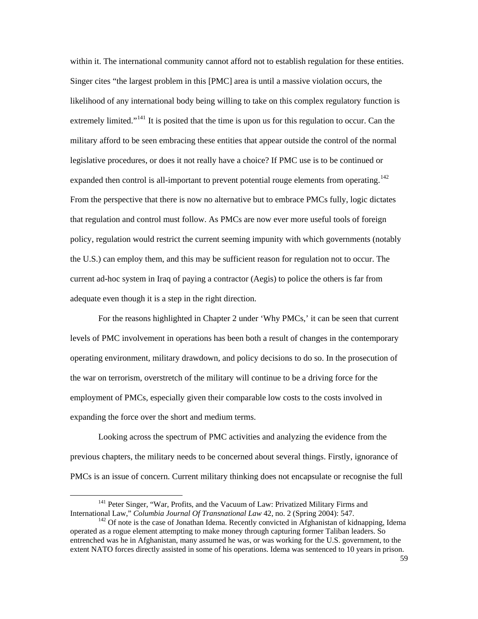within it. The international community cannot afford not to establish regulation for these entities. Singer cites "the largest problem in this [PMC] area is until a massive violation occurs, the likelihood of any international body being willing to take on this complex regulatory function is extremely limited."<sup>[141](#page-59-0)</sup> It is posited that the time is upon us for this regulation to occur. Can the military afford to be seen embracing these entities that appear outside the control of the normal legislative procedures, or does it not really have a choice? If PMC use is to be continued or expanded then control is all-important to prevent potential rouge elements from operating.<sup>[142](#page-59-1)</sup> From the perspective that there is now no alternative but to embrace PMCs fully, logic dictates that regulation and control must follow. As PMCs are now ever more useful tools of foreign policy, regulation would restrict the current seeming impunity with which governments (notably the U.S.) can employ them, and this may be sufficient reason for regulation not to occur. The current ad-hoc system in Iraq of paying a contractor (Aegis) to police the others is far from adequate even though it is a step in the right direction.

 For the reasons highlighted in Chapter 2 under 'Why PMCs,' it can be seen that current levels of PMC involvement in operations has been both a result of changes in the contemporary operating environment, military drawdown, and policy decisions to do so. In the prosecution of the war on terrorism, overstretch of the military will continue to be a driving force for the employment of PMCs, especially given their comparable low costs to the costs involved in expanding the force over the short and medium terms.

 Looking across the spectrum of PMC activities and analyzing the evidence from the previous chapters, the military needs to be concerned about several things. Firstly, ignorance of PMCs is an issue of concern. Current military thinking does not encapsulate or recognise the full

<span id="page-59-0"></span><sup>&</sup>lt;sup>141</sup> Peter Singer, "War, Profits, and the Vacuum of Law: Privatized Military Firms and International Law," *Columbia Journal Of Transnational Law* 42, no. 2 (Spring 2004): 547.

<span id="page-59-1"></span><sup>&</sup>lt;sup>142</sup> Of note is the case of Jonathan Idema. Recently convicted in Afghanistan of kidnapping, Idema operated as a rogue element attempting to make money through capturing former Taliban leaders. So entrenched was he in Afghanistan, many assumed he was, or was working for the U.S. government, to the extent NATO forces directly assisted in some of his operations. Idema was sentenced to 10 years in prison.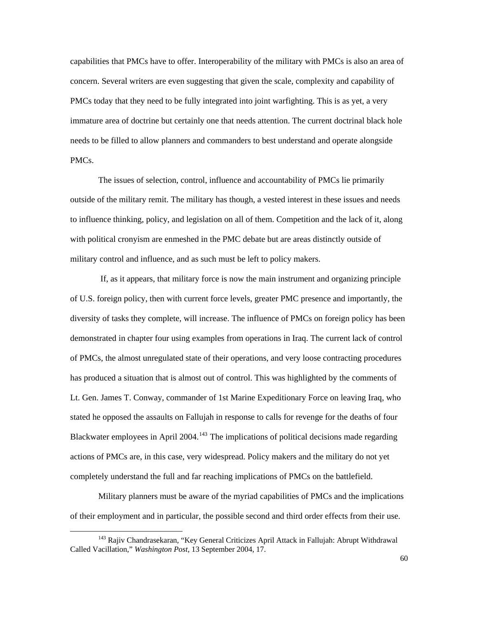capabilities that PMCs have to offer. Interoperability of the military with PMCs is also an area of concern. Several writers are even suggesting that given the scale, complexity and capability of PMCs today that they need to be fully integrated into joint warfighting. This is as yet, a very immature area of doctrine but certainly one that needs attention. The current doctrinal black hole needs to be filled to allow planners and commanders to best understand and operate alongside PMCs.

 The issues of selection, control, influence and accountability of PMCs lie primarily outside of the military remit. The military has though, a vested interest in these issues and needs to influence thinking, policy, and legislation on all of them. Competition and the lack of it, along with political cronyism are enmeshed in the PMC debate but are areas distinctly outside of military control and influence, and as such must be left to policy makers.

 If, as it appears, that military force is now the main instrument and organizing principle of U.S. foreign policy, then with current force levels, greater PMC presence and importantly, the diversity of tasks they complete, will increase. The influence of PMCs on foreign policy has been demonstrated in chapter four using examples from operations in Iraq. The current lack of control of PMCs, the almost unregulated state of their operations, and very loose contracting procedures has produced a situation that is almost out of control. This was highlighted by the comments of Lt. Gen. James T. Conway, commander of 1st Marine Expeditionary Force on leaving Iraq, who stated he opposed the assaults on Fallujah in response to calls for revenge for the deaths of four Blackwater employees in April 2004.<sup>[143](#page-60-0)</sup> The implications of political decisions made regarding actions of PMCs are, in this case, very widespread. Policy makers and the military do not yet completely understand the full and far reaching implications of PMCs on the battlefield.

 Military planners must be aware of the myriad capabilities of PMCs and the implications of their employment and in particular, the possible second and third order effects from their use.

<span id="page-60-0"></span><sup>143</sup> Rajiv Chandrasekaran, "Key General Criticizes April Attack in Fallujah: Abrupt Withdrawal Called Vacillation," *Washington Post,* 13 September 2004, 17.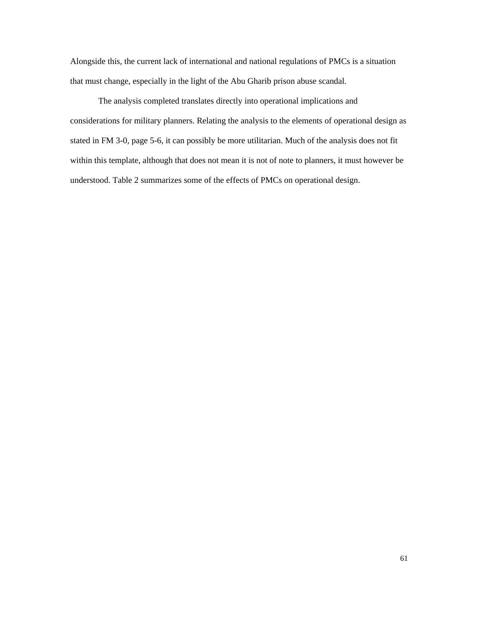Alongside this, the current lack of international and national regulations of PMCs is a situation that must change, especially in the light of the Abu Gharib prison abuse scandal.

 The analysis completed translates directly into operational implications and considerations for military planners. Relating the analysis to the elements of operational design as stated in FM 3-0, page 5-6, it can possibly be more utilitarian. Much of the analysis does not fit within this template, although that does not mean it is not of note to planners, it must however be understood. Table 2 summarizes some of the effects of PMCs on operational design.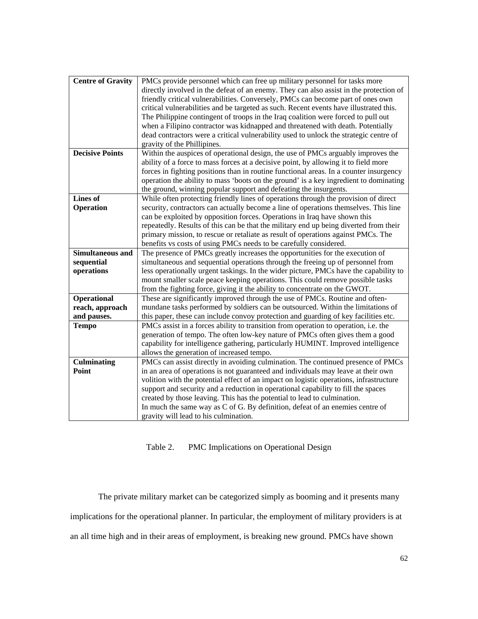| PMCs provide personnel which can free up military personnel for tasks more             |
|----------------------------------------------------------------------------------------|
|                                                                                        |
| directly involved in the defeat of an enemy. They can also assist in the protection of |
| friendly critical vulnerabilities. Conversely, PMCs can become part of ones own        |
| critical vulnerabilities and be targeted as such. Recent events have illustrated this. |
| The Philippine contingent of troops in the Iraq coalition were forced to pull out      |
| when a Filipino contractor was kidnapped and threatened with death. Potentially        |
| dead contractors were a critical vulnerability used to unlock the strategic centre of  |
| gravity of the Phillipines.                                                            |
| Within the auspices of operational design, the use of PMCs arguably improves the       |
| ability of a force to mass forces at a decisive point, by allowing it to field more    |
| forces in fighting positions than in routine functional areas. In a counter insurgency |
| operation the ability to mass 'boots on the ground' is a key ingredient to dominating  |
| the ground, winning popular support and defeating the insurgents.                      |
| While often protecting friendly lines of operations through the provision of direct    |
| security, contractors can actually become a line of operations themselves. This line   |
| can be exploited by opposition forces. Operations in Iraq have shown this              |
| repeatedly. Results of this can be that the military end up being diverted from their  |
| primary mission, to rescue or retaliate as result of operations against PMCs. The      |
| benefits vs costs of using PMCs needs to be carefully considered.                      |
| The presence of PMCs greatly increases the opportunities for the execution of          |
| simultaneous and sequential operations through the freeing up of personnel from        |
|                                                                                        |
| less operationally urgent taskings. In the wider picture, PMCs have the capability to  |
| mount smaller scale peace keeping operations. This could remove possible tasks         |
| from the fighting force, giving it the ability to concentrate on the GWOT.             |
| These are significantly improved through the use of PMCs. Routine and often-           |
| mundane tasks performed by soldiers can be outsourced. Within the limitations of       |
| this paper, these can include convoy protection and guarding of key facilities etc.    |
| PMCs assist in a forces ability to transition from operation to operation, i.e. the    |
| generation of tempo. The often low-key nature of PMCs often gives them a good          |
| capability for intelligence gathering, particularly HUMINT. Improved intelligence      |
| allows the generation of increased tempo.                                              |
| PMCs can assist directly in avoiding culmination. The continued presence of PMCs       |
| in an area of operations is not guaranteed and individuals may leave at their own      |
| volition with the potential effect of an impact on logistic operations, infrastructure |
| support and security and a reduction in operational capability to fill the spaces      |
| created by those leaving. This has the potential to lead to culmination.               |
| In much the same way as C of G. By definition, defeat of an enemies centre of          |
| gravity will lead to his culmination.                                                  |
|                                                                                        |

Table 2. PMC Implications on Operational Design

 The private military market can be categorized simply as booming and it presents many implications for the operational planner. In particular, the employment of military providers is at an all time high and in their areas of employment, is breaking new ground. PMCs have shown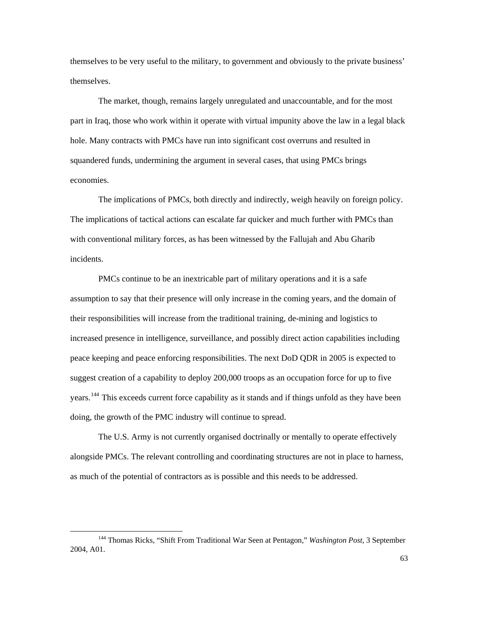themselves to be very useful to the military, to government and obviously to the private business' themselves.

The market, though, remains largely unregulated and unaccountable, and for the most part in Iraq, those who work within it operate with virtual impunity above the law in a legal black hole. Many contracts with PMCs have run into significant cost overruns and resulted in squandered funds, undermining the argument in several cases, that using PMCs brings economies.

The implications of PMCs, both directly and indirectly, weigh heavily on foreign policy. The implications of tactical actions can escalate far quicker and much further with PMCs than with conventional military forces, as has been witnessed by the Fallujah and Abu Gharib incidents.

PMCs continue to be an inextricable part of military operations and it is a safe assumption to say that their presence will only increase in the coming years, and the domain of their responsibilities will increase from the traditional training, de-mining and logistics to increased presence in intelligence, surveillance, and possibly direct action capabilities including peace keeping and peace enforcing responsibilities. The next DoD QDR in 2005 is expected to suggest creation of a capability to deploy 200,000 troops as an occupation force for up to five years.<sup>[144](#page-63-0)</sup> This exceeds current force capability as it stands and if things unfold as they have been doing, the growth of the PMC industry will continue to spread.

The U.S. Army is not currently organised doctrinally or mentally to operate effectively alongside PMCs. The relevant controlling and coordinating structures are not in place to harness, as much of the potential of contractors as is possible and this needs to be addressed.

<span id="page-63-0"></span><sup>144</sup> Thomas Ricks, "Shift From Traditional War Seen at Pentagon," *Washington Post,* 3 September 2004, A01.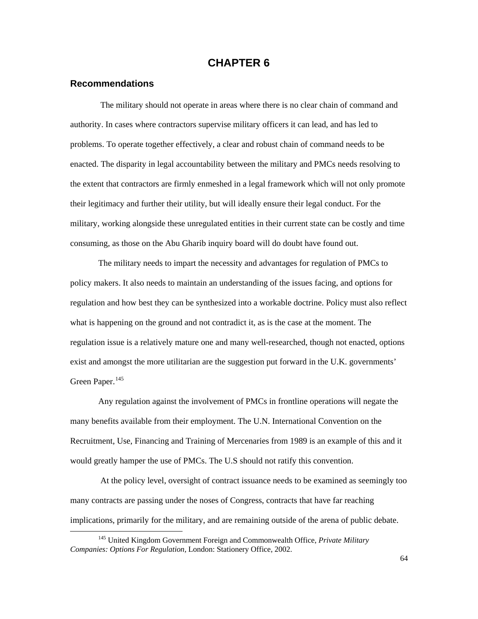# **CHAPTER 6**

### **Recommendations**

 $\overline{a}$ 

 The military should not operate in areas where there is no clear chain of command and authority. In cases where contractors supervise military officers it can lead, and has led to problems. To operate together effectively, a clear and robust chain of command needs to be enacted. The disparity in legal accountability between the military and PMCs needs resolving to the extent that contractors are firmly enmeshed in a legal framework which will not only promote their legitimacy and further their utility, but will ideally ensure their legal conduct. For the military, working alongside these unregulated entities in their current state can be costly and time consuming, as those on the Abu Gharib inquiry board will do doubt have found out.

 The military needs to impart the necessity and advantages for regulation of PMCs to policy makers. It also needs to maintain an understanding of the issues facing, and options for regulation and how best they can be synthesized into a workable doctrine. Policy must also reflect what is happening on the ground and not contradict it, as is the case at the moment. The regulation issue is a relatively mature one and many well-researched, though not enacted, options exist and amongst the more utilitarian are the suggestion put forward in the U.K. governments' Green Paper.<sup>[145](#page-64-0)</sup>

 Any regulation against the involvement of PMCs in frontline operations will negate the many benefits available from their employment. The U.N. International Convention on the Recruitment, Use, Financing and Training of Mercenaries from 1989 is an example of this and it would greatly hamper the use of PMCs. The U.S should not ratify this convention.

 At the policy level, oversight of contract issuance needs to be examined as seemingly too many contracts are passing under the noses of Congress, contracts that have far reaching implications, primarily for the military, and are remaining outside of the arena of public debate.

<span id="page-64-0"></span><sup>145</sup> United Kingdom Government Foreign and Commonwealth Office, *Private Military Companies: Options For Regulation,* London: Stationery Office, 2002.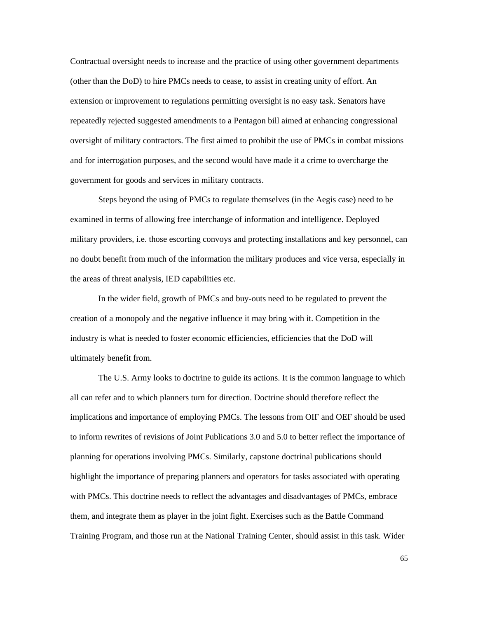Contractual oversight needs to increase and the practice of using other government departments (other than the DoD) to hire PMCs needs to cease, to assist in creating unity of effort. An extension or improvement to regulations permitting oversight is no easy task. Senators have repeatedly rejected suggested amendments to a Pentagon bill aimed at enhancing congressional oversight of military contractors. The first aimed to prohibit the use of PMCs in combat missions and for interrogation purposes, and the second would have made it a crime to overcharge the government for goods and services in military contracts.

 Steps beyond the using of PMCs to regulate themselves (in the Aegis case) need to be examined in terms of allowing free interchange of information and intelligence. Deployed military providers, i.e. those escorting convoys and protecting installations and key personnel, can no doubt benefit from much of the information the military produces and vice versa, especially in the areas of threat analysis, IED capabilities etc.

 In the wider field, growth of PMCs and buy-outs need to be regulated to prevent the creation of a monopoly and the negative influence it may bring with it. Competition in the industry is what is needed to foster economic efficiencies, efficiencies that the DoD will ultimately benefit from.

The U.S. Army looks to doctrine to guide its actions. It is the common language to which all can refer and to which planners turn for direction. Doctrine should therefore reflect the implications and importance of employing PMCs. The lessons from OIF and OEF should be used to inform rewrites of revisions of Joint Publications 3.0 and 5.0 to better reflect the importance of planning for operations involving PMCs. Similarly, capstone doctrinal publications should highlight the importance of preparing planners and operators for tasks associated with operating with PMCs. This doctrine needs to reflect the advantages and disadvantages of PMCs, embrace them, and integrate them as player in the joint fight. Exercises such as the Battle Command Training Program, and those run at the National Training Center, should assist in this task. Wider

65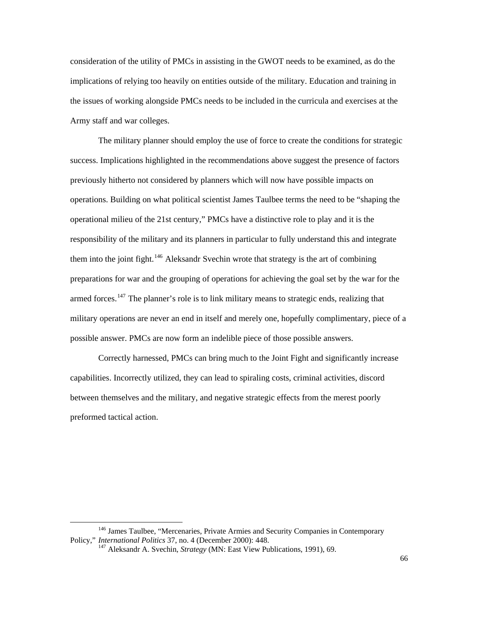consideration of the utility of PMCs in assisting in the GWOT needs to be examined, as do the implications of relying too heavily on entities outside of the military. Education and training in the issues of working alongside PMCs needs to be included in the curricula and exercises at the Army staff and war colleges.

 The military planner should employ the use of force to create the conditions for strategic success. Implications highlighted in the recommendations above suggest the presence of factors previously hitherto not considered by planners which will now have possible impacts on operations. Building on what political scientist James Taulbee terms the need to be "shaping the operational milieu of the 21st century," PMCs have a distinctive role to play and it is the responsibility of the military and its planners in particular to fully understand this and integrate them into the joint fight.<sup>[146](#page-66-0)</sup> Aleksandr Svechin wrote that strategy is the art of combining preparations for war and the grouping of operations for achieving the goal set by the war for the armed forces.<sup>[147](#page-66-1)</sup> The planner's role is to link military means to strategic ends, realizing that military operations are never an end in itself and merely one, hopefully complimentary, piece of a possible answer. PMCs are now form an indelible piece of those possible answers.

Correctly harnessed, PMCs can bring much to the Joint Fight and significantly increase capabilities. Incorrectly utilized, they can lead to spiraling costs, criminal activities, discord between themselves and the military, and negative strategic effects from the merest poorly preformed tactical action.

<span id="page-66-1"></span><span id="page-66-0"></span><sup>&</sup>lt;sup>146</sup> James Taulbee, "Mercenaries, Private Armies and Security Companies in Contemporary Policy," *International Politics* 37, no. 4 (December 2000): 448.<br><sup>147</sup> Aleksandr A. Svechin, *Strategy* (MN: East View Publications, 1991), 69.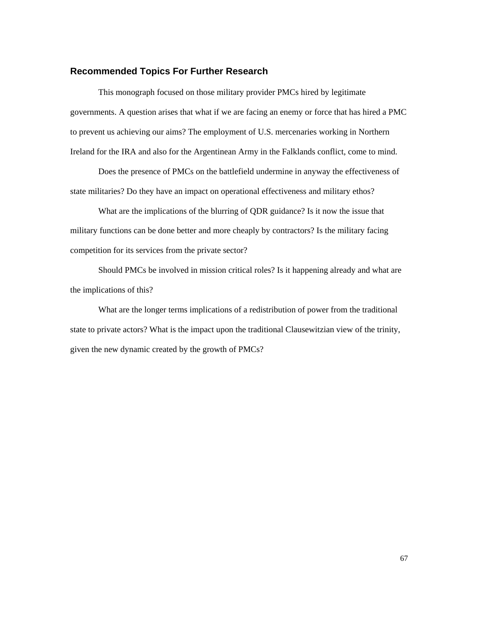#### **Recommended Topics For Further Research**

 This monograph focused on those military provider PMCs hired by legitimate governments. A question arises that what if we are facing an enemy or force that has hired a PMC to prevent us achieving our aims? The employment of U.S. mercenaries working in Northern Ireland for the IRA and also for the Argentinean Army in the Falklands conflict, come to mind.

 Does the presence of PMCs on the battlefield undermine in anyway the effectiveness of state militaries? Do they have an impact on operational effectiveness and military ethos?

 What are the implications of the blurring of QDR guidance? Is it now the issue that military functions can be done better and more cheaply by contractors? Is the military facing competition for its services from the private sector?

 Should PMCs be involved in mission critical roles? Is it happening already and what are the implications of this?

 What are the longer terms implications of a redistribution of power from the traditional state to private actors? What is the impact upon the traditional Clausewitzian view of the trinity, given the new dynamic created by the growth of PMCs?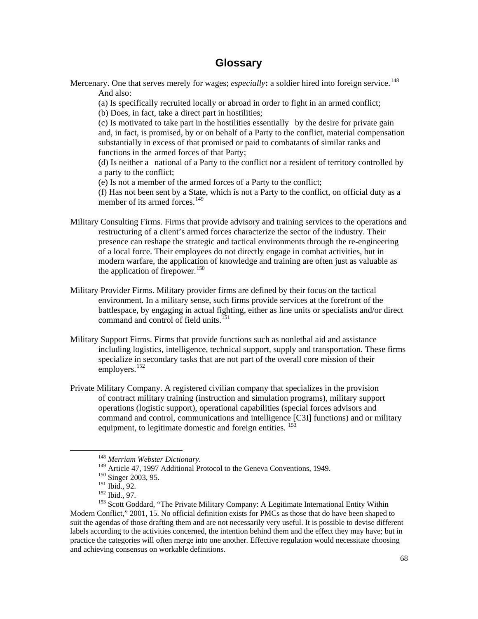# **Glossary**

Mercenary. One that serves merely for wages; *especially*: a soldier hired into foreign service.<sup>[148](#page-68-0)</sup> And also:

(a) Is specifically recruited locally or abroad in order to fight in an armed conflict;

(b) Does, in fact, take a direct part in hostilities;

 (c) Is motivated to take part in the hostilities essentially by the desire for private gain and, in fact, is promised, by or on behalf of a Party to the conflict, material compensation substantially in excess of that promised or paid to combatants of similar ranks and functions in the armed forces of that Party;

 (d) Is neither a national of a Party to the conflict nor a resident of territory controlled by a party to the conflict;

(e) Is not a member of the armed forces of a Party to the conflict;

 (f) Has not been sent by a State, which is not a Party to the conflict, on official duty as a member of its armed forces. $^{149}$  $^{149}$  $^{149}$ 

- Military Consulting Firms. Firms that provide advisory and training services to the operations and restructuring of a client's armed forces characterize the sector of the industry. Their presence can reshape the strategic and tactical environments through the re-engineering of a local force. Their employees do not directly engage in combat activities, but in modern warfare, the application of knowledge and training are often just as valuable as the application of firepower.<sup>[150](#page-68-2)</sup>
- Military Provider Firms. Military provider firms are defined by their focus on the tactical environment. In a military sense, such firms provide services at the forefront of the battlespace, by engaging in actual fighting, either as line units or specialists and/or direct command and control of field units.<sup>[151](#page-68-3)</sup>
- Military Support Firms. Firms that provide functions such as nonlethal aid and assistance including logistics, intelligence, technical support, supply and transportation. These firms specialize in secondary tasks that are not part of the overall core mission of their employers. $152$
- Private Military Company. A registered civilian company that specializes in the provision of contract military training (instruction and simulation programs), military support operations (logistic support), operational capabilities (special forces advisors and command and control, communications and intelligence [C3I] functions) and or military equipment, to legitimate domestic and foreign entities. <sup>[153](#page-68-5)</sup>

<span id="page-68-5"></span><span id="page-68-4"></span><span id="page-68-3"></span><span id="page-68-2"></span><span id="page-68-1"></span><span id="page-68-0"></span><sup>&</sup>lt;sup>148</sup> Merriam Webster Dictionary.<br><sup>149</sup> Article 47, 1997 Additional Protocol to the Geneva Conventions, 1949.<br><sup>150</sup> Singer 2003, 95.<br><sup>151</sup> Ibid., 92.<br><sup>152</sup> Ibid., 97.<br><sup>152</sup> Ibid., 97.<br><sup>152</sup> Scott Goddard, "The Private Mili Modern Conflict," 2001, 15. No official definition exists for PMCs as those that do have been shaped to suit the agendas of those drafting them and are not necessarily very useful. It is possible to devise different labels according to the activities concerned, the intention behind them and the effect they may have; but in practice the categories will often merge into one another. Effective regulation would necessitate choosing and achieving consensus on workable definitions.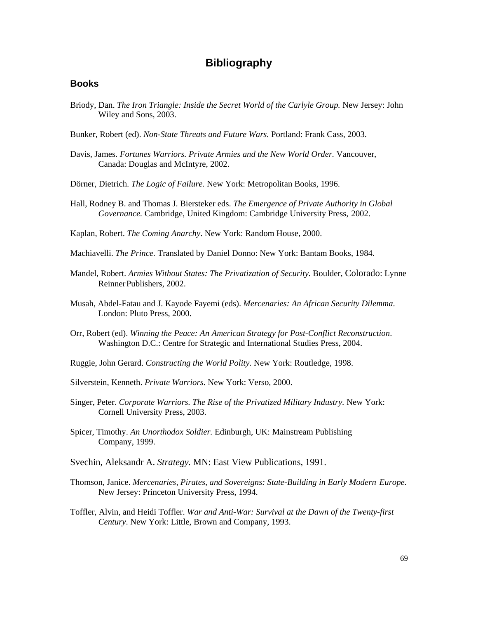# **Bibliography**

#### **Books**

Briody, Dan. *The Iron Triangle: Inside the Secret World of the Carlyle Group.* New Jersey: John Wiley and Sons, 2003.

Bunker, Robert (ed). *Non-State Threats and Future Wars.* Portland: Frank Cass, 2003.

- Davis, James. *Fortunes Warriors. Private Armies and the New World Order.* Vancouver, Canada: Douglas and McIntyre, 2002.
- Dörner, Dietrich. *The Logic of Failure.* New York: Metropolitan Books, 1996.
- Hall, Rodney B. and Thomas J. Biersteker eds. *The Emergence of Private Authority in Global Governance.* Cambridge, United Kingdom: Cambridge University Press, 2002.
- Kaplan, Robert. *The Coming Anarchy*. New York: Random House, 2000.
- Machiavelli. *The Prince.* Translated by Daniel Donno: New York: Bantam Books, 1984.
- Mandel, Robert. *Armies Without States: The Privatization of Security.* Boulder, Colorado: Lynne Reinner Publishers, 2002.
- Musah, Abdel-Fatau and J. Kayode Fayemi (eds). *Mercenaries: An African Security Dilemma*. London: Pluto Press, 2000.
- Orr, Robert (ed). *Winning the Peace: An American Strategy for Post-Conflict Reconstruction*. Washington D.C.: Centre for Strategic and International Studies Press, 2004.
- Ruggie, John Gerard. *Constructing the World Polity.* New York: Routledge, 1998.
- Silverstein, Kenneth. *Private Warriors*. New York: Verso, 2000.
- Singer, Peter. *Corporate Warriors. The Rise of the Privatized Military Industry.* New York: Cornell University Press, 2003.
- Spicer, Timothy. *An Unorthodox Soldier.* Edinburgh, UK: Mainstream Publishing Company, 1999.
- Svechin, Aleksandr A. *Strategy.* MN: East View Publications, 1991.
- Thomson, Janice. *Mercenaries, Pirates, and Sovereigns: State-Building in Early Modern Europe.*  New Jersey: Princeton University Press, 1994.
- Toffler, Alvin, and Heidi Toffler. *War and Anti-War: Survival at the Dawn of the Twenty-first Century*. New York: Little, Brown and Company, 1993.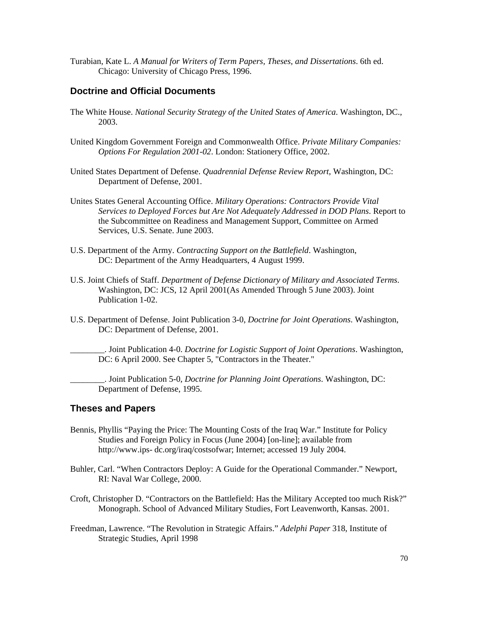Turabian, Kate L. *A Manual for Writers of Term Papers, Theses, and Dissertations*. 6th ed. Chicago: University of Chicago Press, 1996.

#### **Doctrine and Official Documents**

- The White House. *National Security Strategy of the United States of America*. Washington, DC., 2003.
- United Kingdom Government Foreign and Commonwealth Office. *Private Military Companies: Options For Regulation 2001-02*. London: Stationery Office, 2002.
- United States Department of Defense. *Quadrennial Defense Review Report*, Washington, DC: Department of Defense, 2001.
- Unites States General Accounting Office. *Military Operations: Contractors Provide Vital Services to Deployed Forces but Are Not Adequately Addressed in DOD Plans*. Report to the Subcommittee on Readiness and Management Support, Committee on Armed Services, U.S. Senate. June 2003.
- U.S. Department of the Army. *Contracting Support on the Battlefield*. Washington, DC: Department of the Army Headquarters, 4 August 1999.
- U.S. Joint Chiefs of Staff. *Department of Defense Dictionary of Military and Associated Terms*. Washington, DC: JCS, 12 April 2001(As Amended Through 5 June 2003). Joint Publication 1-02.
- U.S. Department of Defense. Joint Publication 3-0, *Doctrine for Joint Operations*. Washington, DC: Department of Defense, 2001.

\_\_\_\_\_\_\_\_. Joint Publication 4-0. *Doctrine for Logistic Support of Joint Operations*. Washington, DC: 6 April 2000. See Chapter 5, "Contractors in the Theater."

\_\_\_\_\_\_\_\_. Joint Publication 5-0, *Doctrine for Planning Joint Operations*. Washington, DC: Department of Defense, 1995.

#### **Theses and Papers**

- Bennis, Phyllis "Paying the Price: The Mounting Costs of the Iraq War." Institute for Policy Studies and Foreign Policy in Focus (June 2004) [on-line]; available from http://www.ips- dc.org/iraq/costsofwar; Internet; accessed 19 July 2004.
- Buhler, Carl. "When Contractors Deploy: A Guide for the Operational Commander." Newport, RI: Naval War College, 2000.
- Croft, Christopher D. "Contractors on the Battlefield: Has the Military Accepted too much Risk?" Monograph. School of Advanced Military Studies, Fort Leavenworth, Kansas. 2001.
- Freedman, Lawrence. "The Revolution in Strategic Affairs." *Adelphi Paper* 318, Institute of Strategic Studies, April 1998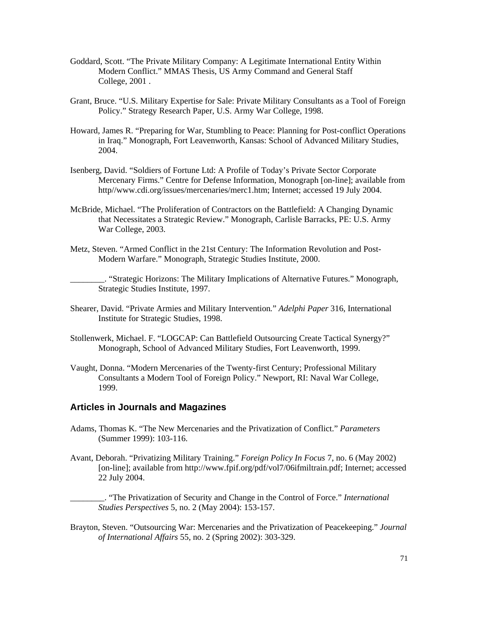- Goddard, Scott. "The Private Military Company: A Legitimate International Entity Within Modern Conflict." MMAS Thesis, US Army Command and General Staff College, 2001 .
- Grant, Bruce. "U.S. Military Expertise for Sale: Private Military Consultants as a Tool of Foreign Policy." Strategy Research Paper, U.S. Army War College, 1998.
- Howard, James R. "Preparing for War, Stumbling to Peace: Planning for Post-conflict Operations in Iraq." Monograph, Fort Leavenworth, Kansas: School of Advanced Military Studies, 2004.
- Isenberg, David. "Soldiers of Fortune Ltd: A Profile of Today's Private Sector Corporate Mercenary Firms." Centre for Defense Information, Monograph [on-line]; available from http//www.cdi.org/issues/mercenaries/merc1.htm; Internet; accessed 19 July 2004.
- McBride, Michael. "The Proliferation of Contractors on the Battlefield: A Changing Dynamic that Necessitates a Strategic Review." Monograph, Carlisle Barracks, PE: U.S. Army War College, 2003.
- Metz, Steven. "Armed Conflict in the 21st Century: The Information Revolution and Post- Modern Warfare." Monograph, Strategic Studies Institute, 2000.

\_\_\_\_\_\_\_\_. "Strategic Horizons: The Military Implications of Alternative Futures." Monograph, Strategic Studies Institute, 1997.

- Shearer, David. "Private Armies and Military Intervention*.*" *Adelphi Paper* 316, International Institute for Strategic Studies, 1998.
- Stollenwerk, Michael. F. "LOGCAP: Can Battlefield Outsourcing Create Tactical Synergy?" Monograph, School of Advanced Military Studies, Fort Leavenworth, 1999.
- Vaught, Donna. "Modern Mercenaries of the Twenty-first Century; Professional Military Consultants a Modern Tool of Foreign Policy." Newport, RI: Naval War College, 1999.

#### **Articles in Journals and Magazines**

- Adams, Thomas K. "The New Mercenaries and the Privatization of Conflict." *Parameters*  (Summer 1999): 103-116.
- Avant, Deborah. "Privatizing Military Training." *Foreign Policy In Focus* 7, no. 6 (May 2002) [on-line]; available from http://www.fpif.org/pdf/vol7/06ifmiltrain.pdf; Internet; accessed 22 July 2004.

\_\_\_\_\_\_\_\_. "The Privatization of Security and Change in the Control of Force." *International Studies Perspectives* 5, no. 2 (May 2004): 153-157.

Brayton, Steven. "Outsourcing War: Mercenaries and the Privatization of Peacekeeping." *Journal of International Affairs* 55, no. 2 (Spring 2002): 303-329.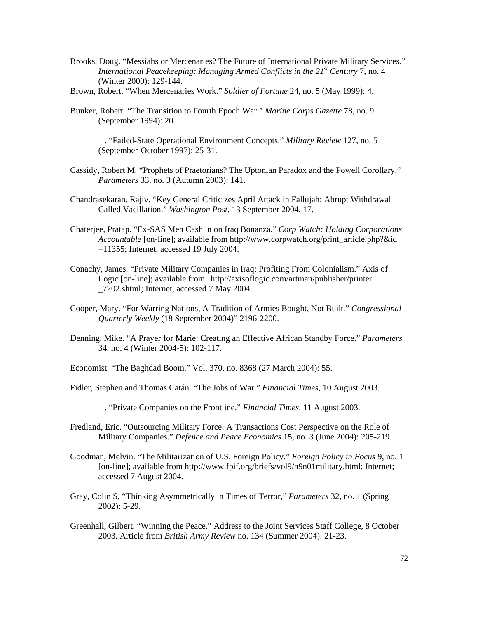- Brooks, Doug. "Messiahs or Mercenaries? The Future of International Private Military Services." *International Peacekeeping: Managing Armed Conflicts in the 21st Century* 7, no. 4 (Winter 2000): 129-144.
- Brown, Robert. "When Mercenaries Work." *Soldier of Fortune* 24, no. 5 (May 1999): 4.
- Bunker, Robert. "The Transition to Fourth Epoch War." *Marine Corps Gazette* 78, no. 9 (September 1994): 20

\_\_\_\_\_\_\_\_. "Failed-State Operational Environment Concepts." *Military Review* 127, no. 5 (September-October 1997): 25-31.

- Cassidy, Robert M. "Prophets of Praetorians? The Uptonian Paradox and the Powell Corollary," *Parameters* 33, no. 3 (Autumn 2003): 141.
- Chandrasekaran, Rajiv. "Key General Criticizes April Attack in Fallujah: Abrupt Withdrawal Called Vacillation." *Washington Post,* 13 September 2004, 17.
- Chaterjee, Pratap. "Ex-SAS Men Cash in on Iraq Bonanza." *Corp Watch: Holding Corporations Accountable* [on-line]; available from http://www.corpwatch.org/print\_article.php?&id =11355; Internet; accessed 19 July 2004.
- Conachy, James. "Private Military Companies in Iraq: Profiting From Colonialism." Axis of Logic [on-line]; available from http://axisoflogic.com/artman/publisher/printer \_7202.shtml; Internet, accessed 7 May 2004.
- Cooper, Mary. "For Warring Nations, A Tradition of Armies Bought, Not Built." *Congressional Quarterly Weekly* (18 September 2004)" 2196-2200.
- Denning, Mike. "A Prayer for Marie: Creating an Effective African Standby Force." *Parameters* 34, no. 4 (Winter 2004-5): 102-117.
- Economist. "The Baghdad Boom." Vol. 370, no. 8368 (27 March 2004): 55.
- Fidler, Stephen and Thomas Catán. "The Jobs of War." *Financial Times*, 10 August 2003.
	- \_\_\_\_\_\_\_\_. "Private Companies on the Frontline." *Financial Times*, 11 August 2003.
- Fredland, Eric. "Outsourcing Military Force: A Transactions Cost Perspective on the Role of Military Companies." *Defence and Peace Economics* 15, no. 3 (June 2004): 205-219.
- Goodman, Melvin. "The Militarization of U.S. Foreign Policy." *Foreign Policy in Focus* 9, no. 1 [on-line]; available from http://www.fpif.org/briefs/vol9/n9n01military.html; Internet; accessed 7 August 2004.
- Gray, Colin S, "Thinking Asymmetrically in Times of Terror," *Parameters* 32, no. 1 (Spring 2002): 5-29.
- Greenhall, Gilbert. "Winning the Peace." Address to the Joint Services Staff College, 8 October 2003. Article from *British Army Review* no. 134 (Summer 2004): 21-23.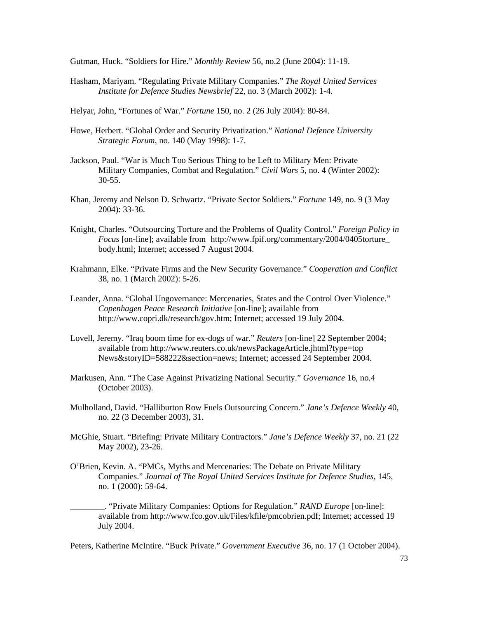Gutman, Huck. "Soldiers for Hire." *Monthly Review* 56, no.2 (June 2004): 11-19.

- Hasham, Mariyam. "Regulating Private Military Companies." *The Royal United Services Institute for Defence Studies Newsbrief* 22, no. 3 (March 2002): 1-4.
- Helyar, John, "Fortunes of War." *Fortune* 150, no. 2 (26 July 2004): 80-84.
- Howe, Herbert. "Global Order and Security Privatization." *National Defence University Strategic Forum,* no. 140 (May 1998): 1-7.
- Jackson, Paul. "War is Much Too Serious Thing to be Left to Military Men: Private Military Companies, Combat and Regulation." *Civil Wars* 5, no. 4 (Winter 2002): 30-55.
- Khan, Jeremy and Nelson D. Schwartz. "Private Sector Soldiers." *Fortune* 149, no. 9 (3 May 2004): 33-36.
- Knight, Charles. "Outsourcing Torture and the Problems of Quality Control." *Foreign Policy in Focus* [on-line]; available from http://www.fpif.org/commentary/2004/0405torture\_ body.html; Internet; accessed 7 August 2004.
- Krahmann, Elke. "Private Firms and the New Security Governance." *Cooperation and Conflict* 38, no. 1 (March 2002): 5-26.
- Leander, Anna. "Global Ungovernance: Mercenaries, States and the Control Over Violence." *Copenhagen Peace Research Initiative* [on-line]; available from http://www.copri.dk/research/gov.htm; Internet; accessed 19 July 2004.
- Lovell, Jeremy. "Iraq boom time for ex-dogs of war." *Reuters* [on-line] 22 September 2004; available from http://www.reuters.co.uk/newsPackageArticle.jhtml?type=top News&storyID=588222&section=news; Internet; accessed 24 September 2004.
- Markusen, Ann. "The Case Against Privatizing National Security." *Governance* 16, no.4 (October 2003).
- Mulholland, David. "Halliburton Row Fuels Outsourcing Concern." *Jane's Defence Weekly* 40, no. 22 (3 December 2003), 31.
- McGhie, Stuart. "Briefing: Private Military Contractors." *Jane's Defence Weekly* 37*,* no. 21 (22 May 2002), 23-26.
- O'Brien, Kevin. A. "PMCs, Myths and Mercenaries: The Debate on Private Military Companies." *Journal of The Royal United Services Institute for Defence Studies,* 145*,*  no. 1 (2000): 59-64.

\_\_\_\_\_\_\_\_. "Private Military Companies: Options for Regulation." *RAND Europe* [on-line]: available from http://www.fco.gov.uk/Files/kfile/pmcobrien.pdf; Internet; accessed 19 July 2004.

Peters, Katherine McIntire. "Buck Private." *Government Executive* 36, no. 17 (1 October 2004).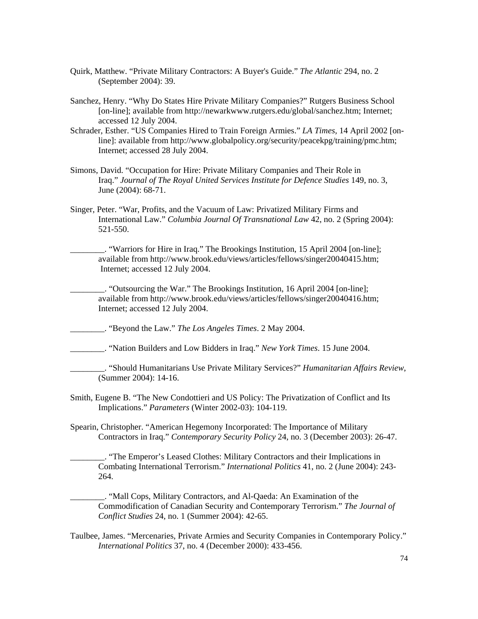- Quirk, Matthew. "Private Military Contractors: A Buyer's Guide." *The Atlantic* 294, no. 2 (September 2004): 39.
- Sanchez, Henry. "Why Do States Hire Private Military Companies?" Rutgers Business School [on-line]; available from http://newarkwww.rutgers.edu/global/sanchez.htm; Internet; accessed 12 July 2004.
- Schrader, Esther. "US Companies Hired to Train Foreign Armies." *LA Times,* 14 April 2002 [on line]: available from http://www.globalpolicy.org/security/peacekpg/training/pmc.htm; Internet; accessed 28 July 2004.
- Simons, David. "Occupation for Hire: Private Military Companies and Their Role in Iraq." *Journal of The Royal United Services Institute for Defence Studies* 149, no. 3, June (2004): 68-71.
- Singer, Peter. "War, Profits, and the Vacuum of Law: Privatized Military Firms and International Law." *Columbia Journal Of Transnational Law* 42, no. 2 (Spring 2004): 521-550.
	- \_\_\_\_\_\_\_\_. "Warriors for Hire in Iraq." The Brookings Institution, 15 April 2004 [on-line]; available from http://www.brook.edu/views/articles/fellows/singer20040415.htm; Internet; accessed 12 July 2004.

\_\_\_\_\_\_\_\_. "Outsourcing the War." The Brookings Institution, 16 April 2004 [on-line]; available from http://www.brook.edu/views/articles/fellows/singer20040416.htm; Internet; accessed 12 July 2004.

\_\_\_\_\_\_\_\_. "Beyond the Law." *The Los Angeles Times*. 2 May 2004.

- \_\_\_\_\_\_\_\_. "Nation Builders and Low Bidders in Iraq." *New York Times*. 15 June 2004.
- \_\_\_\_\_\_\_\_. "Should Humanitarians Use Private Military Services?" *Humanitarian Affairs Review*, (Summer 2004): 14-16.
- Smith, Eugene B. "The New Condottieri and US Policy: The Privatization of Conflict and Its Implications." *Parameters* (Winter 2002-03): 104-119.
- Spearin, Christopher. "American Hegemony Incorporated: The Importance of Military Contractors in Iraq." *Contemporary Security Policy* 24, no. 3 (December 2003): 26-47.
	- \_\_\_\_\_\_\_\_. "The Emperor's Leased Clothes: Military Contractors and their Implications in Combating International Terrorism." *International Politics* 41, no. 2 (June 2004): 243- 264.
	- \_\_\_\_\_\_\_\_. "Mall Cops, Military Contractors, and Al-Qaeda: An Examination of the Commodification of Canadian Security and Contemporary Terrorism." *The Journal of Conflict Studies* 24, no. 1 (Summer 2004): 42-65.
- Taulbee, James. "Mercenaries, Private Armies and Security Companies in Contemporary Policy." *International Politics* 37, no. 4 (December 2000): 433-456.